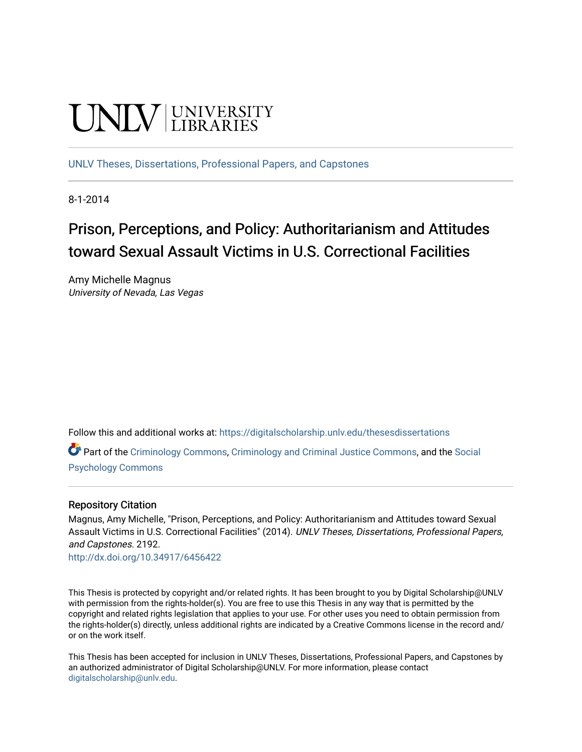# **CINITY** UNIVERSITY

[UNLV Theses, Dissertations, Professional Papers, and Capstones](https://digitalscholarship.unlv.edu/thesesdissertations)

8-1-2014

# Prison, Perceptions, and Policy: Authoritarianism and Attitudes toward Sexual Assault Victims in U.S. Correctional Facilities

Amy Michelle Magnus University of Nevada, Las Vegas

Follow this and additional works at: [https://digitalscholarship.unlv.edu/thesesdissertations](https://digitalscholarship.unlv.edu/thesesdissertations?utm_source=digitalscholarship.unlv.edu%2Fthesesdissertations%2F2192&utm_medium=PDF&utm_campaign=PDFCoverPages)

Part of the [Criminology Commons](http://network.bepress.com/hgg/discipline/417?utm_source=digitalscholarship.unlv.edu%2Fthesesdissertations%2F2192&utm_medium=PDF&utm_campaign=PDFCoverPages), [Criminology and Criminal Justice Commons,](http://network.bepress.com/hgg/discipline/367?utm_source=digitalscholarship.unlv.edu%2Fthesesdissertations%2F2192&utm_medium=PDF&utm_campaign=PDFCoverPages) and the [Social](http://network.bepress.com/hgg/discipline/414?utm_source=digitalscholarship.unlv.edu%2Fthesesdissertations%2F2192&utm_medium=PDF&utm_campaign=PDFCoverPages)  [Psychology Commons](http://network.bepress.com/hgg/discipline/414?utm_source=digitalscholarship.unlv.edu%2Fthesesdissertations%2F2192&utm_medium=PDF&utm_campaign=PDFCoverPages) 

#### Repository Citation

Magnus, Amy Michelle, "Prison, Perceptions, and Policy: Authoritarianism and Attitudes toward Sexual Assault Victims in U.S. Correctional Facilities" (2014). UNLV Theses, Dissertations, Professional Papers, and Capstones. 2192.

<http://dx.doi.org/10.34917/6456422>

This Thesis is protected by copyright and/or related rights. It has been brought to you by Digital Scholarship@UNLV with permission from the rights-holder(s). You are free to use this Thesis in any way that is permitted by the copyright and related rights legislation that applies to your use. For other uses you need to obtain permission from the rights-holder(s) directly, unless additional rights are indicated by a Creative Commons license in the record and/ or on the work itself.

This Thesis has been accepted for inclusion in UNLV Theses, Dissertations, Professional Papers, and Capstones by an authorized administrator of Digital Scholarship@UNLV. For more information, please contact [digitalscholarship@unlv.edu](mailto:digitalscholarship@unlv.edu).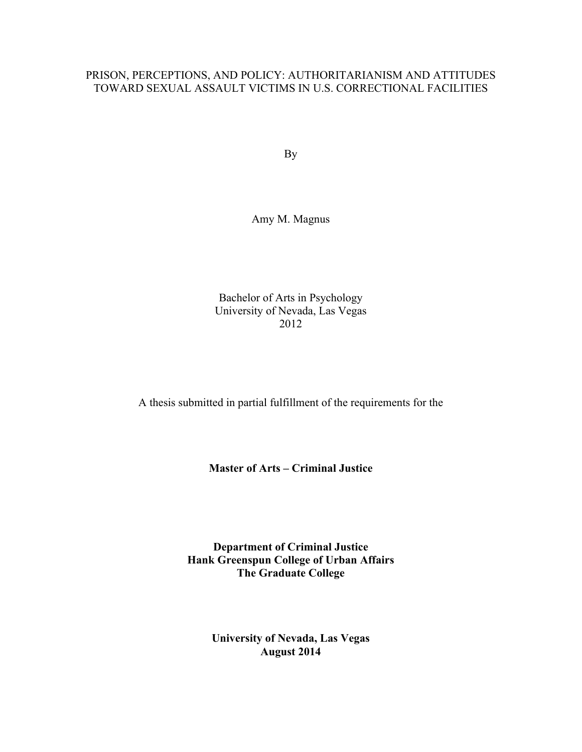## PRISON, PERCEPTIONS, AND POLICY: AUTHORITARIANISM AND ATTITUDES TOWARD SEXUAL ASSAULT VICTIMS IN U.S. CORRECTIONAL FACILITIES

By

Amy M. Magnus

Bachelor of Arts in Psychology University of Nevada, Las Vegas 2012

A thesis submitted in partial fulfillment of the requirements for the

**Master of Arts – Criminal Justice**

**Department of Criminal Justice Hank Greenspun College of Urban Affairs The Graduate College**

> **University of Nevada, Las Vegas August 2014**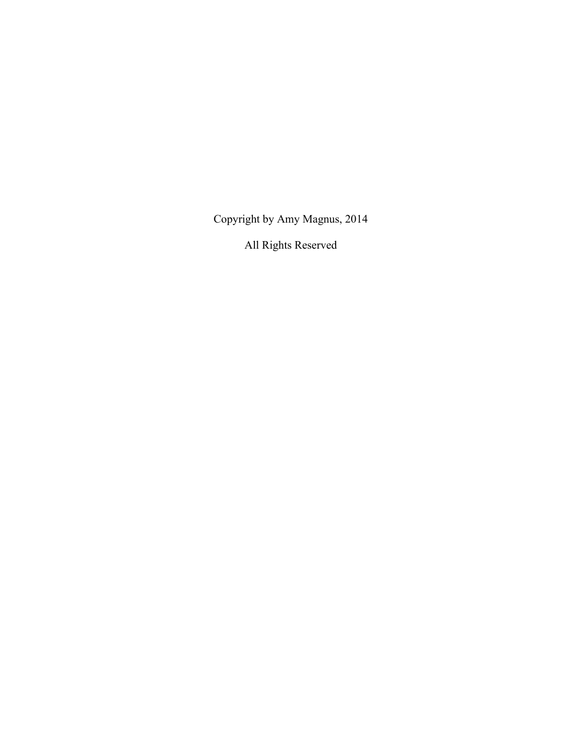Copyright by Amy Magnus, 2014

All Rights Reserved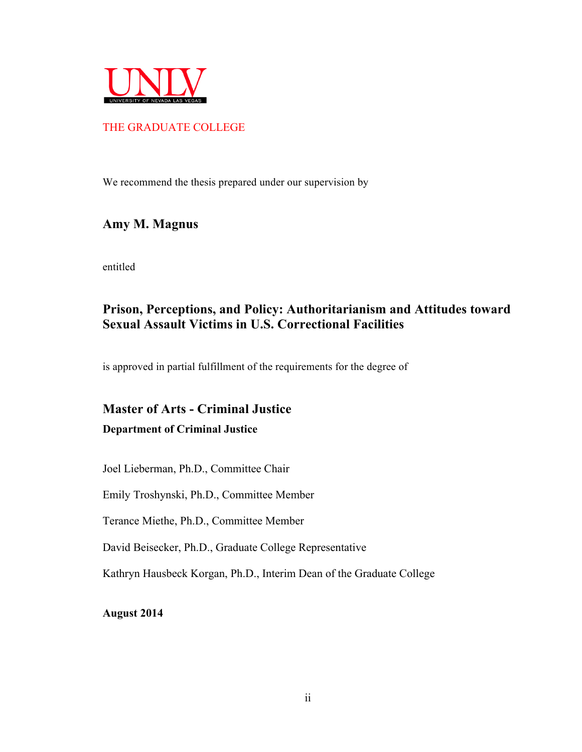

## THE GRADUATE COLLEGE

We recommend the thesis prepared under our supervision by

# **Amy M. Magnus**

entitled

# **Prison, Perceptions, and Policy: Authoritarianism and Attitudes toward Sexual Assault Victims in U.S. Correctional Facilities**

is approved in partial fulfillment of the requirements for the degree of

# **Master of Arts - Criminal Justice**

#### **Department of Criminal Justice**

Joel Lieberman, Ph.D., Committee Chair

Emily Troshynski, Ph.D., Committee Member

Terance Miethe, Ph.D., Committee Member

David Beisecker, Ph.D., Graduate College Representative

Kathryn Hausbeck Korgan, Ph.D., Interim Dean of the Graduate College

**August 2014**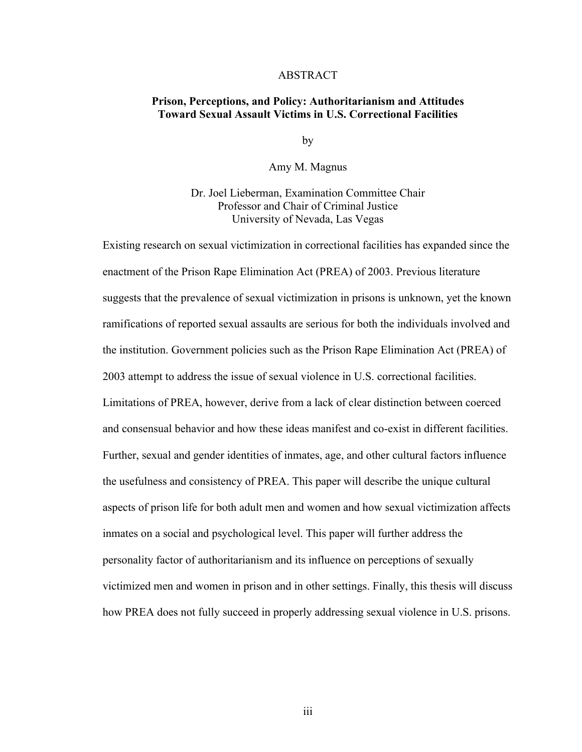#### ABSTRACT

#### **Prison, Perceptions, and Policy: Authoritarianism and Attitudes Toward Sexual Assault Victims in U.S. Correctional Facilities**

by

#### Amy M. Magnus

Dr. Joel Lieberman, Examination Committee Chair Professor and Chair of Criminal Justice University of Nevada, Las Vegas

Existing research on sexual victimization in correctional facilities has expanded since the enactment of the Prison Rape Elimination Act (PREA) of 2003. Previous literature suggests that the prevalence of sexual victimization in prisons is unknown, yet the known ramifications of reported sexual assaults are serious for both the individuals involved and the institution. Government policies such as the Prison Rape Elimination Act (PREA) of 2003 attempt to address the issue of sexual violence in U.S. correctional facilities. Limitations of PREA, however, derive from a lack of clear distinction between coerced and consensual behavior and how these ideas manifest and co-exist in different facilities. Further, sexual and gender identities of inmates, age, and other cultural factors influence the usefulness and consistency of PREA. This paper will describe the unique cultural aspects of prison life for both adult men and women and how sexual victimization affects inmates on a social and psychological level. This paper will further address the personality factor of authoritarianism and its influence on perceptions of sexually victimized men and women in prison and in other settings. Finally, this thesis will discuss how PREA does not fully succeed in properly addressing sexual violence in U.S. prisons.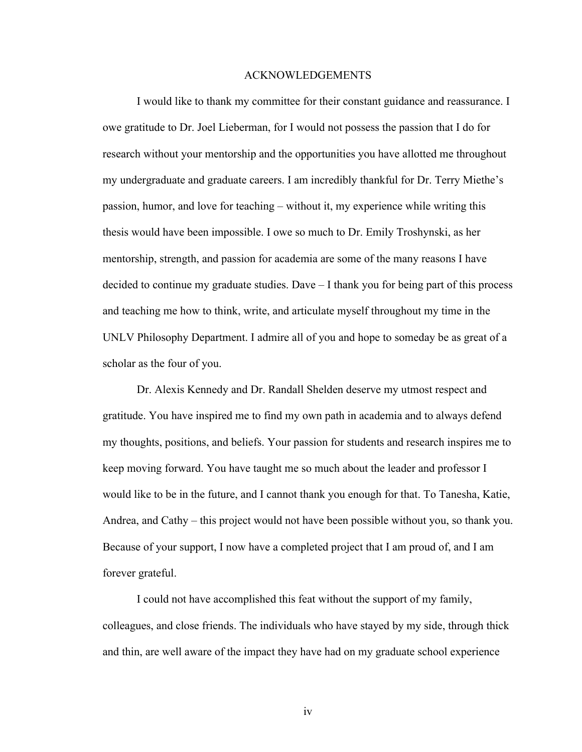#### ACKNOWLEDGEMENTS

I would like to thank my committee for their constant guidance and reassurance. I owe gratitude to Dr. Joel Lieberman, for I would not possess the passion that I do for research without your mentorship and the opportunities you have allotted me throughout my undergraduate and graduate careers. I am incredibly thankful for Dr. Terry Miethe's passion, humor, and love for teaching – without it, my experience while writing this thesis would have been impossible. I owe so much to Dr. Emily Troshynski, as her mentorship, strength, and passion for academia are some of the many reasons I have decided to continue my graduate studies. Dave – I thank you for being part of this process and teaching me how to think, write, and articulate myself throughout my time in the UNLV Philosophy Department. I admire all of you and hope to someday be as great of a scholar as the four of you.

Dr. Alexis Kennedy and Dr. Randall Shelden deserve my utmost respect and gratitude. You have inspired me to find my own path in academia and to always defend my thoughts, positions, and beliefs. Your passion for students and research inspires me to keep moving forward. You have taught me so much about the leader and professor I would like to be in the future, and I cannot thank you enough for that. To Tanesha, Katie, Andrea, and Cathy – this project would not have been possible without you, so thank you. Because of your support, I now have a completed project that I am proud of, and I am forever grateful.

I could not have accomplished this feat without the support of my family, colleagues, and close friends. The individuals who have stayed by my side, through thick and thin, are well aware of the impact they have had on my graduate school experience

iv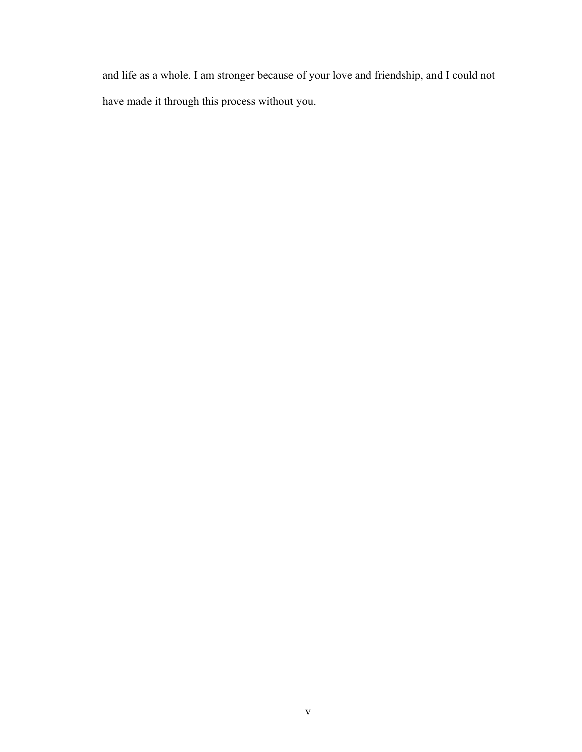and life as a whole. I am stronger because of your love and friendship, and I could not have made it through this process without you.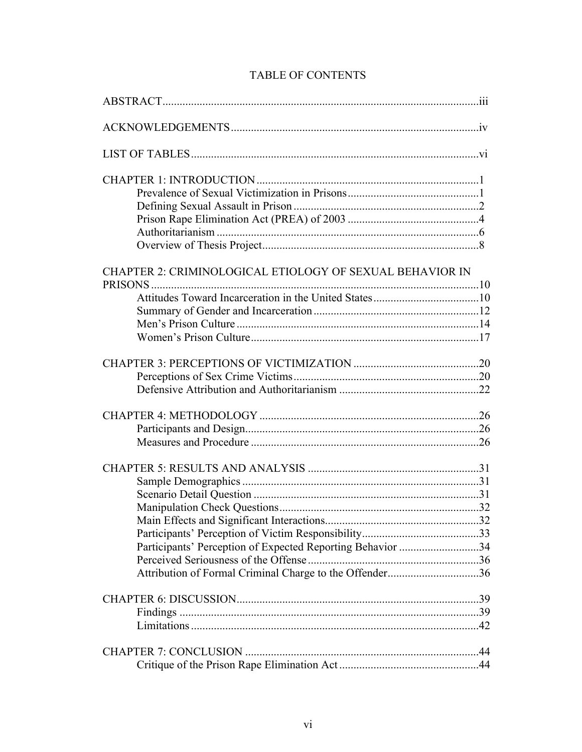|  | <b>TABLE OF CONTENTS</b> |
|--|--------------------------|
|--|--------------------------|

| CHAPTER 2: CRIMINOLOGICAL ETIOLOGY OF SEXUAL BEHAVIOR IN   |  |
|------------------------------------------------------------|--|
|                                                            |  |
|                                                            |  |
|                                                            |  |
|                                                            |  |
|                                                            |  |
|                                                            |  |
|                                                            |  |
|                                                            |  |
|                                                            |  |
|                                                            |  |
|                                                            |  |
|                                                            |  |
|                                                            |  |
|                                                            |  |
|                                                            |  |
|                                                            |  |
|                                                            |  |
| Participants' Perception of Expected Reporting Behavior 34 |  |
|                                                            |  |
| Attribution of Formal Criminal Charge to the Offender36    |  |
|                                                            |  |
|                                                            |  |
|                                                            |  |
|                                                            |  |
|                                                            |  |
|                                                            |  |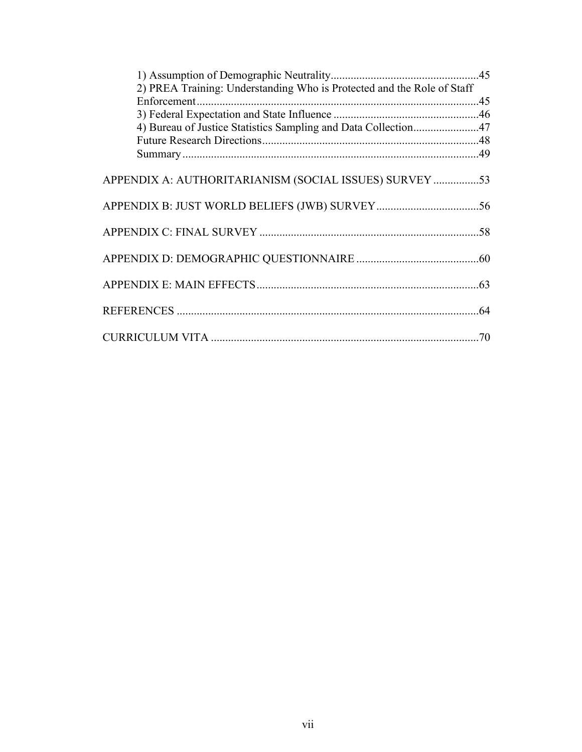| 2) PREA Training: Understanding Who is Protected and the Role of Staff |     |
|------------------------------------------------------------------------|-----|
|                                                                        |     |
|                                                                        |     |
| 4) Bureau of Justice Statistics Sampling and Data Collection47         |     |
|                                                                        |     |
|                                                                        |     |
| APPENDIX A: AUTHORITARIANISM (SOCIAL ISSUES) SURVEY 53                 |     |
|                                                                        |     |
|                                                                        |     |
|                                                                        |     |
|                                                                        |     |
|                                                                        | .64 |
|                                                                        | .70 |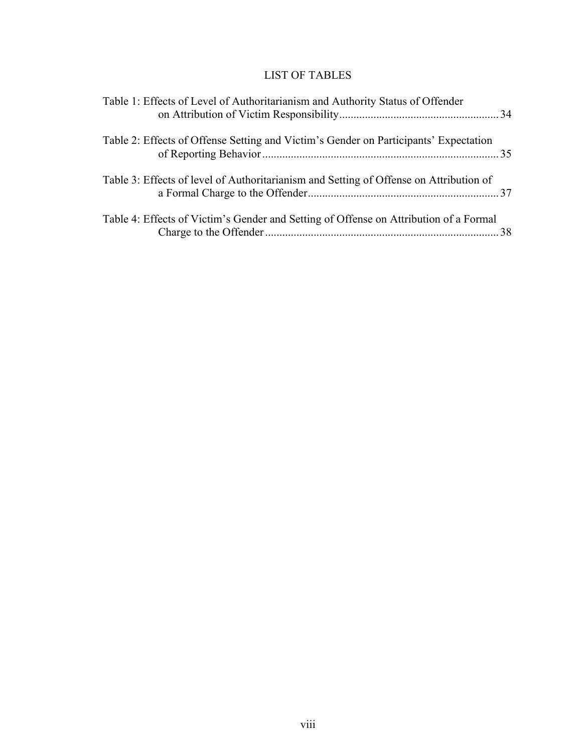# LIST OF TABLES

| Table 1: Effects of Level of Authoritarianism and Authority Status of Offender         |  |
|----------------------------------------------------------------------------------------|--|
| Table 2: Effects of Offense Setting and Victim's Gender on Participants' Expectation   |  |
| Table 3: Effects of level of Authoritarianism and Setting of Offense on Attribution of |  |
| Table 4: Effects of Victim's Gender and Setting of Offense on Attribution of a Formal  |  |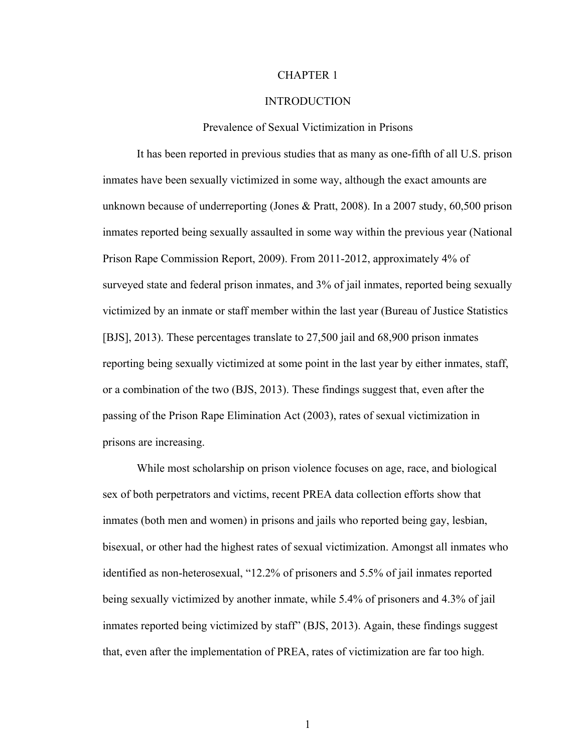#### CHAPTER 1

#### INTRODUCTION

#### Prevalence of Sexual Victimization in Prisons

It has been reported in previous studies that as many as one-fifth of all U.S. prison inmates have been sexually victimized in some way, although the exact amounts are unknown because of underreporting (Jones & Pratt, 2008). In a 2007 study, 60,500 prison inmates reported being sexually assaulted in some way within the previous year (National Prison Rape Commission Report, 2009). From 2011-2012, approximately 4% of surveyed state and federal prison inmates, and 3% of jail inmates, reported being sexually victimized by an inmate or staff member within the last year (Bureau of Justice Statistics [BJS], 2013). These percentages translate to 27,500 jail and 68,900 prison inmates reporting being sexually victimized at some point in the last year by either inmates, staff, or a combination of the two (BJS, 2013). These findings suggest that, even after the passing of the Prison Rape Elimination Act (2003), rates of sexual victimization in prisons are increasing.

While most scholarship on prison violence focuses on age, race, and biological sex of both perpetrators and victims, recent PREA data collection efforts show that inmates (both men and women) in prisons and jails who reported being gay, lesbian, bisexual, or other had the highest rates of sexual victimization. Amongst all inmates who identified as non-heterosexual, "12.2% of prisoners and 5.5% of jail inmates reported being sexually victimized by another inmate, while 5.4% of prisoners and 4.3% of jail inmates reported being victimized by staff" (BJS, 2013). Again, these findings suggest that, even after the implementation of PREA, rates of victimization are far too high.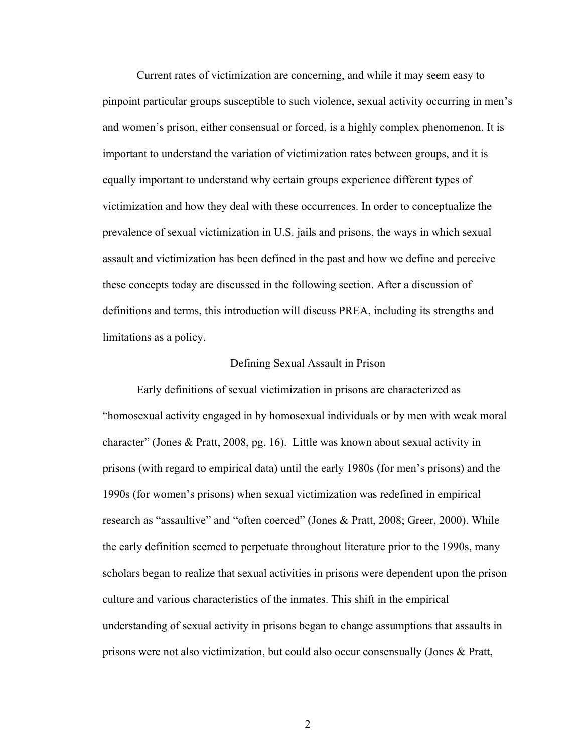Current rates of victimization are concerning, and while it may seem easy to pinpoint particular groups susceptible to such violence, sexual activity occurring in men's and women's prison, either consensual or forced, is a highly complex phenomenon. It is important to understand the variation of victimization rates between groups, and it is equally important to understand why certain groups experience different types of victimization and how they deal with these occurrences. In order to conceptualize the prevalence of sexual victimization in U.S. jails and prisons, the ways in which sexual assault and victimization has been defined in the past and how we define and perceive these concepts today are discussed in the following section. After a discussion of definitions and terms, this introduction will discuss PREA, including its strengths and limitations as a policy.

#### Defining Sexual Assault in Prison

Early definitions of sexual victimization in prisons are characterized as "homosexual activity engaged in by homosexual individuals or by men with weak moral character" (Jones & Pratt, 2008, pg. 16). Little was known about sexual activity in prisons (with regard to empirical data) until the early 1980s (for men's prisons) and the 1990s (for women's prisons) when sexual victimization was redefined in empirical research as "assaultive" and "often coerced" (Jones & Pratt, 2008; Greer, 2000). While the early definition seemed to perpetuate throughout literature prior to the 1990s, many scholars began to realize that sexual activities in prisons were dependent upon the prison culture and various characteristics of the inmates. This shift in the empirical understanding of sexual activity in prisons began to change assumptions that assaults in prisons were not also victimization, but could also occur consensually (Jones & Pratt,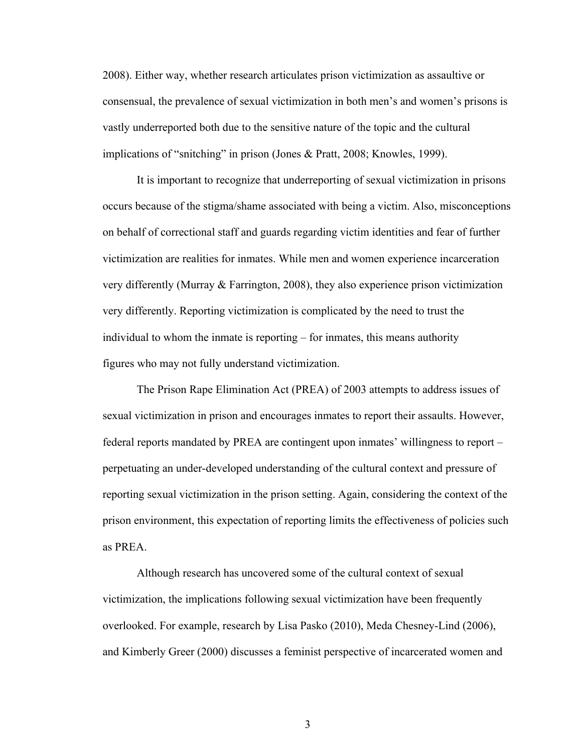2008). Either way, whether research articulates prison victimization as assaultive or consensual, the prevalence of sexual victimization in both men's and women's prisons is vastly underreported both due to the sensitive nature of the topic and the cultural implications of "snitching" in prison (Jones & Pratt, 2008; Knowles, 1999).

It is important to recognize that underreporting of sexual victimization in prisons occurs because of the stigma/shame associated with being a victim. Also, misconceptions on behalf of correctional staff and guards regarding victim identities and fear of further victimization are realities for inmates. While men and women experience incarceration very differently (Murray & Farrington, 2008), they also experience prison victimization very differently. Reporting victimization is complicated by the need to trust the individual to whom the inmate is reporting – for inmates, this means authority figures who may not fully understand victimization.

The Prison Rape Elimination Act (PREA) of 2003 attempts to address issues of sexual victimization in prison and encourages inmates to report their assaults. However, federal reports mandated by PREA are contingent upon inmates' willingness to report – perpetuating an under-developed understanding of the cultural context and pressure of reporting sexual victimization in the prison setting. Again, considering the context of the prison environment, this expectation of reporting limits the effectiveness of policies such as PREA.

Although research has uncovered some of the cultural context of sexual victimization, the implications following sexual victimization have been frequently overlooked. For example, research by Lisa Pasko (2010), Meda Chesney-Lind (2006), and Kimberly Greer (2000) discusses a feminist perspective of incarcerated women and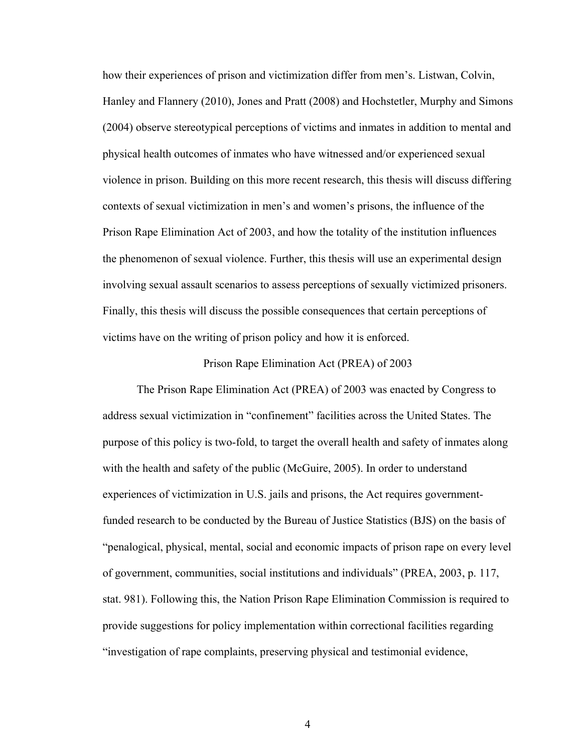how their experiences of prison and victimization differ from men's. Listwan, Colvin, Hanley and Flannery (2010), Jones and Pratt (2008) and Hochstetler, Murphy and Simons (2004) observe stereotypical perceptions of victims and inmates in addition to mental and physical health outcomes of inmates who have witnessed and/or experienced sexual violence in prison. Building on this more recent research, this thesis will discuss differing contexts of sexual victimization in men's and women's prisons, the influence of the Prison Rape Elimination Act of 2003, and how the totality of the institution influences the phenomenon of sexual violence. Further, this thesis will use an experimental design involving sexual assault scenarios to assess perceptions of sexually victimized prisoners. Finally, this thesis will discuss the possible consequences that certain perceptions of victims have on the writing of prison policy and how it is enforced.

#### Prison Rape Elimination Act (PREA) of 2003

The Prison Rape Elimination Act (PREA) of 2003 was enacted by Congress to address sexual victimization in "confinement" facilities across the United States. The purpose of this policy is two-fold, to target the overall health and safety of inmates along with the health and safety of the public (McGuire, 2005). In order to understand experiences of victimization in U.S. jails and prisons, the Act requires governmentfunded research to be conducted by the Bureau of Justice Statistics (BJS) on the basis of "penalogical, physical, mental, social and economic impacts of prison rape on every level of government, communities, social institutions and individuals" (PREA, 2003, p. 117, stat. 981). Following this, the Nation Prison Rape Elimination Commission is required to provide suggestions for policy implementation within correctional facilities regarding "investigation of rape complaints, preserving physical and testimonial evidence,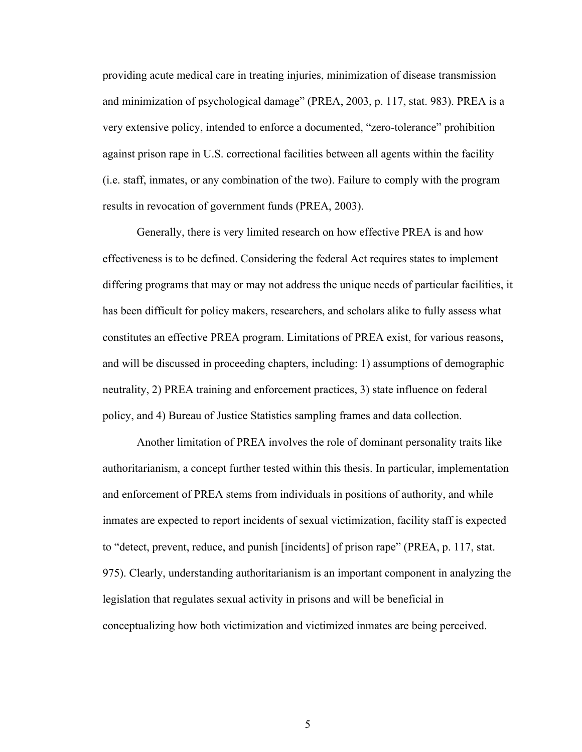providing acute medical care in treating injuries, minimization of disease transmission and minimization of psychological damage" (PREA, 2003, p. 117, stat. 983). PREA is a very extensive policy, intended to enforce a documented, "zero-tolerance" prohibition against prison rape in U.S. correctional facilities between all agents within the facility (i.e. staff, inmates, or any combination of the two). Failure to comply with the program results in revocation of government funds (PREA, 2003).

Generally, there is very limited research on how effective PREA is and how effectiveness is to be defined. Considering the federal Act requires states to implement differing programs that may or may not address the unique needs of particular facilities, it has been difficult for policy makers, researchers, and scholars alike to fully assess what constitutes an effective PREA program. Limitations of PREA exist, for various reasons, and will be discussed in proceeding chapters, including: 1) assumptions of demographic neutrality, 2) PREA training and enforcement practices, 3) state influence on federal policy, and 4) Bureau of Justice Statistics sampling frames and data collection.

Another limitation of PREA involves the role of dominant personality traits like authoritarianism, a concept further tested within this thesis. In particular, implementation and enforcement of PREA stems from individuals in positions of authority, and while inmates are expected to report incidents of sexual victimization, facility staff is expected to "detect, prevent, reduce, and punish [incidents] of prison rape" (PREA, p. 117, stat. 975). Clearly, understanding authoritarianism is an important component in analyzing the legislation that regulates sexual activity in prisons and will be beneficial in conceptualizing how both victimization and victimized inmates are being perceived.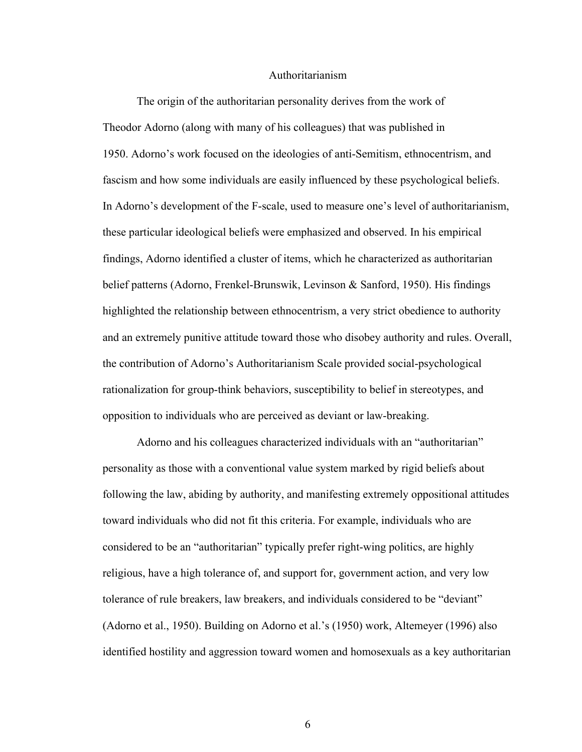#### Authoritarianism

The origin of the authoritarian personality derives from the work of Theodor Adorno (along with many of his colleagues) that was published in 1950. Adorno's work focused on the ideologies of anti-Semitism, ethnocentrism, and fascism and how some individuals are easily influenced by these psychological beliefs. In Adorno's development of the F-scale, used to measure one's level of authoritarianism, these particular ideological beliefs were emphasized and observed. In his empirical findings, Adorno identified a cluster of items, which he characterized as authoritarian belief patterns (Adorno, Frenkel-Brunswik, Levinson & Sanford, 1950). His findings highlighted the relationship between ethnocentrism, a very strict obedience to authority and an extremely punitive attitude toward those who disobey authority and rules. Overall, the contribution of Adorno's Authoritarianism Scale provided social-psychological rationalization for group-think behaviors, susceptibility to belief in stereotypes, and opposition to individuals who are perceived as deviant or law-breaking.

Adorno and his colleagues characterized individuals with an "authoritarian" personality as those with a conventional value system marked by rigid beliefs about following the law, abiding by authority, and manifesting extremely oppositional attitudes toward individuals who did not fit this criteria. For example, individuals who are considered to be an "authoritarian" typically prefer right-wing politics, are highly religious, have a high tolerance of, and support for, government action, and very low tolerance of rule breakers, law breakers, and individuals considered to be "deviant" (Adorno et al., 1950). Building on Adorno et al.'s (1950) work, Altemeyer (1996) also identified hostility and aggression toward women and homosexuals as a key authoritarian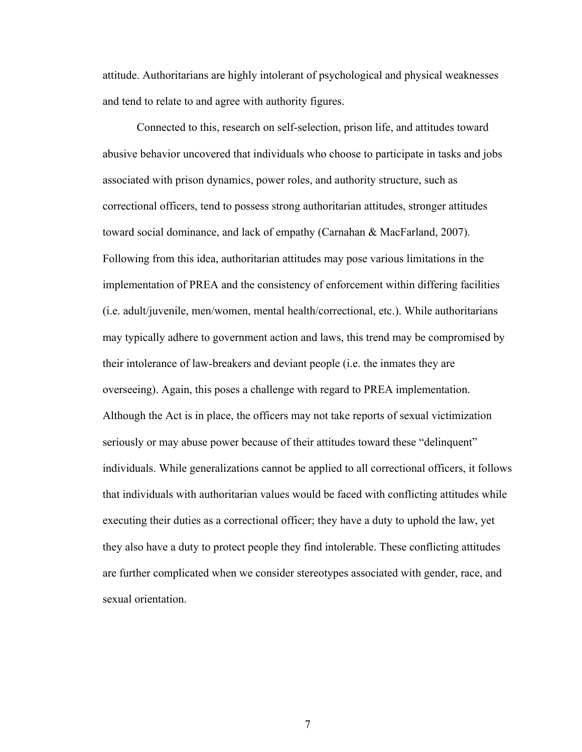attitude. Authoritarians are highly intolerant of psychological and physical weaknesses and tend to relate to and agree with authority figures.

Connected to this, research on self-selection, prison life, and attitudes toward abusive behavior uncovered that individuals who choose to participate in tasks and jobs associated with prison dynamics, power roles, and authority structure, such as correctional officers, tend to possess strong authoritarian attitudes, stronger attitudes toward social dominance, and lack of empathy (Carnahan & MacFarland, 2007). Following from this idea, authoritarian attitudes may pose various limitations in the implementation of PREA and the consistency of enforcement within differing facilities (i.e. adult/juvenile, men/women, mental health/correctional, etc.). While authoritarians may typically adhere to government action and laws, this trend may be compromised by their intolerance of law-breakers and deviant people (i.e. the inmates they are overseeing). Again, this poses a challenge with regard to PREA implementation. Although the Act is in place, the officers may not take reports of sexual victimization seriously or may abuse power because of their attitudes toward these "delinquent" individuals. While generalizations cannot be applied to all correctional officers, it follows that individuals with authoritarian values would be faced with conflicting attitudes while executing their duties as a correctional officer; they have a duty to uphold the law, yet they also have a duty to protect people they find intolerable. These conflicting attitudes are further complicated when we consider stereotypes associated with gender, race, and sexual orientation.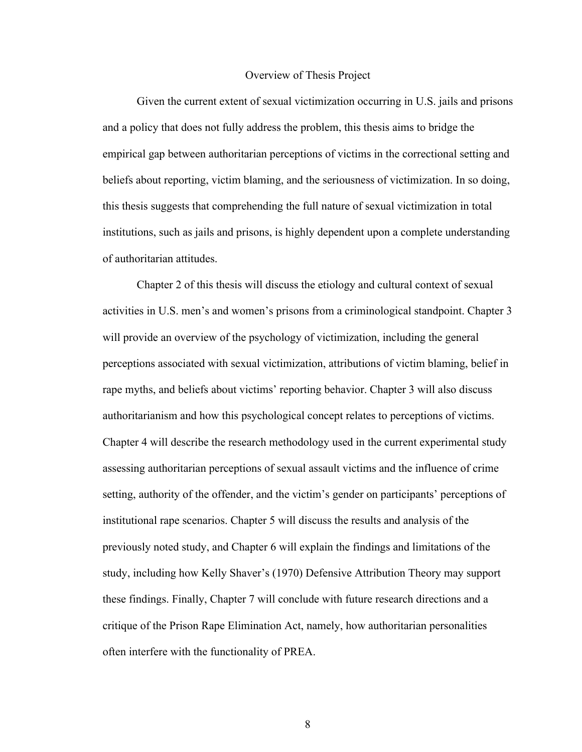#### Overview of Thesis Project

Given the current extent of sexual victimization occurring in U.S. jails and prisons and a policy that does not fully address the problem, this thesis aims to bridge the empirical gap between authoritarian perceptions of victims in the correctional setting and beliefs about reporting, victim blaming, and the seriousness of victimization. In so doing, this thesis suggests that comprehending the full nature of sexual victimization in total institutions, such as jails and prisons, is highly dependent upon a complete understanding of authoritarian attitudes.

Chapter 2 of this thesis will discuss the etiology and cultural context of sexual activities in U.S. men's and women's prisons from a criminological standpoint. Chapter 3 will provide an overview of the psychology of victimization, including the general perceptions associated with sexual victimization, attributions of victim blaming, belief in rape myths, and beliefs about victims' reporting behavior. Chapter 3 will also discuss authoritarianism and how this psychological concept relates to perceptions of victims. Chapter 4 will describe the research methodology used in the current experimental study assessing authoritarian perceptions of sexual assault victims and the influence of crime setting, authority of the offender, and the victim's gender on participants' perceptions of institutional rape scenarios. Chapter 5 will discuss the results and analysis of the previously noted study, and Chapter 6 will explain the findings and limitations of the study, including how Kelly Shaver's (1970) Defensive Attribution Theory may support these findings. Finally, Chapter 7 will conclude with future research directions and a critique of the Prison Rape Elimination Act, namely, how authoritarian personalities often interfere with the functionality of PREA.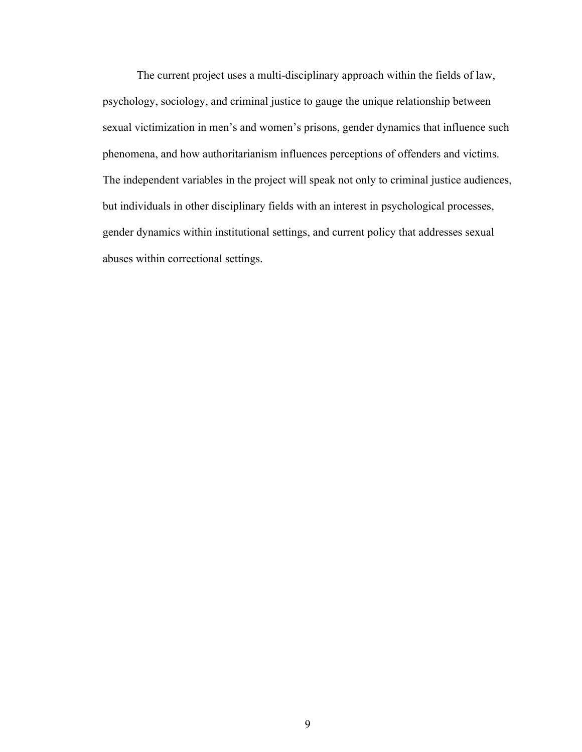The current project uses a multi-disciplinary approach within the fields of law, psychology, sociology, and criminal justice to gauge the unique relationship between sexual victimization in men's and women's prisons, gender dynamics that influence such phenomena, and how authoritarianism influences perceptions of offenders and victims. The independent variables in the project will speak not only to criminal justice audiences, but individuals in other disciplinary fields with an interest in psychological processes, gender dynamics within institutional settings, and current policy that addresses sexual abuses within correctional settings.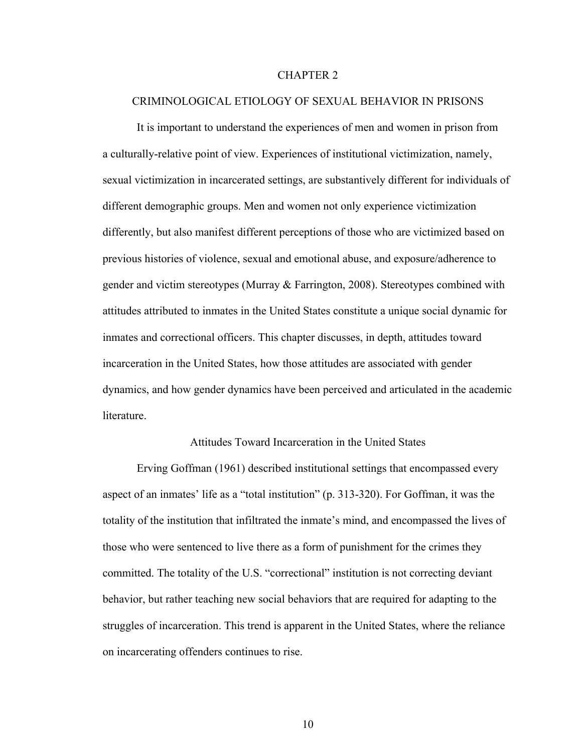#### CHAPTER 2

#### CRIMINOLOGICAL ETIOLOGY OF SEXUAL BEHAVIOR IN PRISONS

It is important to understand the experiences of men and women in prison from a culturally-relative point of view. Experiences of institutional victimization, namely, sexual victimization in incarcerated settings, are substantively different for individuals of different demographic groups. Men and women not only experience victimization differently, but also manifest different perceptions of those who are victimized based on previous histories of violence, sexual and emotional abuse, and exposure/adherence to gender and victim stereotypes (Murray  $& Farrington, 2008$ ). Stereotypes combined with attitudes attributed to inmates in the United States constitute a unique social dynamic for inmates and correctional officers. This chapter discusses, in depth, attitudes toward incarceration in the United States, how those attitudes are associated with gender dynamics, and how gender dynamics have been perceived and articulated in the academic **literature** 

#### Attitudes Toward Incarceration in the United States

Erving Goffman (1961) described institutional settings that encompassed every aspect of an inmates' life as a "total institution" (p. 313-320). For Goffman, it was the totality of the institution that infiltrated the inmate's mind, and encompassed the lives of those who were sentenced to live there as a form of punishment for the crimes they committed. The totality of the U.S. "correctional" institution is not correcting deviant behavior, but rather teaching new social behaviors that are required for adapting to the struggles of incarceration. This trend is apparent in the United States, where the reliance on incarcerating offenders continues to rise.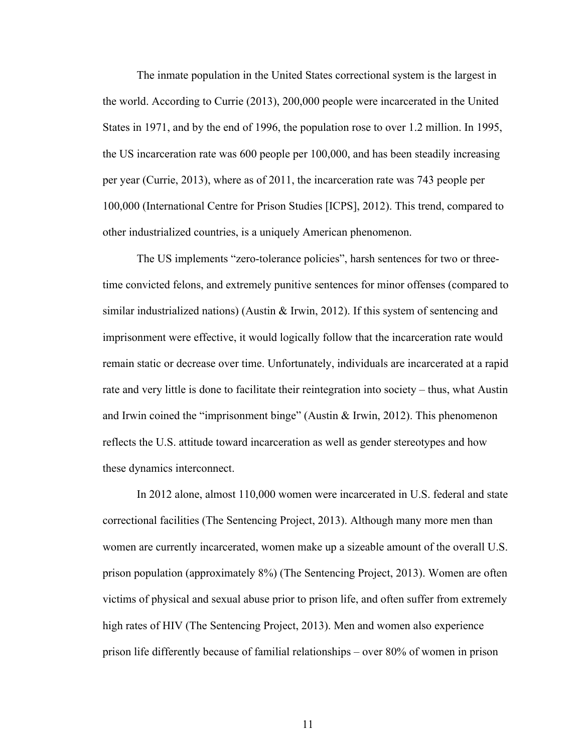The inmate population in the United States correctional system is the largest in the world. According to Currie (2013), 200,000 people were incarcerated in the United States in 1971, and by the end of 1996, the population rose to over 1.2 million. In 1995, the US incarceration rate was 600 people per 100,000, and has been steadily increasing per year (Currie, 2013), where as of 2011, the incarceration rate was 743 people per 100,000 (International Centre for Prison Studies [ICPS], 2012). This trend, compared to other industrialized countries, is a uniquely American phenomenon.

The US implements "zero-tolerance policies", harsh sentences for two or threetime convicted felons, and extremely punitive sentences for minor offenses (compared to similar industrialized nations) (Austin  $\&$  Irwin, 2012). If this system of sentencing and imprisonment were effective, it would logically follow that the incarceration rate would remain static or decrease over time. Unfortunately, individuals are incarcerated at a rapid rate and very little is done to facilitate their reintegration into society – thus, what Austin and Irwin coined the "imprisonment binge" (Austin & Irwin, 2012). This phenomenon reflects the U.S. attitude toward incarceration as well as gender stereotypes and how these dynamics interconnect.

In 2012 alone, almost 110,000 women were incarcerated in U.S. federal and state correctional facilities (The Sentencing Project, 2013). Although many more men than women are currently incarcerated, women make up a sizeable amount of the overall U.S. prison population (approximately 8%) (The Sentencing Project, 2013). Women are often victims of physical and sexual abuse prior to prison life, and often suffer from extremely high rates of HIV (The Sentencing Project, 2013). Men and women also experience prison life differently because of familial relationships – over 80% of women in prison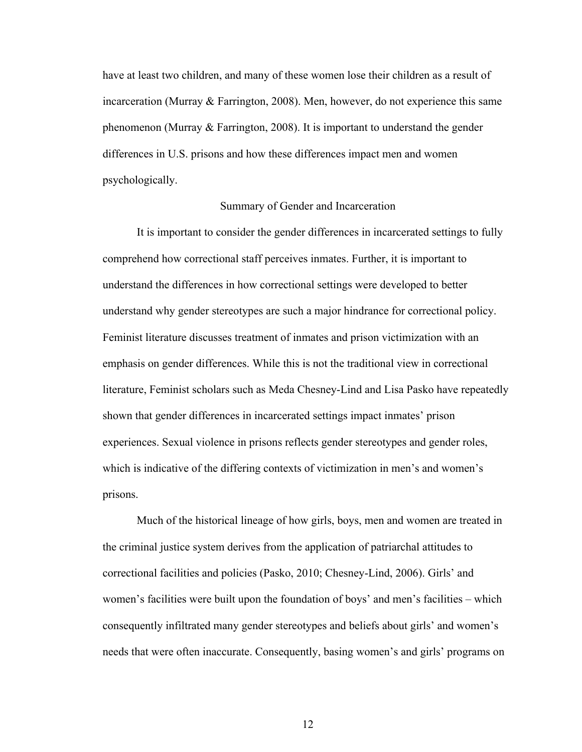have at least two children, and many of these women lose their children as a result of incarceration (Murray & Farrington, 2008). Men, however, do not experience this same phenomenon (Murray  $&$  Farrington, 2008). It is important to understand the gender differences in U.S. prisons and how these differences impact men and women psychologically.

#### Summary of Gender and Incarceration

It is important to consider the gender differences in incarcerated settings to fully comprehend how correctional staff perceives inmates. Further, it is important to understand the differences in how correctional settings were developed to better understand why gender stereotypes are such a major hindrance for correctional policy. Feminist literature discusses treatment of inmates and prison victimization with an emphasis on gender differences. While this is not the traditional view in correctional literature, Feminist scholars such as Meda Chesney-Lind and Lisa Pasko have repeatedly shown that gender differences in incarcerated settings impact inmates' prison experiences. Sexual violence in prisons reflects gender stereotypes and gender roles, which is indicative of the differing contexts of victimization in men's and women's prisons.

Much of the historical lineage of how girls, boys, men and women are treated in the criminal justice system derives from the application of patriarchal attitudes to correctional facilities and policies (Pasko, 2010; Chesney-Lind, 2006). Girls' and women's facilities were built upon the foundation of boys' and men's facilities – which consequently infiltrated many gender stereotypes and beliefs about girls' and women's needs that were often inaccurate. Consequently, basing women's and girls' programs on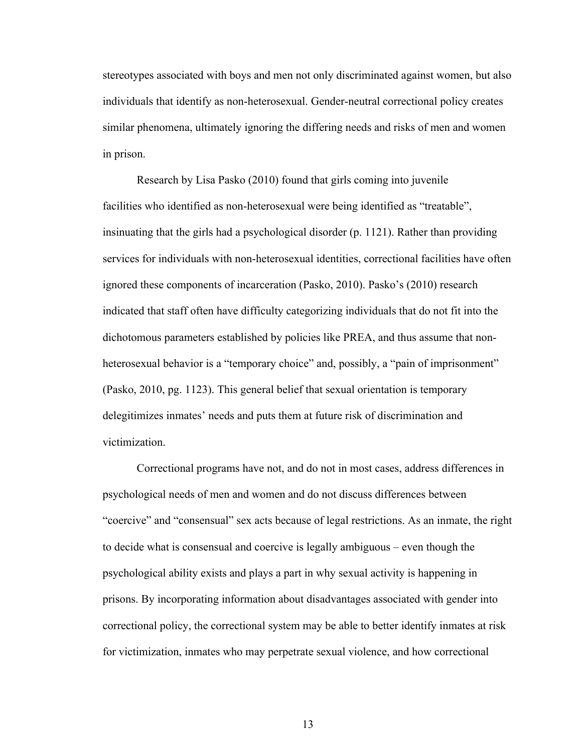stereotypes associated with boys and men not only discriminated against women, but also individuals that identify as non-heterosexual. Gender-neutral correctional policy creates similar phenomena, ultimately ignoring the differing needs and risks of men and women in prison.

Research by Lisa Pasko (2010) found that girls coming into juvenile facilities who identified as non-heterosexual were being identified as "treatable", insinuating that the girls had a psychological disorder (p. 1121). Rather than providing services for individuals with non-heterosexual identities, correctional facilities have often ignored these components of incarceration (Pasko, 2010). Pasko's (2010) research indicated that staff often have difficulty categorizing individuals that do not fit into the dichotomous parameters established by policies like PREA, and thus assume that nonheterosexual behavior is a "temporary choice" and, possibly, a "pain of imprisonment" (Pasko, 2010, pg. 1123). This general belief that sexual orientation is temporary delegitimizes inmates' needs and puts them at future risk of discrimination and victimization.

Correctional programs have not, and do not in most cases, address differences in psychological needs of men and women and do not discuss differences between "coercive" and "consensual" sex acts because of legal restrictions. As an inmate, the right to decide what is consensual and coercive is legally ambiguous – even though the psychological ability exists and plays a part in why sexual activity is happening in prisons. By incorporating information about disadvantages associated with gender into correctional policy, the correctional system may be able to better identify inmates at risk for victimization, inmates who may perpetrate sexual violence, and how correctional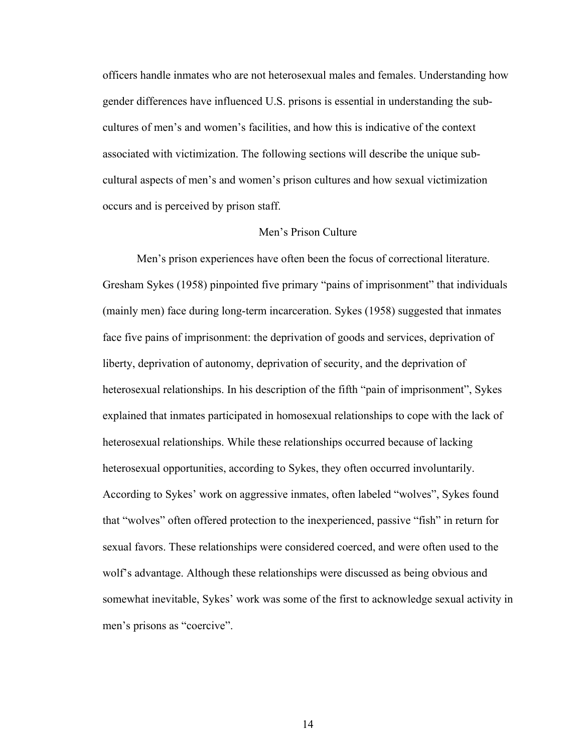officers handle inmates who are not heterosexual males and females. Understanding how gender differences have influenced U.S. prisons is essential in understanding the subcultures of men's and women's facilities, and how this is indicative of the context associated with victimization. The following sections will describe the unique subcultural aspects of men's and women's prison cultures and how sexual victimization occurs and is perceived by prison staff.

#### Men's Prison Culture

Men's prison experiences have often been the focus of correctional literature. Gresham Sykes (1958) pinpointed five primary "pains of imprisonment" that individuals (mainly men) face during long-term incarceration. Sykes (1958) suggested that inmates face five pains of imprisonment: the deprivation of goods and services, deprivation of liberty, deprivation of autonomy, deprivation of security, and the deprivation of heterosexual relationships. In his description of the fifth "pain of imprisonment", Sykes explained that inmates participated in homosexual relationships to cope with the lack of heterosexual relationships. While these relationships occurred because of lacking heterosexual opportunities, according to Sykes, they often occurred involuntarily. According to Sykes' work on aggressive inmates, often labeled "wolves", Sykes found that "wolves" often offered protection to the inexperienced, passive "fish" in return for sexual favors. These relationships were considered coerced, and were often used to the wolf's advantage. Although these relationships were discussed as being obvious and somewhat inevitable, Sykes' work was some of the first to acknowledge sexual activity in men's prisons as "coercive".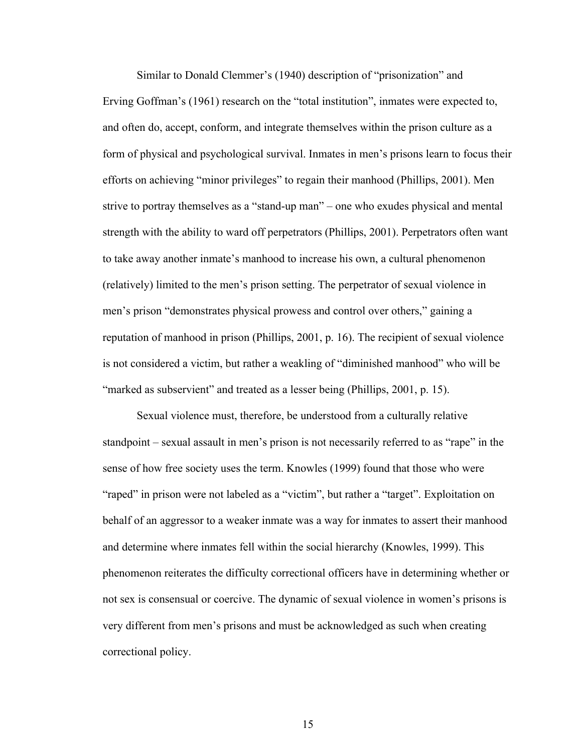Similar to Donald Clemmer's (1940) description of "prisonization" and Erving Goffman's (1961) research on the "total institution", inmates were expected to, and often do, accept, conform, and integrate themselves within the prison culture as a form of physical and psychological survival. Inmates in men's prisons learn to focus their efforts on achieving "minor privileges" to regain their manhood (Phillips, 2001). Men strive to portray themselves as a "stand-up man" – one who exudes physical and mental strength with the ability to ward off perpetrators (Phillips, 2001). Perpetrators often want to take away another inmate's manhood to increase his own, a cultural phenomenon (relatively) limited to the men's prison setting. The perpetrator of sexual violence in men's prison "demonstrates physical prowess and control over others," gaining a reputation of manhood in prison (Phillips, 2001, p. 16). The recipient of sexual violence is not considered a victim, but rather a weakling of "diminished manhood" who will be "marked as subservient" and treated as a lesser being (Phillips, 2001, p. 15).

Sexual violence must, therefore, be understood from a culturally relative standpoint – sexual assault in men's prison is not necessarily referred to as "rape" in the sense of how free society uses the term. Knowles (1999) found that those who were "raped" in prison were not labeled as a "victim", but rather a "target". Exploitation on behalf of an aggressor to a weaker inmate was a way for inmates to assert their manhood and determine where inmates fell within the social hierarchy (Knowles, 1999). This phenomenon reiterates the difficulty correctional officers have in determining whether or not sex is consensual or coercive. The dynamic of sexual violence in women's prisons is very different from men's prisons and must be acknowledged as such when creating correctional policy.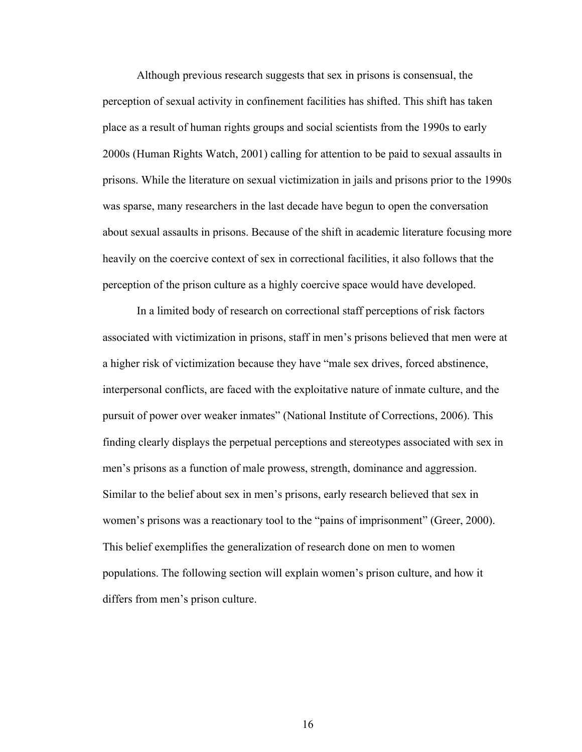Although previous research suggests that sex in prisons is consensual, the perception of sexual activity in confinement facilities has shifted. This shift has taken place as a result of human rights groups and social scientists from the 1990s to early 2000s (Human Rights Watch, 2001) calling for attention to be paid to sexual assaults in prisons. While the literature on sexual victimization in jails and prisons prior to the 1990s was sparse, many researchers in the last decade have begun to open the conversation about sexual assaults in prisons. Because of the shift in academic literature focusing more heavily on the coercive context of sex in correctional facilities, it also follows that the perception of the prison culture as a highly coercive space would have developed.

In a limited body of research on correctional staff perceptions of risk factors associated with victimization in prisons, staff in men's prisons believed that men were at a higher risk of victimization because they have "male sex drives, forced abstinence, interpersonal conflicts, are faced with the exploitative nature of inmate culture, and the pursuit of power over weaker inmates" (National Institute of Corrections, 2006). This finding clearly displays the perpetual perceptions and stereotypes associated with sex in men's prisons as a function of male prowess, strength, dominance and aggression. Similar to the belief about sex in men's prisons, early research believed that sex in women's prisons was a reactionary tool to the "pains of imprisonment" (Greer, 2000). This belief exemplifies the generalization of research done on men to women populations. The following section will explain women's prison culture, and how it differs from men's prison culture.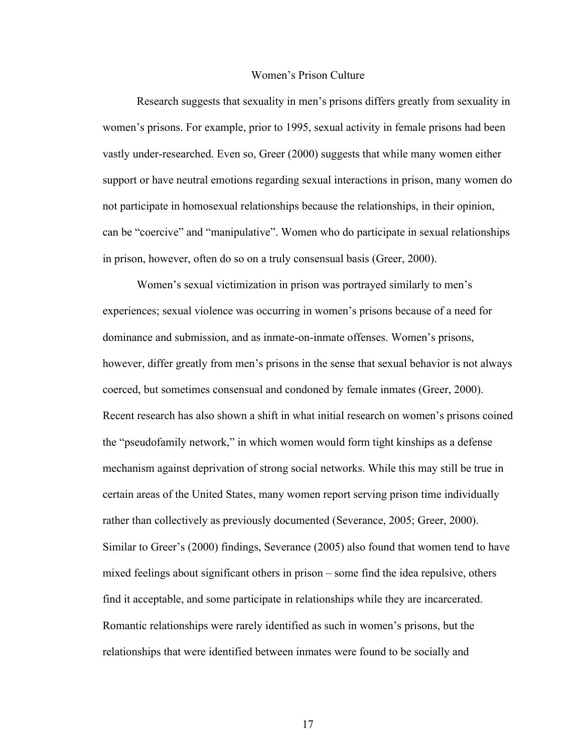#### Women's Prison Culture

Research suggests that sexuality in men's prisons differs greatly from sexuality in women's prisons. For example, prior to 1995, sexual activity in female prisons had been vastly under-researched. Even so, Greer (2000) suggests that while many women either support or have neutral emotions regarding sexual interactions in prison, many women do not participate in homosexual relationships because the relationships, in their opinion, can be "coercive" and "manipulative". Women who do participate in sexual relationships in prison, however, often do so on a truly consensual basis (Greer, 2000).

Women's sexual victimization in prison was portrayed similarly to men's experiences; sexual violence was occurring in women's prisons because of a need for dominance and submission, and as inmate-on-inmate offenses. Women's prisons, however, differ greatly from men's prisons in the sense that sexual behavior is not always coerced, but sometimes consensual and condoned by female inmates (Greer, 2000). Recent research has also shown a shift in what initial research on women's prisons coined the "pseudofamily network," in which women would form tight kinships as a defense mechanism against deprivation of strong social networks. While this may still be true in certain areas of the United States, many women report serving prison time individually rather than collectively as previously documented (Severance, 2005; Greer, 2000). Similar to Greer's (2000) findings, Severance (2005) also found that women tend to have mixed feelings about significant others in prison – some find the idea repulsive, others find it acceptable, and some participate in relationships while they are incarcerated. Romantic relationships were rarely identified as such in women's prisons, but the relationships that were identified between inmates were found to be socially and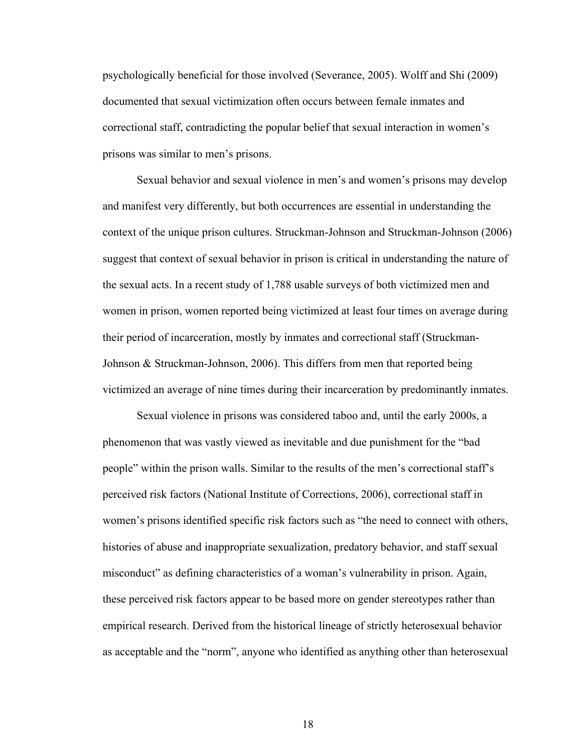psychologically beneficial for those involved (Severance, 2005). Wolff and Shi (2009) documented that sexual victimization often occurs between female inmates and correctional staff, contradicting the popular belief that sexual interaction in women's prisons was similar to men's prisons.

Sexual behavior and sexual violence in men's and women's prisons may develop and manifest very differently, but both occurrences are essential in understanding the context of the unique prison cultures. Struckman-Johnson and Struckman-Johnson (2006) suggest that context of sexual behavior in prison is critical in understanding the nature of the sexual acts. In a recent study of 1,788 usable surveys of both victimized men and women in prison, women reported being victimized at least four times on average during their period of incarceration, mostly by inmates and correctional staff (Struckman-Johnson & Struckman-Johnson, 2006). This differs from men that reported being victimized an average of nine times during their incarceration by predominantly inmates.

Sexual violence in prisons was considered taboo and, until the early 2000s, a phenomenon that was vastly viewed as inevitable and due punishment for the "bad people" within the prison walls. Similar to the results of the men's correctional staff's perceived risk factors (National Institute of Corrections, 2006), correctional staff in women's prisons identified specific risk factors such as "the need to connect with others, histories of abuse and inappropriate sexualization, predatory behavior, and staff sexual misconduct" as defining characteristics of a woman's vulnerability in prison. Again, these perceived risk factors appear to be based more on gender stereotypes rather than empirical research. Derived from the historical lineage of strictly heterosexual behavior as acceptable and the "norm", anyone who identified as anything other than heterosexual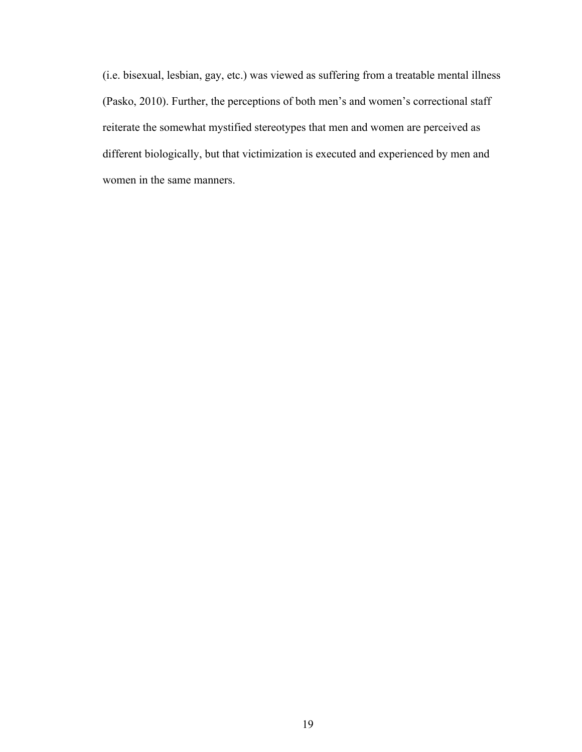(i.e. bisexual, lesbian, gay, etc.) was viewed as suffering from a treatable mental illness (Pasko, 2010). Further, the perceptions of both men's and women's correctional staff reiterate the somewhat mystified stereotypes that men and women are perceived as different biologically, but that victimization is executed and experienced by men and women in the same manners.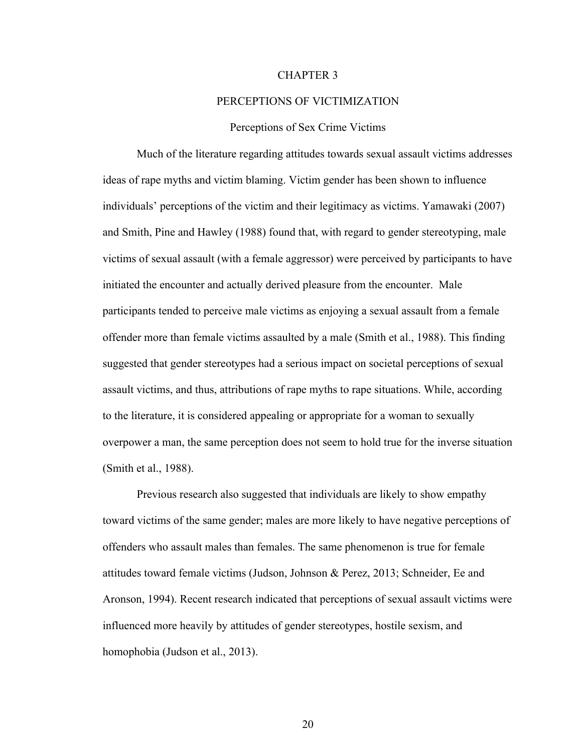#### CHAPTER 3

#### PERCEPTIONS OF VICTIMIZATION

#### Perceptions of Sex Crime Victims

Much of the literature regarding attitudes towards sexual assault victims addresses ideas of rape myths and victim blaming. Victim gender has been shown to influence individuals' perceptions of the victim and their legitimacy as victims. Yamawaki (2007) and Smith, Pine and Hawley (1988) found that, with regard to gender stereotyping, male victims of sexual assault (with a female aggressor) were perceived by participants to have initiated the encounter and actually derived pleasure from the encounter. Male participants tended to perceive male victims as enjoying a sexual assault from a female offender more than female victims assaulted by a male (Smith et al., 1988). This finding suggested that gender stereotypes had a serious impact on societal perceptions of sexual assault victims, and thus, attributions of rape myths to rape situations. While, according to the literature, it is considered appealing or appropriate for a woman to sexually overpower a man, the same perception does not seem to hold true for the inverse situation (Smith et al., 1988).

Previous research also suggested that individuals are likely to show empathy toward victims of the same gender; males are more likely to have negative perceptions of offenders who assault males than females. The same phenomenon is true for female attitudes toward female victims (Judson, Johnson & Perez, 2013; Schneider, Ee and Aronson, 1994). Recent research indicated that perceptions of sexual assault victims were influenced more heavily by attitudes of gender stereotypes, hostile sexism, and homophobia (Judson et al., 2013).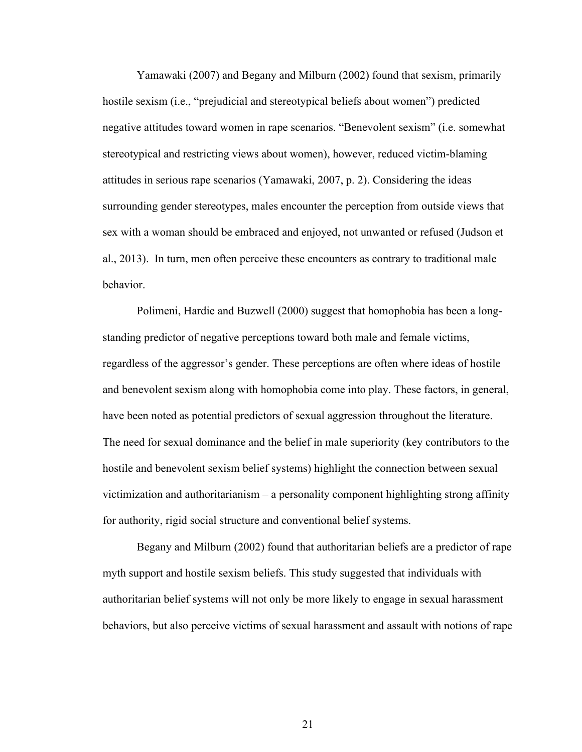Yamawaki (2007) and Begany and Milburn (2002) found that sexism, primarily hostile sexism (i.e., "prejudicial and stereotypical beliefs about women") predicted negative attitudes toward women in rape scenarios. "Benevolent sexism" (i.e. somewhat stereotypical and restricting views about women), however, reduced victim-blaming attitudes in serious rape scenarios (Yamawaki, 2007, p. 2). Considering the ideas surrounding gender stereotypes, males encounter the perception from outside views that sex with a woman should be embraced and enjoyed, not unwanted or refused (Judson et al., 2013). In turn, men often perceive these encounters as contrary to traditional male behavior.

Polimeni, Hardie and Buzwell (2000) suggest that homophobia has been a longstanding predictor of negative perceptions toward both male and female victims, regardless of the aggressor's gender. These perceptions are often where ideas of hostile and benevolent sexism along with homophobia come into play. These factors, in general, have been noted as potential predictors of sexual aggression throughout the literature. The need for sexual dominance and the belief in male superiority (key contributors to the hostile and benevolent sexism belief systems) highlight the connection between sexual victimization and authoritarianism – a personality component highlighting strong affinity for authority, rigid social structure and conventional belief systems.

Begany and Milburn (2002) found that authoritarian beliefs are a predictor of rape myth support and hostile sexism beliefs. This study suggested that individuals with authoritarian belief systems will not only be more likely to engage in sexual harassment behaviors, but also perceive victims of sexual harassment and assault with notions of rape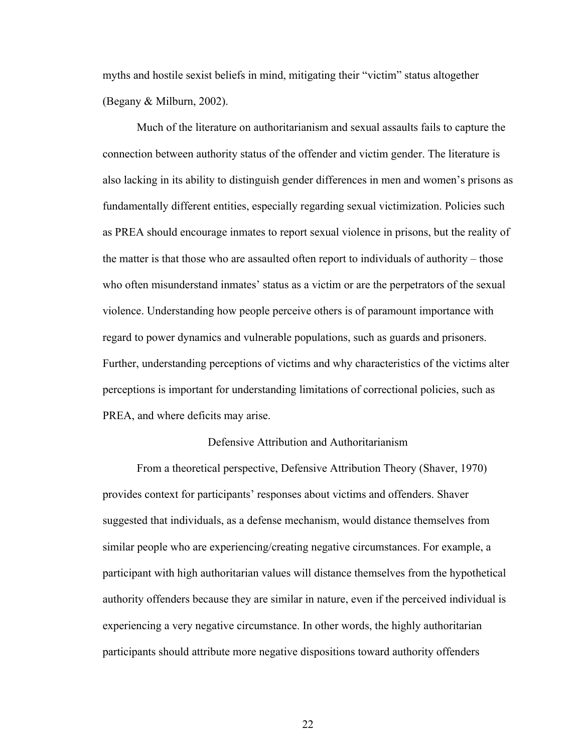myths and hostile sexist beliefs in mind, mitigating their "victim" status altogether (Begany & Milburn, 2002).

Much of the literature on authoritarianism and sexual assaults fails to capture the connection between authority status of the offender and victim gender. The literature is also lacking in its ability to distinguish gender differences in men and women's prisons as fundamentally different entities, especially regarding sexual victimization. Policies such as PREA should encourage inmates to report sexual violence in prisons, but the reality of the matter is that those who are assaulted often report to individuals of authority – those who often misunderstand inmates' status as a victim or are the perpetrators of the sexual violence. Understanding how people perceive others is of paramount importance with regard to power dynamics and vulnerable populations, such as guards and prisoners. Further, understanding perceptions of victims and why characteristics of the victims alter perceptions is important for understanding limitations of correctional policies, such as PREA, and where deficits may arise.

#### Defensive Attribution and Authoritarianism

From a theoretical perspective, Defensive Attribution Theory (Shaver, 1970) provides context for participants' responses about victims and offenders. Shaver suggested that individuals, as a defense mechanism, would distance themselves from similar people who are experiencing/creating negative circumstances. For example, a participant with high authoritarian values will distance themselves from the hypothetical authority offenders because they are similar in nature, even if the perceived individual is experiencing a very negative circumstance. In other words, the highly authoritarian participants should attribute more negative dispositions toward authority offenders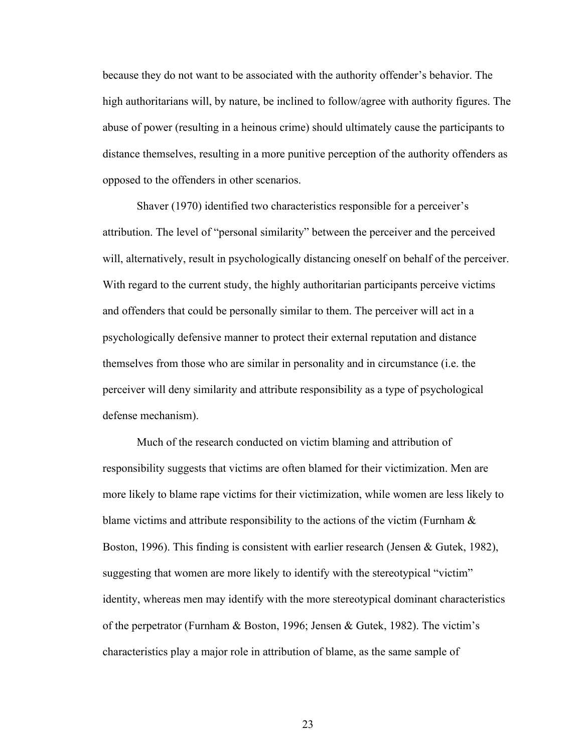because they do not want to be associated with the authority offender's behavior. The high authoritarians will, by nature, be inclined to follow/agree with authority figures. The abuse of power (resulting in a heinous crime) should ultimately cause the participants to distance themselves, resulting in a more punitive perception of the authority offenders as opposed to the offenders in other scenarios.

Shaver (1970) identified two characteristics responsible for a perceiver's attribution. The level of "personal similarity" between the perceiver and the perceived will, alternatively, result in psychologically distancing oneself on behalf of the perceiver. With regard to the current study, the highly authoritarian participants perceive victims and offenders that could be personally similar to them. The perceiver will act in a psychologically defensive manner to protect their external reputation and distance themselves from those who are similar in personality and in circumstance (i.e. the perceiver will deny similarity and attribute responsibility as a type of psychological defense mechanism).

Much of the research conducted on victim blaming and attribution of responsibility suggests that victims are often blamed for their victimization. Men are more likely to blame rape victims for their victimization, while women are less likely to blame victims and attribute responsibility to the actions of the victim (Furnham  $\&$ Boston, 1996). This finding is consistent with earlier research (Jensen & Gutek, 1982), suggesting that women are more likely to identify with the stereotypical "victim" identity, whereas men may identify with the more stereotypical dominant characteristics of the perpetrator (Furnham & Boston, 1996; Jensen & Gutek, 1982). The victim's characteristics play a major role in attribution of blame, as the same sample of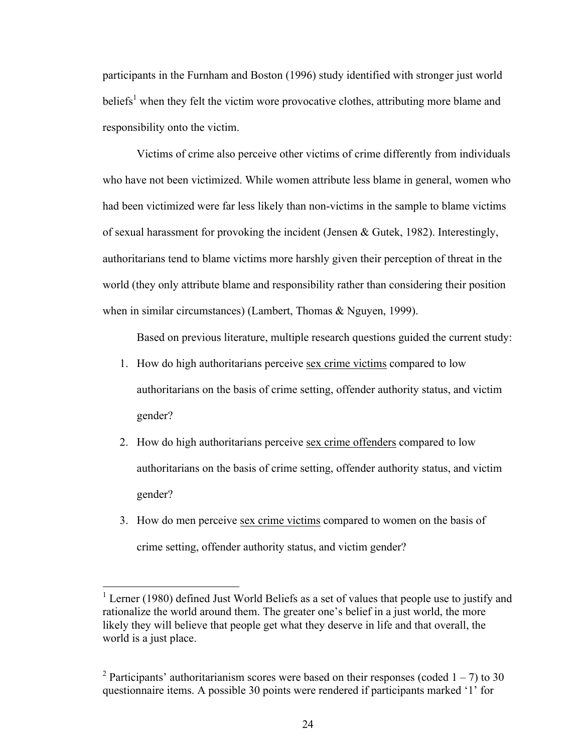participants in the Furnham and Boston (1996) study identified with stronger just world beliefs<sup>1</sup> when they felt the victim wore provocative clothes, attributing more blame and responsibility onto the victim.

Victims of crime also perceive other victims of crime differently from individuals who have not been victimized. While women attribute less blame in general, women who had been victimized were far less likely than non-victims in the sample to blame victims of sexual harassment for provoking the incident (Jensen & Gutek, 1982). Interestingly, authoritarians tend to blame victims more harshly given their perception of threat in the world (they only attribute blame and responsibility rather than considering their position when in similar circumstances) (Lambert, Thomas & Nguyen, 1999).

Based on previous literature, multiple research questions guided the current study:

- 1. How do high authoritarians perceive sex crime victims compared to low authoritarians on the basis of crime setting, offender authority status, and victim gender?
- 2. How do high authoritarians perceive sex crime offenders compared to low authoritarians on the basis of crime setting, offender authority status, and victim gender?
- 3. How do men perceive sex crime victims compared to women on the basis of crime setting, offender authority status, and victim gender?

<sup>&</sup>lt;sup>1</sup> Lerner (1980) defined Just World Beliefs as a set of values that people use to justify and rationalize the world around them. The greater one's belief in a just world, the more likely they will believe that people get what they deserve in life and that overall, the world is a just place.

<sup>&</sup>lt;sup>2</sup> Participants' authoritarianism scores were based on their responses (coded  $1 - 7$ ) to 30 questionnaire items. A possible 30 points were rendered if participants marked '1' for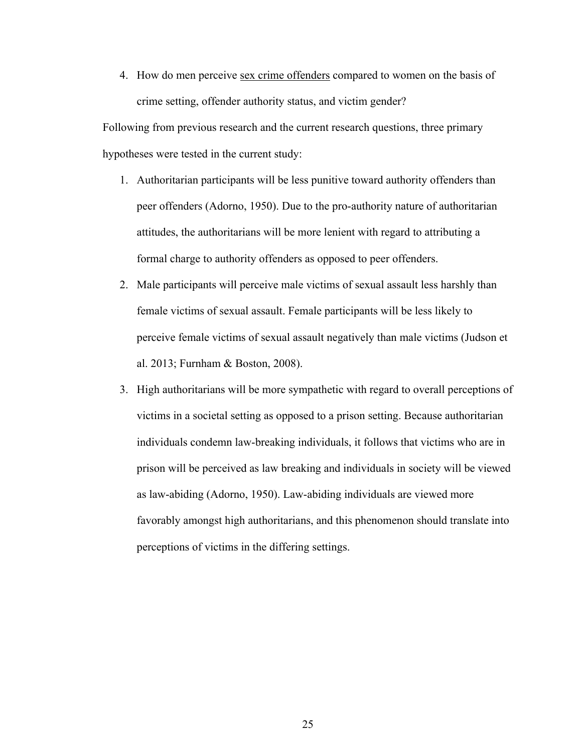4. How do men perceive sex crime offenders compared to women on the basis of crime setting, offender authority status, and victim gender?

Following from previous research and the current research questions, three primary hypotheses were tested in the current study:

- 1. Authoritarian participants will be less punitive toward authority offenders than peer offenders (Adorno, 1950). Due to the pro-authority nature of authoritarian attitudes, the authoritarians will be more lenient with regard to attributing a formal charge to authority offenders as opposed to peer offenders.
- 2. Male participants will perceive male victims of sexual assault less harshly than female victims of sexual assault. Female participants will be less likely to perceive female victims of sexual assault negatively than male victims (Judson et al. 2013; Furnham & Boston, 2008).
- 3. High authoritarians will be more sympathetic with regard to overall perceptions of victims in a societal setting as opposed to a prison setting. Because authoritarian individuals condemn law-breaking individuals, it follows that victims who are in prison will be perceived as law breaking and individuals in society will be viewed as law-abiding (Adorno, 1950). Law-abiding individuals are viewed more favorably amongst high authoritarians, and this phenomenon should translate into perceptions of victims in the differing settings.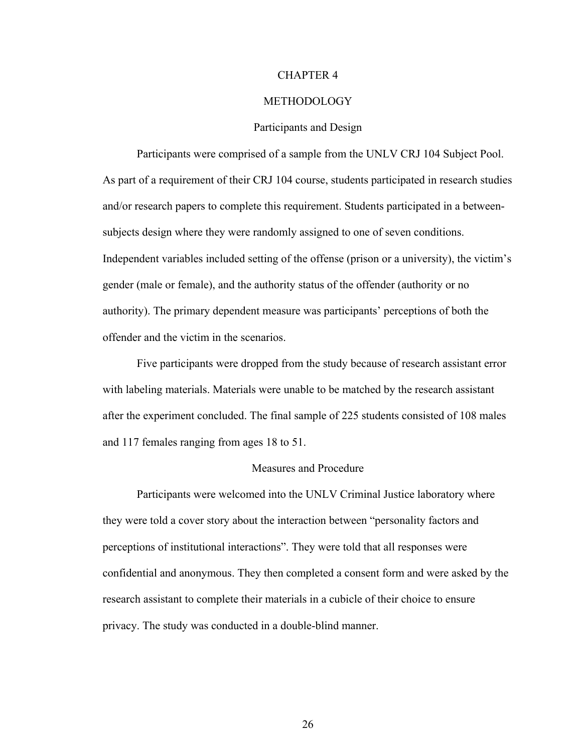#### CHAPTER 4

#### **METHODOLOGY**

#### Participants and Design

Participants were comprised of a sample from the UNLV CRJ 104 Subject Pool. As part of a requirement of their CRJ 104 course, students participated in research studies and/or research papers to complete this requirement. Students participated in a betweensubjects design where they were randomly assigned to one of seven conditions. Independent variables included setting of the offense (prison or a university), the victim's gender (male or female), and the authority status of the offender (authority or no authority). The primary dependent measure was participants' perceptions of both the offender and the victim in the scenarios.

Five participants were dropped from the study because of research assistant error with labeling materials. Materials were unable to be matched by the research assistant after the experiment concluded. The final sample of 225 students consisted of 108 males and 117 females ranging from ages 18 to 51.

#### Measures and Procedure

Participants were welcomed into the UNLV Criminal Justice laboratory where they were told a cover story about the interaction between "personality factors and perceptions of institutional interactions". They were told that all responses were confidential and anonymous. They then completed a consent form and were asked by the research assistant to complete their materials in a cubicle of their choice to ensure privacy. The study was conducted in a double-blind manner.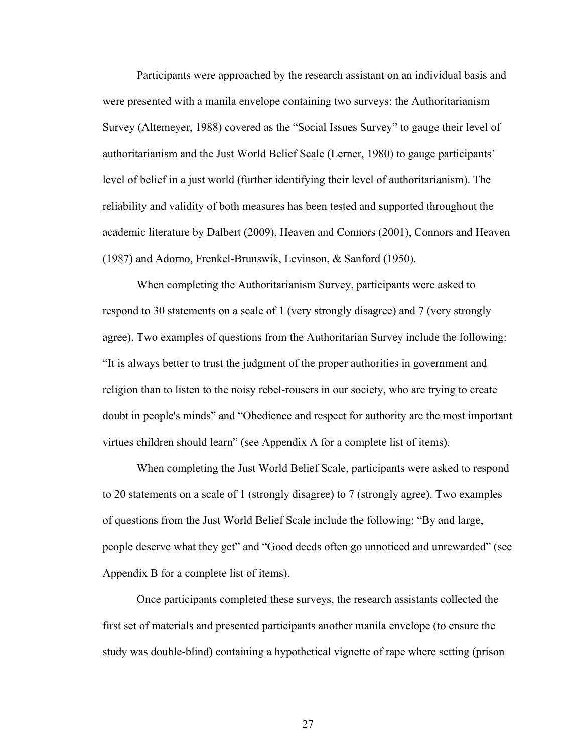Participants were approached by the research assistant on an individual basis and were presented with a manila envelope containing two surveys: the Authoritarianism Survey (Altemeyer, 1988) covered as the "Social Issues Survey" to gauge their level of authoritarianism and the Just World Belief Scale (Lerner, 1980) to gauge participants' level of belief in a just world (further identifying their level of authoritarianism). The reliability and validity of both measures has been tested and supported throughout the academic literature by Dalbert (2009), Heaven and Connors (2001), Connors and Heaven (1987) and Adorno, Frenkel-Brunswik, Levinson, & Sanford (1950).

When completing the Authoritarianism Survey, participants were asked to respond to 30 statements on a scale of 1 (very strongly disagree) and 7 (very strongly agree). Two examples of questions from the Authoritarian Survey include the following: "It is always better to trust the judgment of the proper authorities in government and religion than to listen to the noisy rebel-rousers in our society, who are trying to create doubt in people's minds" and "Obedience and respect for authority are the most important virtues children should learn" (see Appendix A for a complete list of items).

When completing the Just World Belief Scale, participants were asked to respond to 20 statements on a scale of 1 (strongly disagree) to 7 (strongly agree). Two examples of questions from the Just World Belief Scale include the following: "By and large, people deserve what they get" and "Good deeds often go unnoticed and unrewarded" (see Appendix B for a complete list of items).

Once participants completed these surveys, the research assistants collected the first set of materials and presented participants another manila envelope (to ensure the study was double-blind) containing a hypothetical vignette of rape where setting (prison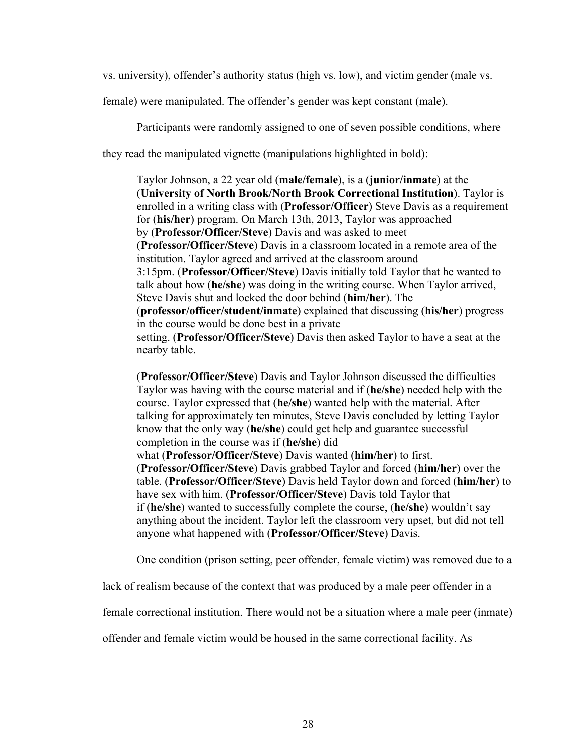vs. university), offender's authority status (high vs. low), and victim gender (male vs.

female) were manipulated. The offender's gender was kept constant (male).

Participants were randomly assigned to one of seven possible conditions, where

they read the manipulated vignette (manipulations highlighted in bold):

Taylor Johnson, a 22 year old (**male/female**), is a (**junior/inmate**) at the (**University of North Brook/North Brook Correctional Institution**). Taylor is enrolled in a writing class with (**Professor/Officer**) Steve Davis as a requirement for (**his/her**) program. On March 13th, 2013, Taylor was approached by (**Professor/Officer/Steve**) Davis and was asked to meet (**Professor/Officer/Steve**) Davis in a classroom located in a remote area of the institution. Taylor agreed and arrived at the classroom around 3:15pm. (**Professor/Officer/Steve**) Davis initially told Taylor that he wanted to talk about how (**he/she**) was doing in the writing course. When Taylor arrived, Steve Davis shut and locked the door behind (**him/her**). The (**professor/officer/student/inmate**) explained that discussing (**his/her**) progress in the course would be done best in a private setting. (**Professor/Officer/Steve**) Davis then asked Taylor to have a seat at the nearby table.

(**Professor/Officer/Steve**) Davis and Taylor Johnson discussed the difficulties Taylor was having with the course material and if (**he/she**) needed help with the course. Taylor expressed that (**he/she**) wanted help with the material. After talking for approximately ten minutes, Steve Davis concluded by letting Taylor know that the only way (**he/she**) could get help and guarantee successful completion in the course was if (**he/she**) did

what (**Professor/Officer/Steve**) Davis wanted (**him/her**) to first. (**Professor/Officer/Steve**) Davis grabbed Taylor and forced (**him/her**) over the table. (**Professor/Officer/Steve**) Davis held Taylor down and forced (**him/her**) to have sex with him. (**Professor/Officer/Steve**) Davis told Taylor that if (**he/she**) wanted to successfully complete the course, (**he/she**) wouldn't say anything about the incident. Taylor left the classroom very upset, but did not tell anyone what happened with (**Professor/Officer/Steve**) Davis.

One condition (prison setting, peer offender, female victim) was removed due to a

lack of realism because of the context that was produced by a male peer offender in a

female correctional institution. There would not be a situation where a male peer (inmate)

offender and female victim would be housed in the same correctional facility. As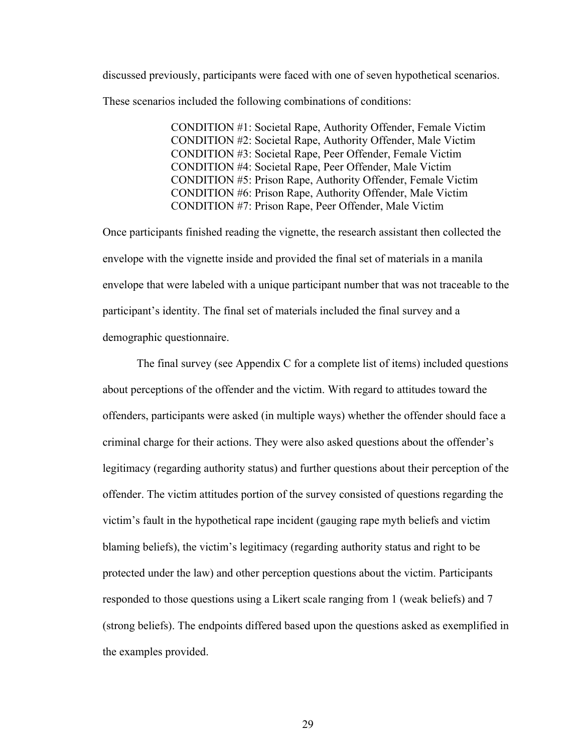discussed previously, participants were faced with one of seven hypothetical scenarios. These scenarios included the following combinations of conditions:

> CONDITION #1: Societal Rape, Authority Offender, Female Victim CONDITION #2: Societal Rape, Authority Offender, Male Victim CONDITION #3: Societal Rape, Peer Offender, Female Victim CONDITION #4: Societal Rape, Peer Offender, Male Victim CONDITION #5: Prison Rape, Authority Offender, Female Victim CONDITION #6: Prison Rape, Authority Offender, Male Victim CONDITION #7: Prison Rape, Peer Offender, Male Victim

Once participants finished reading the vignette, the research assistant then collected the envelope with the vignette inside and provided the final set of materials in a manila envelope that were labeled with a unique participant number that was not traceable to the participant's identity. The final set of materials included the final survey and a demographic questionnaire.

The final survey (see Appendix C for a complete list of items) included questions about perceptions of the offender and the victim. With regard to attitudes toward the offenders, participants were asked (in multiple ways) whether the offender should face a criminal charge for their actions. They were also asked questions about the offender's legitimacy (regarding authority status) and further questions about their perception of the offender. The victim attitudes portion of the survey consisted of questions regarding the victim's fault in the hypothetical rape incident (gauging rape myth beliefs and victim blaming beliefs), the victim's legitimacy (regarding authority status and right to be protected under the law) and other perception questions about the victim. Participants responded to those questions using a Likert scale ranging from 1 (weak beliefs) and 7 (strong beliefs). The endpoints differed based upon the questions asked as exemplified in the examples provided.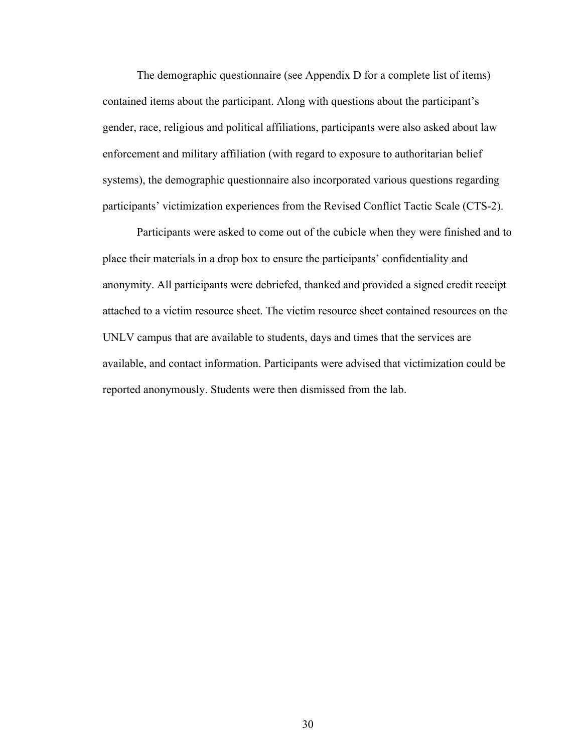The demographic questionnaire (see Appendix D for a complete list of items) contained items about the participant. Along with questions about the participant's gender, race, religious and political affiliations, participants were also asked about law enforcement and military affiliation (with regard to exposure to authoritarian belief systems), the demographic questionnaire also incorporated various questions regarding participants' victimization experiences from the Revised Conflict Tactic Scale (CTS-2).

Participants were asked to come out of the cubicle when they were finished and to place their materials in a drop box to ensure the participants' confidentiality and anonymity. All participants were debriefed, thanked and provided a signed credit receipt attached to a victim resource sheet. The victim resource sheet contained resources on the UNLV campus that are available to students, days and times that the services are available, and contact information. Participants were advised that victimization could be reported anonymously. Students were then dismissed from the lab.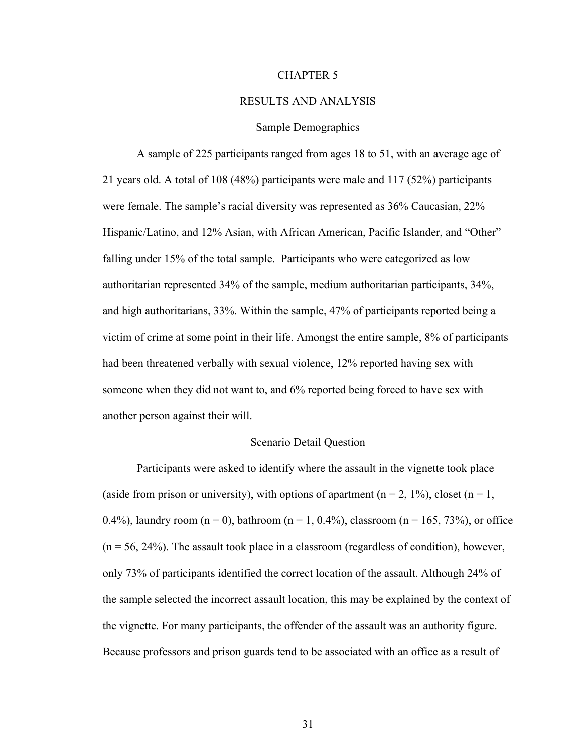#### CHAPTER 5

#### RESULTS AND ANALYSIS

## Sample Demographics

A sample of 225 participants ranged from ages 18 to 51, with an average age of 21 years old. A total of 108 (48%) participants were male and 117 (52%) participants were female. The sample's racial diversity was represented as 36% Caucasian, 22% Hispanic/Latino, and 12% Asian, with African American, Pacific Islander, and "Other" falling under 15% of the total sample. Participants who were categorized as low authoritarian represented 34% of the sample, medium authoritarian participants, 34%, and high authoritarians, 33%. Within the sample, 47% of participants reported being a victim of crime at some point in their life. Amongst the entire sample, 8% of participants had been threatened verbally with sexual violence, 12% reported having sex with someone when they did not want to, and 6% reported being forced to have sex with another person against their will.

### Scenario Detail Question

Participants were asked to identify where the assault in the vignette took place (aside from prison or university), with options of apartment ( $n = 2, 1\%$ ), closet ( $n = 1$ , 0.4%), laundry room ( $n = 0$ ), bathroom ( $n = 1, 0.4$ %), classroom ( $n = 165, 73$ %), or office  $(n = 56, 24%)$ . The assault took place in a classroom (regardless of condition), however, only 73% of participants identified the correct location of the assault. Although 24% of the sample selected the incorrect assault location, this may be explained by the context of the vignette. For many participants, the offender of the assault was an authority figure. Because professors and prison guards tend to be associated with an office as a result of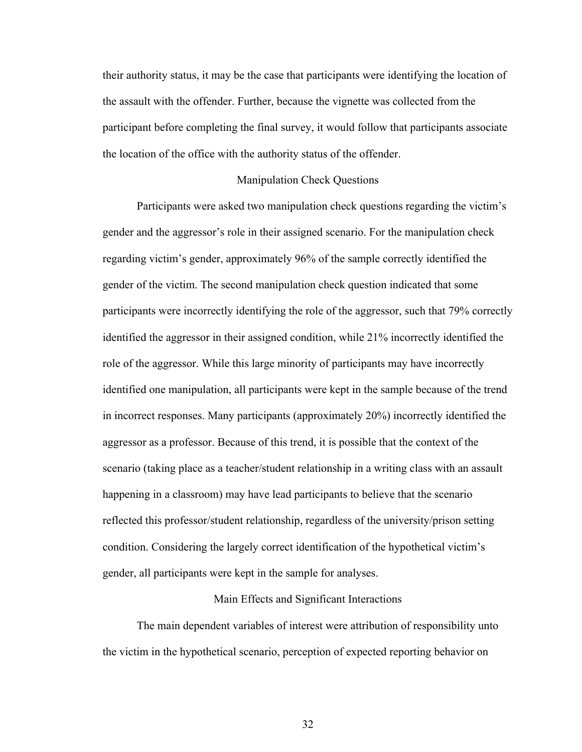their authority status, it may be the case that participants were identifying the location of the assault with the offender. Further, because the vignette was collected from the participant before completing the final survey, it would follow that participants associate the location of the office with the authority status of the offender.

## Manipulation Check Questions

Participants were asked two manipulation check questions regarding the victim's gender and the aggressor's role in their assigned scenario. For the manipulation check regarding victim's gender, approximately 96% of the sample correctly identified the gender of the victim. The second manipulation check question indicated that some participants were incorrectly identifying the role of the aggressor, such that 79% correctly identified the aggressor in their assigned condition, while 21% incorrectly identified the role of the aggressor. While this large minority of participants may have incorrectly identified one manipulation, all participants were kept in the sample because of the trend in incorrect responses. Many participants (approximately 20%) incorrectly identified the aggressor as a professor. Because of this trend, it is possible that the context of the scenario (taking place as a teacher/student relationship in a writing class with an assault happening in a classroom) may have lead participants to believe that the scenario reflected this professor/student relationship, regardless of the university/prison setting condition. Considering the largely correct identification of the hypothetical victim's gender, all participants were kept in the sample for analyses.

#### Main Effects and Significant Interactions

The main dependent variables of interest were attribution of responsibility unto the victim in the hypothetical scenario, perception of expected reporting behavior on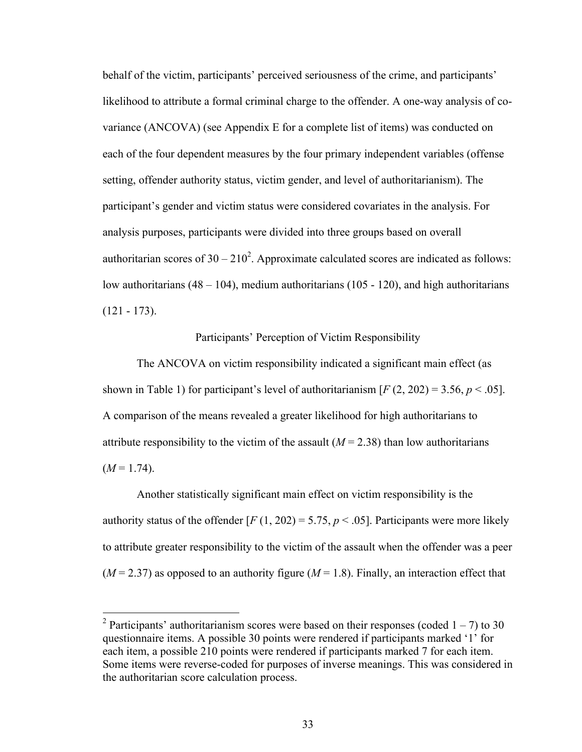behalf of the victim, participants' perceived seriousness of the crime, and participants' likelihood to attribute a formal criminal charge to the offender. A one-way analysis of covariance (ANCOVA) (see Appendix E for a complete list of items) was conducted on each of the four dependent measures by the four primary independent variables (offense setting, offender authority status, victim gender, and level of authoritarianism). The participant's gender and victim status were considered covariates in the analysis. For analysis purposes, participants were divided into three groups based on overall authoritarian scores of  $30 - 210^2$ . Approximate calculated scores are indicated as follows: low authoritarians  $(48 - 104)$ , medium authoritarians  $(105 - 120)$ , and high authoritarians  $(121 - 173)$ .

Participants' Perception of Victim Responsibility

The ANCOVA on victim responsibility indicated a significant main effect (as shown in Table 1) for participant's level of authoritarianism  $[F(2, 202) = 3.56, p < .05]$ . A comparison of the means revealed a greater likelihood for high authoritarians to attribute responsibility to the victim of the assault  $(M = 2.38)$  than low authoritarians  $(M=1.74)$ .

Another statistically significant main effect on victim responsibility is the authority status of the offender  $[F(1, 202) = 5.75, p < .05]$ . Participants were more likely to attribute greater responsibility to the victim of the assault when the offender was a peer  $(M = 2.37)$  as opposed to an authority figure  $(M = 1.8)$ . Finally, an interaction effect that

<sup>&</sup>lt;sup>2</sup> Participants' authoritarianism scores were based on their responses (coded  $1 - 7$ ) to 30 questionnaire items. A possible 30 points were rendered if participants marked '1' for each item, a possible 210 points were rendered if participants marked 7 for each item. Some items were reverse-coded for purposes of inverse meanings. This was considered in the authoritarian score calculation process.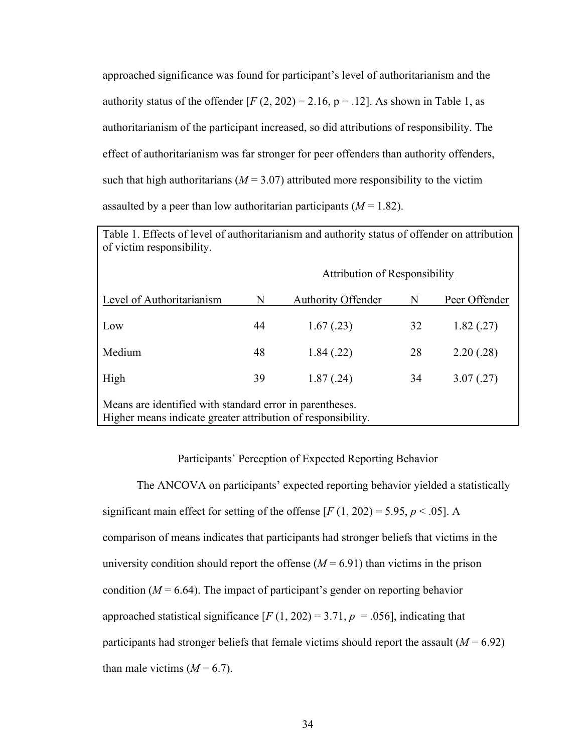approached significance was found for participant's level of authoritarianism and the authority status of the offender  $[F(2, 202) = 2.16, p = .12]$ . As shown in Table 1, as authoritarianism of the participant increased, so did attributions of responsibility. The effect of authoritarianism was far stronger for peer offenders than authority offenders, such that high authoritarians ( $M = 3.07$ ) attributed more responsibility to the victim assaulted by a peer than low authoritarian participants  $(M = 1.82)$ .

Table 1. Effects of level of authoritarianism and authority status of offender on attribution of victim responsibility.

|                                                                                                                          |    | <b>Attribution of Responsibility</b> |    |               |
|--------------------------------------------------------------------------------------------------------------------------|----|--------------------------------------|----|---------------|
| Level of Authoritarianism                                                                                                | N  | <b>Authority Offender</b>            | N  | Peer Offender |
| Low                                                                                                                      | 44 | 1.67(0.23)                           | 32 | 1.82(.27)     |
| Medium                                                                                                                   | 48 | 1.84(.22)                            | 28 | 2.20(.28)     |
| High                                                                                                                     | 39 | 1.87(.24)                            | 34 | 3.07(.27)     |
| Means are identified with standard error in parentheses.<br>Higher means indicate greater attribution of responsibility. |    |                                      |    |               |

## Participants' Perception of Expected Reporting Behavior

The ANCOVA on participants' expected reporting behavior yielded a statistically significant main effect for setting of the offense  $[F(1, 202) = 5.95, p < .05]$ . A comparison of means indicates that participants had stronger beliefs that victims in the university condition should report the offense  $(M = 6.91)$  than victims in the prison condition  $(M = 6.64)$ . The impact of participant's gender on reporting behavior approached statistical significance  $[F(1, 202) = 3.71, p = .056]$ , indicating that participants had stronger beliefs that female victims should report the assault  $(M = 6.92)$ than male victims  $(M = 6.7)$ .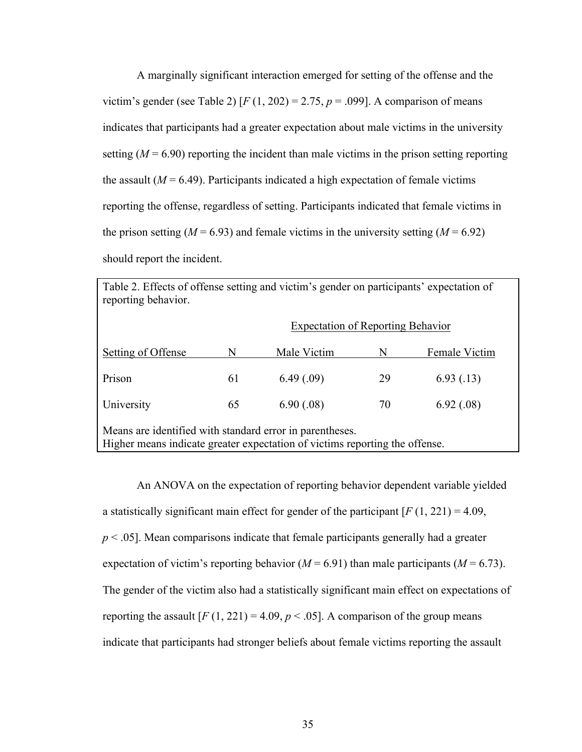A marginally significant interaction emerged for setting of the offense and the victim's gender (see Table 2)  $[F(1, 202) = 2.75, p = .099]$ . A comparison of means indicates that participants had a greater expectation about male victims in the university setting  $(M = 6.90)$  reporting the incident than male victims in the prison setting reporting the assault  $(M = 6.49)$ . Participants indicated a high expectation of female victims reporting the offense, regardless of setting. Participants indicated that female victims in the prison setting ( $M = 6.93$ ) and female victims in the university setting ( $M = 6.92$ ) should report the incident.

| Table 2. Effects of offense setting and victim's gender on participants' expectation of<br>reporting behavior.                          |                                          |             |    |               |
|-----------------------------------------------------------------------------------------------------------------------------------------|------------------------------------------|-------------|----|---------------|
|                                                                                                                                         | <b>Expectation of Reporting Behavior</b> |             |    |               |
| Setting of Offense                                                                                                                      | N                                        | Male Victim | N  | Female Victim |
| Prison                                                                                                                                  | 61                                       | 6.49(0.09)  | 29 | 6.93(0.13)    |
| University                                                                                                                              | 65                                       | 6.90(.08)   | 70 | 6.92(.08)     |
| Means are identified with standard error in parentheses.<br>Higher means indicate greater expectation of victims reporting the offense. |                                          |             |    |               |

An ANOVA on the expectation of reporting behavior dependent variable yielded a statistically significant main effect for gender of the participant [*F* (1, 221) = 4.09, *p* < .05]. Mean comparisons indicate that female participants generally had a greater expectation of victim's reporting behavior ( $M = 6.91$ ) than male participants ( $M = 6.73$ ). The gender of the victim also had a statistically significant main effect on expectations of reporting the assault  $[F(1, 221) = 4.09, p < .05]$ . A comparison of the group means indicate that participants had stronger beliefs about female victims reporting the assault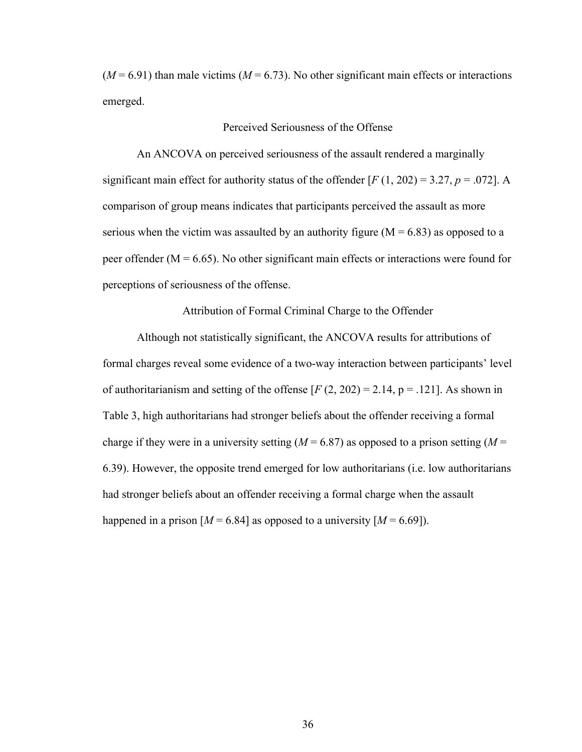$(M = 6.91)$  than male victims  $(M = 6.73)$ . No other significant main effects or interactions emerged.

# Perceived Seriousness of the Offense

An ANCOVA on perceived seriousness of the assault rendered a marginally significant main effect for authority status of the offender  $[F(1, 202) = 3.27, p = .072]$ . A comparison of group means indicates that participants perceived the assault as more serious when the victim was assaulted by an authority figure ( $M = 6.83$ ) as opposed to a peer offender ( $M = 6.65$ ). No other significant main effects or interactions were found for perceptions of seriousness of the offense.

Attribution of Formal Criminal Charge to the Offender

Although not statistically significant, the ANCOVA results for attributions of formal charges reveal some evidence of a two-way interaction between participants' level of authoritarianism and setting of the offense  $[F(2, 202) = 2.14, p = .121]$ . As shown in Table 3, high authoritarians had stronger beliefs about the offender receiving a formal charge if they were in a university setting  $(M = 6.87)$  as opposed to a prison setting  $(M = 6.87)$ 6.39). However, the opposite trend emerged for low authoritarians (i.e. low authoritarians had stronger beliefs about an offender receiving a formal charge when the assault happened in a prison  $[M = 6.84]$  as opposed to a university  $[M = 6.69]$ .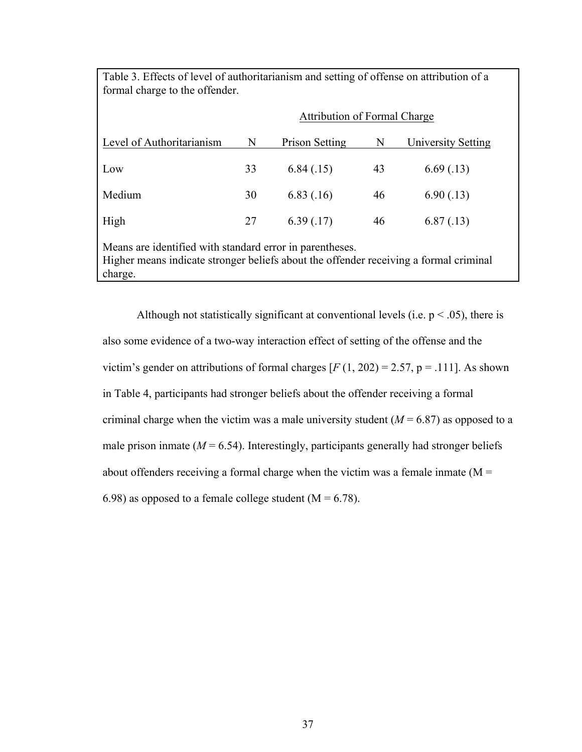| Table 3. Effects of level of authoritarianism and setting of offense on attribution of a<br>formal charge to the offender.                                   |                                     |                |    |                    |
|--------------------------------------------------------------------------------------------------------------------------------------------------------------|-------------------------------------|----------------|----|--------------------|
|                                                                                                                                                              | <b>Attribution of Formal Charge</b> |                |    |                    |
| Level of Authoritarianism                                                                                                                                    | N                                   | Prison Setting | N  | University Setting |
| Low                                                                                                                                                          | 33                                  | 6.84(.15)      | 43 | 6.69(0.13)         |
| Medium                                                                                                                                                       | 30                                  | 6.83(0.16)     | 46 | 6.90(0.13)         |
| High                                                                                                                                                         | 27                                  | 6.39(0.17)     | 46 | 6.87(0.13)         |
| Means are identified with standard error in parentheses.<br>Higher means indicate stronger beliefs about the offender receiving a formal criminal<br>charge. |                                     |                |    |                    |

Although not statistically significant at conventional levels (i.e.  $p < .05$ ), there is also some evidence of a two-way interaction effect of setting of the offense and the victim's gender on attributions of formal charges  $[F(1, 202) = 2.57, p = .111]$ . As shown in Table 4, participants had stronger beliefs about the offender receiving a formal criminal charge when the victim was a male university student  $(M = 6.87)$  as opposed to a male prison inmate  $(M = 6.54)$ . Interestingly, participants generally had stronger beliefs about offenders receiving a formal charge when the victim was a female inmate  $(M =$ 6.98) as opposed to a female college student ( $M = 6.78$ ).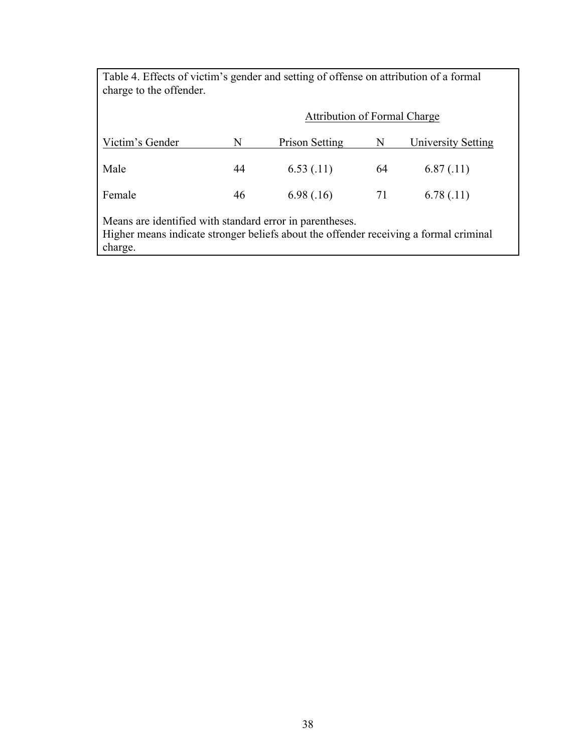| Table 4. Effects of victim's gender and setting of offense on attribution of a formal<br>charge to the offender.                                             |                                     |                |    |                    |
|--------------------------------------------------------------------------------------------------------------------------------------------------------------|-------------------------------------|----------------|----|--------------------|
|                                                                                                                                                              | <b>Attribution of Formal Charge</b> |                |    |                    |
| Victim's Gender                                                                                                                                              | N                                   | Prison Setting | N  | University Setting |
| Male                                                                                                                                                         | 44                                  | 6.53(0.11)     | 64 | 6.87(0.11)         |
| Female                                                                                                                                                       | 46                                  | 6.98(.16)      | 71 | 6.78(0.11)         |
| Means are identified with standard error in parentheses.<br>Higher means indicate stronger beliefs about the offender receiving a formal criminal<br>charge. |                                     |                |    |                    |

┑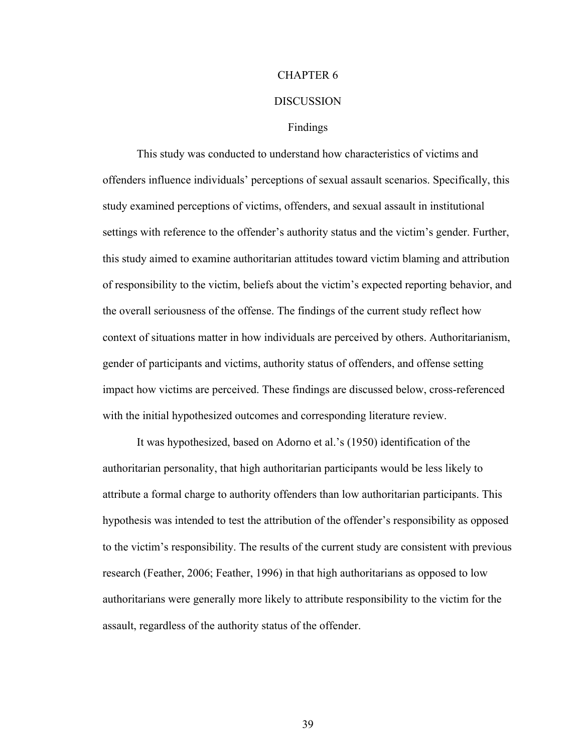# CHAPTER 6

### **DISCUSSION**

#### Findings

This study was conducted to understand how characteristics of victims and offenders influence individuals' perceptions of sexual assault scenarios. Specifically, this study examined perceptions of victims, offenders, and sexual assault in institutional settings with reference to the offender's authority status and the victim's gender. Further, this study aimed to examine authoritarian attitudes toward victim blaming and attribution of responsibility to the victim, beliefs about the victim's expected reporting behavior, and the overall seriousness of the offense. The findings of the current study reflect how context of situations matter in how individuals are perceived by others. Authoritarianism, gender of participants and victims, authority status of offenders, and offense setting impact how victims are perceived. These findings are discussed below, cross-referenced with the initial hypothesized outcomes and corresponding literature review.

It was hypothesized, based on Adorno et al.'s (1950) identification of the authoritarian personality, that high authoritarian participants would be less likely to attribute a formal charge to authority offenders than low authoritarian participants. This hypothesis was intended to test the attribution of the offender's responsibility as opposed to the victim's responsibility. The results of the current study are consistent with previous research (Feather, 2006; Feather, 1996) in that high authoritarians as opposed to low authoritarians were generally more likely to attribute responsibility to the victim for the assault, regardless of the authority status of the offender.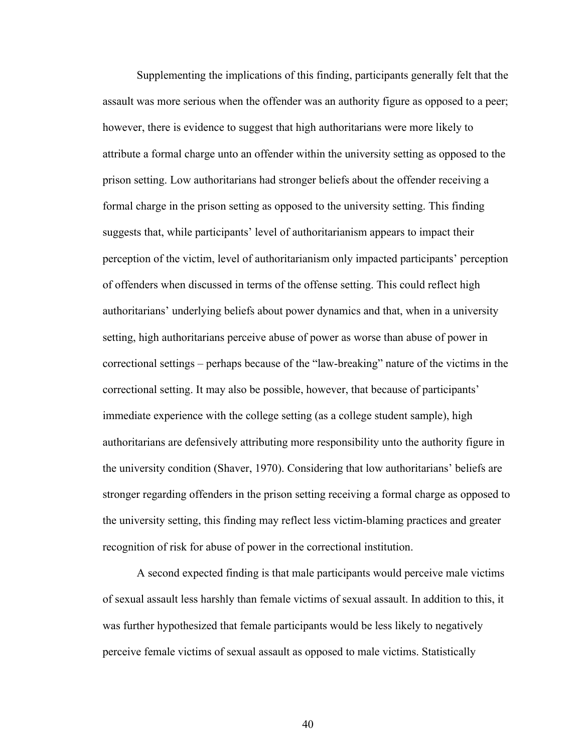Supplementing the implications of this finding, participants generally felt that the assault was more serious when the offender was an authority figure as opposed to a peer; however, there is evidence to suggest that high authoritarians were more likely to attribute a formal charge unto an offender within the university setting as opposed to the prison setting. Low authoritarians had stronger beliefs about the offender receiving a formal charge in the prison setting as opposed to the university setting. This finding suggests that, while participants' level of authoritarianism appears to impact their perception of the victim, level of authoritarianism only impacted participants' perception of offenders when discussed in terms of the offense setting. This could reflect high authoritarians' underlying beliefs about power dynamics and that, when in a university setting, high authoritarians perceive abuse of power as worse than abuse of power in correctional settings – perhaps because of the "law-breaking" nature of the victims in the correctional setting. It may also be possible, however, that because of participants' immediate experience with the college setting (as a college student sample), high authoritarians are defensively attributing more responsibility unto the authority figure in the university condition (Shaver, 1970). Considering that low authoritarians' beliefs are stronger regarding offenders in the prison setting receiving a formal charge as opposed to the university setting, this finding may reflect less victim-blaming practices and greater recognition of risk for abuse of power in the correctional institution.

A second expected finding is that male participants would perceive male victims of sexual assault less harshly than female victims of sexual assault. In addition to this, it was further hypothesized that female participants would be less likely to negatively perceive female victims of sexual assault as opposed to male victims. Statistically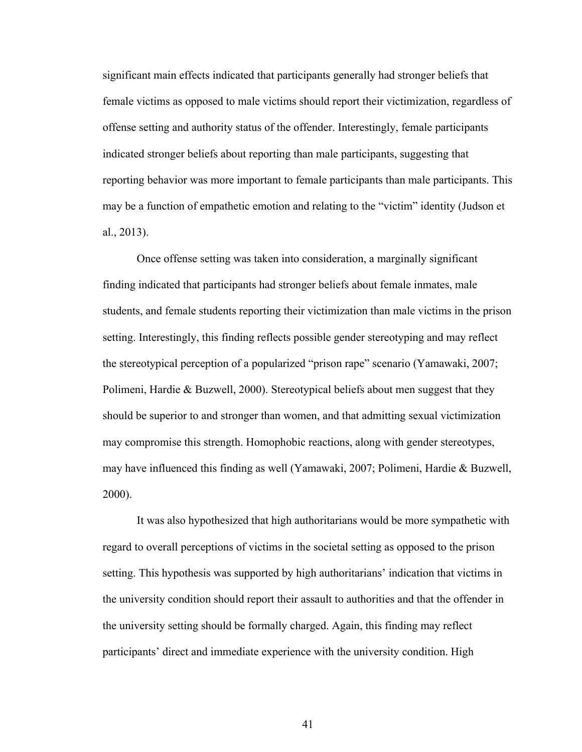significant main effects indicated that participants generally had stronger beliefs that female victims as opposed to male victims should report their victimization, regardless of offense setting and authority status of the offender. Interestingly, female participants indicated stronger beliefs about reporting than male participants, suggesting that reporting behavior was more important to female participants than male participants. This may be a function of empathetic emotion and relating to the "victim" identity (Judson et al., 2013).

Once offense setting was taken into consideration, a marginally significant finding indicated that participants had stronger beliefs about female inmates, male students, and female students reporting their victimization than male victims in the prison setting. Interestingly, this finding reflects possible gender stereotyping and may reflect the stereotypical perception of a popularized "prison rape" scenario (Yamawaki, 2007; Polimeni, Hardie & Buzwell, 2000). Stereotypical beliefs about men suggest that they should be superior to and stronger than women, and that admitting sexual victimization may compromise this strength. Homophobic reactions, along with gender stereotypes, may have influenced this finding as well (Yamawaki, 2007; Polimeni, Hardie & Buzwell, 2000).

It was also hypothesized that high authoritarians would be more sympathetic with regard to overall perceptions of victims in the societal setting as opposed to the prison setting. This hypothesis was supported by high authoritarians' indication that victims in the university condition should report their assault to authorities and that the offender in the university setting should be formally charged. Again, this finding may reflect participants' direct and immediate experience with the university condition. High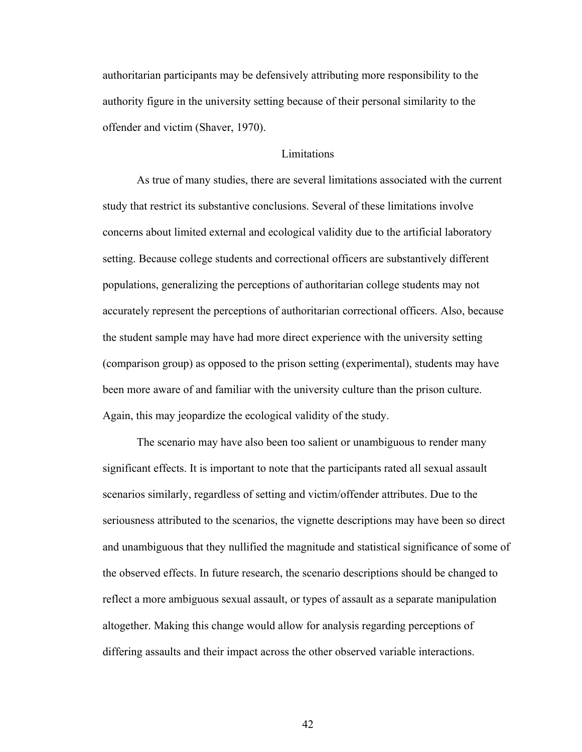authoritarian participants may be defensively attributing more responsibility to the authority figure in the university setting because of their personal similarity to the offender and victim (Shaver, 1970).

## **Limitations**

As true of many studies, there are several limitations associated with the current study that restrict its substantive conclusions. Several of these limitations involve concerns about limited external and ecological validity due to the artificial laboratory setting. Because college students and correctional officers are substantively different populations, generalizing the perceptions of authoritarian college students may not accurately represent the perceptions of authoritarian correctional officers. Also, because the student sample may have had more direct experience with the university setting (comparison group) as opposed to the prison setting (experimental), students may have been more aware of and familiar with the university culture than the prison culture. Again, this may jeopardize the ecological validity of the study.

The scenario may have also been too salient or unambiguous to render many significant effects. It is important to note that the participants rated all sexual assault scenarios similarly, regardless of setting and victim/offender attributes. Due to the seriousness attributed to the scenarios, the vignette descriptions may have been so direct and unambiguous that they nullified the magnitude and statistical significance of some of the observed effects. In future research, the scenario descriptions should be changed to reflect a more ambiguous sexual assault, or types of assault as a separate manipulation altogether. Making this change would allow for analysis regarding perceptions of differing assaults and their impact across the other observed variable interactions.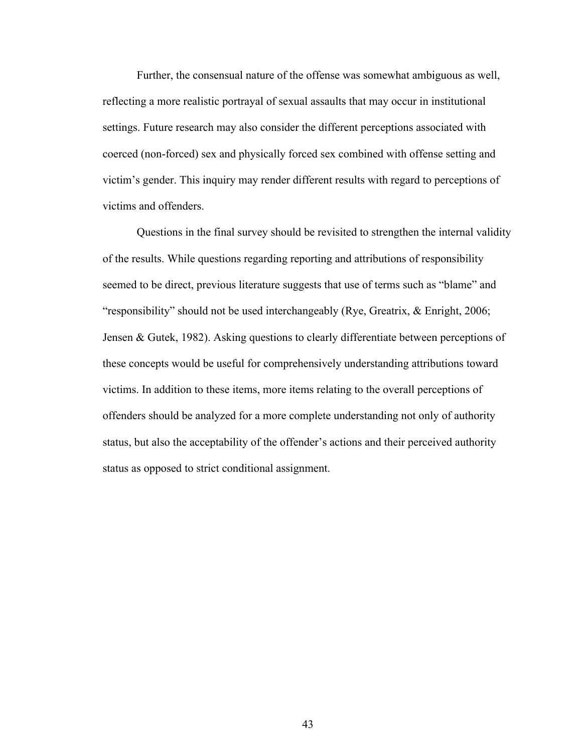Further, the consensual nature of the offense was somewhat ambiguous as well, reflecting a more realistic portrayal of sexual assaults that may occur in institutional settings. Future research may also consider the different perceptions associated with coerced (non-forced) sex and physically forced sex combined with offense setting and victim's gender. This inquiry may render different results with regard to perceptions of victims and offenders.

Questions in the final survey should be revisited to strengthen the internal validity of the results. While questions regarding reporting and attributions of responsibility seemed to be direct, previous literature suggests that use of terms such as "blame" and "responsibility" should not be used interchangeably (Rye, Greatrix, & Enright, 2006; Jensen & Gutek, 1982). Asking questions to clearly differentiate between perceptions of these concepts would be useful for comprehensively understanding attributions toward victims. In addition to these items, more items relating to the overall perceptions of offenders should be analyzed for a more complete understanding not only of authority status, but also the acceptability of the offender's actions and their perceived authority status as opposed to strict conditional assignment.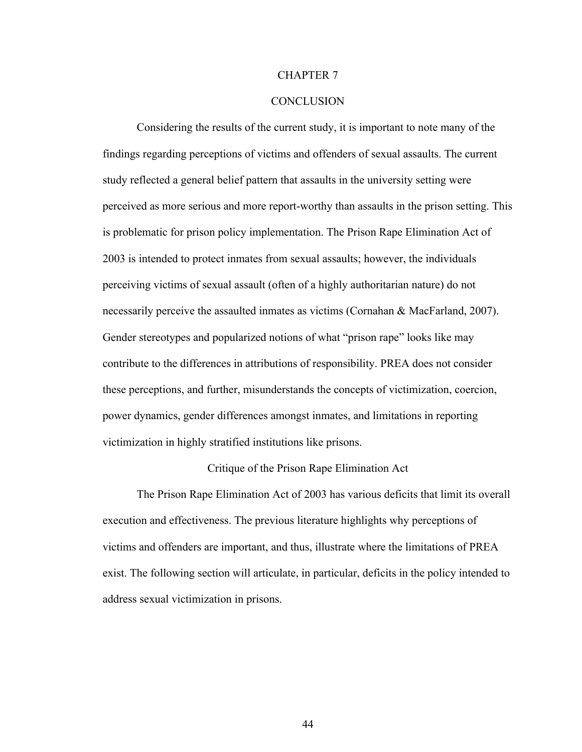#### CHAPTER 7

### **CONCLUSION**

Considering the results of the current study, it is important to note many of the findings regarding perceptions of victims and offenders of sexual assaults. The current study reflected a general belief pattern that assaults in the university setting were perceived as more serious and more report-worthy than assaults in the prison setting. This is problematic for prison policy implementation. The Prison Rape Elimination Act of 2003 is intended to protect inmates from sexual assaults; however, the individuals perceiving victims of sexual assault (often of a highly authoritarian nature) do not necessarily perceive the assaulted inmates as victims (Cornahan & MacFarland, 2007). Gender stereotypes and popularized notions of what "prison rape" looks like may contribute to the differences in attributions of responsibility. PREA does not consider these perceptions, and further, misunderstands the concepts of victimization, coercion, power dynamics, gender differences amongst inmates, and limitations in reporting victimization in highly stratified institutions like prisons.

### Critique of the Prison Rape Elimination Act

The Prison Rape Elimination Act of 2003 has various deficits that limit its overall execution and effectiveness. The previous literature highlights why perceptions of victims and offenders are important, and thus, illustrate where the limitations of PREA exist. The following section will articulate, in particular, deficits in the policy intended to address sexual victimization in prisons.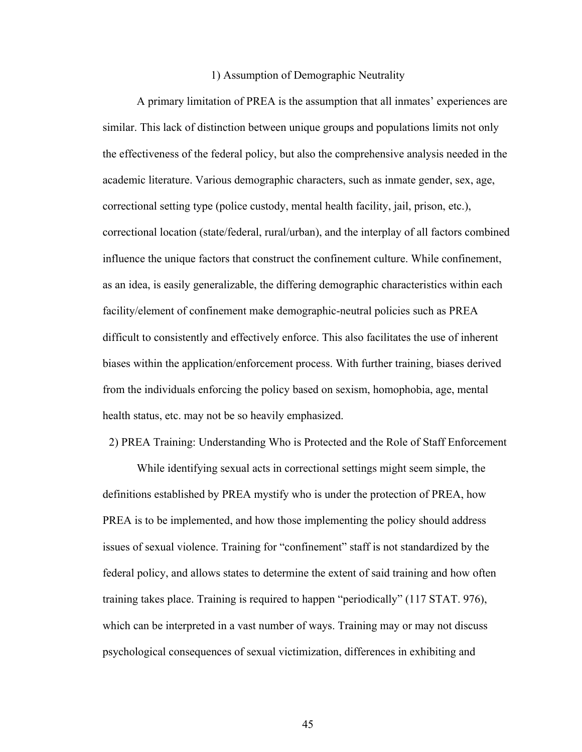#### 1) Assumption of Demographic Neutrality

A primary limitation of PREA is the assumption that all inmates' experiences are similar. This lack of distinction between unique groups and populations limits not only the effectiveness of the federal policy, but also the comprehensive analysis needed in the academic literature. Various demographic characters, such as inmate gender, sex, age, correctional setting type (police custody, mental health facility, jail, prison, etc.), correctional location (state/federal, rural/urban), and the interplay of all factors combined influence the unique factors that construct the confinement culture. While confinement, as an idea, is easily generalizable, the differing demographic characteristics within each facility/element of confinement make demographic-neutral policies such as PREA difficult to consistently and effectively enforce. This also facilitates the use of inherent biases within the application/enforcement process. With further training, biases derived from the individuals enforcing the policy based on sexism, homophobia, age, mental health status, etc. may not be so heavily emphasized.

2) PREA Training: Understanding Who is Protected and the Role of Staff Enforcement

While identifying sexual acts in correctional settings might seem simple, the definitions established by PREA mystify who is under the protection of PREA, how PREA is to be implemented, and how those implementing the policy should address issues of sexual violence. Training for "confinement" staff is not standardized by the federal policy, and allows states to determine the extent of said training and how often training takes place. Training is required to happen "periodically" (117 STAT. 976), which can be interpreted in a vast number of ways. Training may or may not discuss psychological consequences of sexual victimization, differences in exhibiting and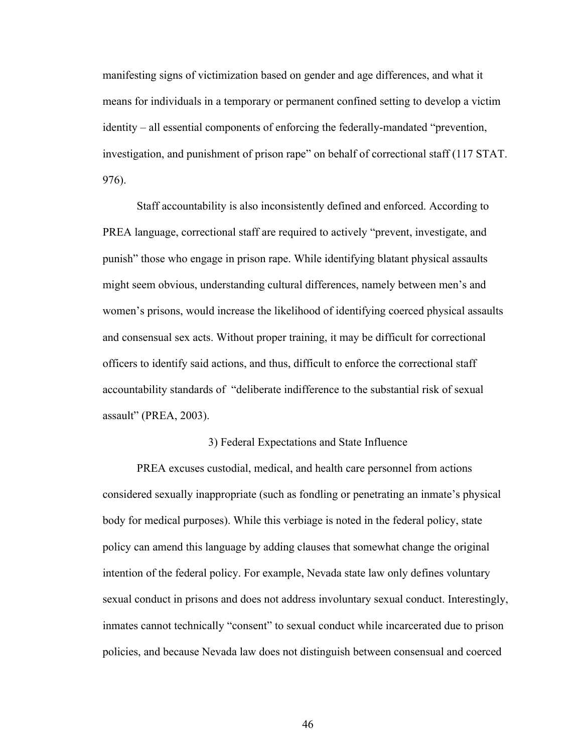manifesting signs of victimization based on gender and age differences, and what it means for individuals in a temporary or permanent confined setting to develop a victim identity – all essential components of enforcing the federally-mandated "prevention, investigation, and punishment of prison rape" on behalf of correctional staff (117 STAT. 976).

Staff accountability is also inconsistently defined and enforced. According to PREA language, correctional staff are required to actively "prevent, investigate, and punish" those who engage in prison rape. While identifying blatant physical assaults might seem obvious, understanding cultural differences, namely between men's and women's prisons, would increase the likelihood of identifying coerced physical assaults and consensual sex acts. Without proper training, it may be difficult for correctional officers to identify said actions, and thus, difficult to enforce the correctional staff accountability standards of "deliberate indifference to the substantial risk of sexual assault" (PREA, 2003).

#### 3) Federal Expectations and State Influence

PREA excuses custodial, medical, and health care personnel from actions considered sexually inappropriate (such as fondling or penetrating an inmate's physical body for medical purposes). While this verbiage is noted in the federal policy, state policy can amend this language by adding clauses that somewhat change the original intention of the federal policy. For example, Nevada state law only defines voluntary sexual conduct in prisons and does not address involuntary sexual conduct. Interestingly, inmates cannot technically "consent" to sexual conduct while incarcerated due to prison policies, and because Nevada law does not distinguish between consensual and coerced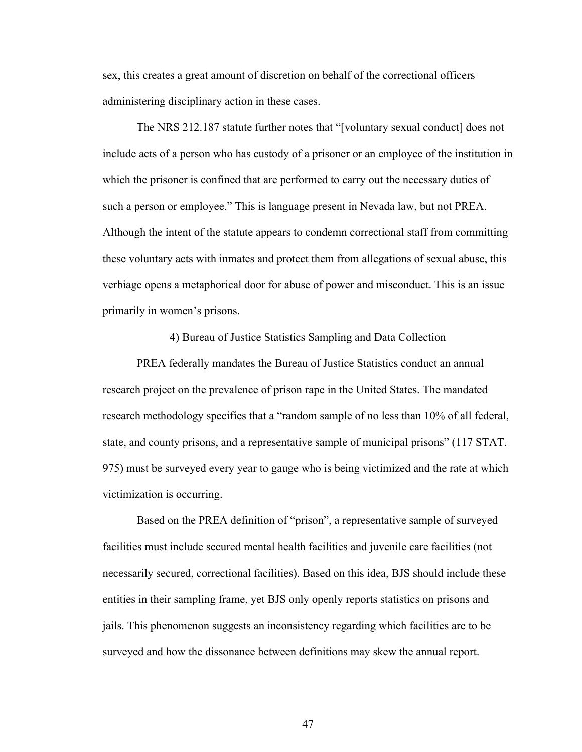sex, this creates a great amount of discretion on behalf of the correctional officers administering disciplinary action in these cases.

The NRS 212.187 statute further notes that "[voluntary sexual conduct] does not include acts of a person who has custody of a prisoner or an employee of the institution in which the prisoner is confined that are performed to carry out the necessary duties of such a person or employee." This is language present in Nevada law, but not PREA. Although the intent of the statute appears to condemn correctional staff from committing these voluntary acts with inmates and protect them from allegations of sexual abuse, this verbiage opens a metaphorical door for abuse of power and misconduct. This is an issue primarily in women's prisons.

4) Bureau of Justice Statistics Sampling and Data Collection

PREA federally mandates the Bureau of Justice Statistics conduct an annual research project on the prevalence of prison rape in the United States. The mandated research methodology specifies that a "random sample of no less than 10% of all federal, state, and county prisons, and a representative sample of municipal prisons" (117 STAT. 975) must be surveyed every year to gauge who is being victimized and the rate at which victimization is occurring.

Based on the PREA definition of "prison", a representative sample of surveyed facilities must include secured mental health facilities and juvenile care facilities (not necessarily secured, correctional facilities). Based on this idea, BJS should include these entities in their sampling frame, yet BJS only openly reports statistics on prisons and jails. This phenomenon suggests an inconsistency regarding which facilities are to be surveyed and how the dissonance between definitions may skew the annual report.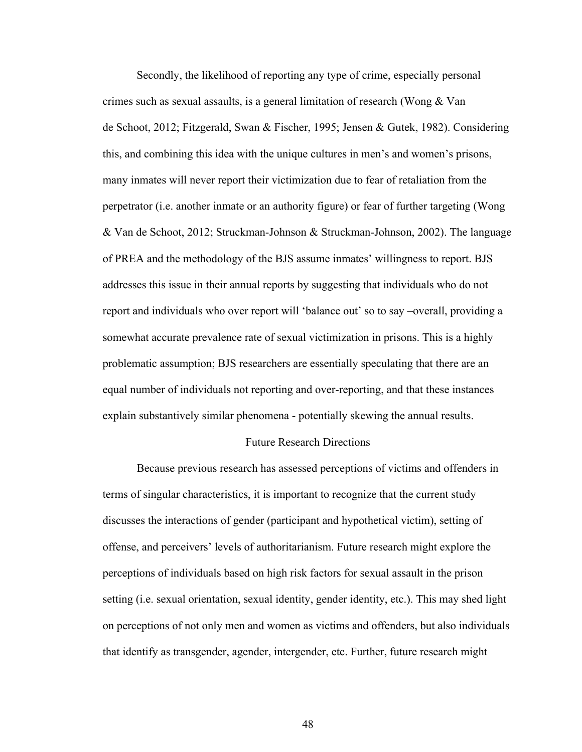Secondly, the likelihood of reporting any type of crime, especially personal crimes such as sexual assaults, is a general limitation of research (Wong & Van de Schoot, 2012; Fitzgerald, Swan & Fischer, 1995; Jensen & Gutek, 1982). Considering this, and combining this idea with the unique cultures in men's and women's prisons, many inmates will never report their victimization due to fear of retaliation from the perpetrator (i.e. another inmate or an authority figure) or fear of further targeting (Wong & Van de Schoot, 2012; Struckman-Johnson & Struckman-Johnson, 2002). The language of PREA and the methodology of the BJS assume inmates' willingness to report. BJS addresses this issue in their annual reports by suggesting that individuals who do not report and individuals who over report will 'balance out' so to say –overall, providing a somewhat accurate prevalence rate of sexual victimization in prisons. This is a highly problematic assumption; BJS researchers are essentially speculating that there are an equal number of individuals not reporting and over-reporting, and that these instances explain substantively similar phenomena - potentially skewing the annual results.

### Future Research Directions

Because previous research has assessed perceptions of victims and offenders in terms of singular characteristics, it is important to recognize that the current study discusses the interactions of gender (participant and hypothetical victim), setting of offense, and perceivers' levels of authoritarianism. Future research might explore the perceptions of individuals based on high risk factors for sexual assault in the prison setting (i.e. sexual orientation, sexual identity, gender identity, etc.). This may shed light on perceptions of not only men and women as victims and offenders, but also individuals that identify as transgender, agender, intergender, etc. Further, future research might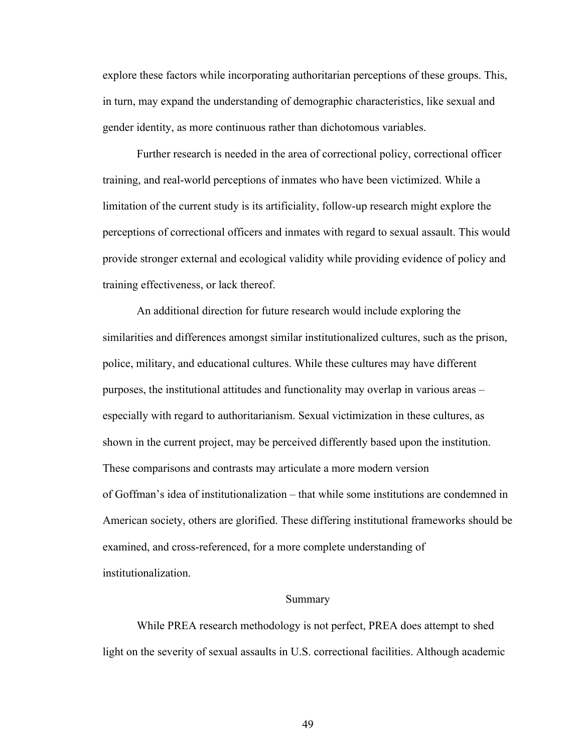explore these factors while incorporating authoritarian perceptions of these groups. This, in turn, may expand the understanding of demographic characteristics, like sexual and gender identity, as more continuous rather than dichotomous variables.

Further research is needed in the area of correctional policy, correctional officer training, and real-world perceptions of inmates who have been victimized. While a limitation of the current study is its artificiality, follow-up research might explore the perceptions of correctional officers and inmates with regard to sexual assault. This would provide stronger external and ecological validity while providing evidence of policy and training effectiveness, or lack thereof.

An additional direction for future research would include exploring the similarities and differences amongst similar institutionalized cultures, such as the prison, police, military, and educational cultures. While these cultures may have different purposes, the institutional attitudes and functionality may overlap in various areas – especially with regard to authoritarianism. Sexual victimization in these cultures, as shown in the current project, may be perceived differently based upon the institution. These comparisons and contrasts may articulate a more modern version of Goffman's idea of institutionalization – that while some institutions are condemned in American society, others are glorified. These differing institutional frameworks should be examined, and cross-referenced, for a more complete understanding of institutionalization.

#### Summary

While PREA research methodology is not perfect, PREA does attempt to shed light on the severity of sexual assaults in U.S. correctional facilities. Although academic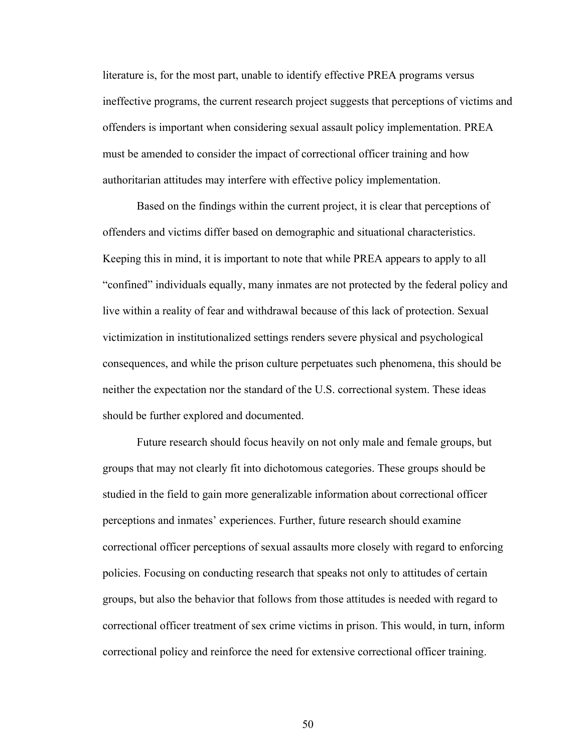literature is, for the most part, unable to identify effective PREA programs versus ineffective programs, the current research project suggests that perceptions of victims and offenders is important when considering sexual assault policy implementation. PREA must be amended to consider the impact of correctional officer training and how authoritarian attitudes may interfere with effective policy implementation.

Based on the findings within the current project, it is clear that perceptions of offenders and victims differ based on demographic and situational characteristics. Keeping this in mind, it is important to note that while PREA appears to apply to all "confined" individuals equally, many inmates are not protected by the federal policy and live within a reality of fear and withdrawal because of this lack of protection. Sexual victimization in institutionalized settings renders severe physical and psychological consequences, and while the prison culture perpetuates such phenomena, this should be neither the expectation nor the standard of the U.S. correctional system. These ideas should be further explored and documented.

Future research should focus heavily on not only male and female groups, but groups that may not clearly fit into dichotomous categories. These groups should be studied in the field to gain more generalizable information about correctional officer perceptions and inmates' experiences. Further, future research should examine correctional officer perceptions of sexual assaults more closely with regard to enforcing policies. Focusing on conducting research that speaks not only to attitudes of certain groups, but also the behavior that follows from those attitudes is needed with regard to correctional officer treatment of sex crime victims in prison. This would, in turn, inform correctional policy and reinforce the need for extensive correctional officer training.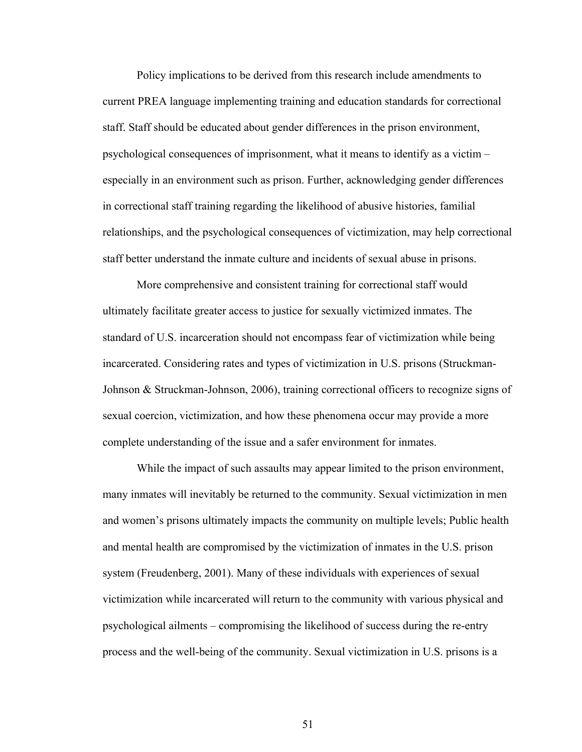Policy implications to be derived from this research include amendments to current PREA language implementing training and education standards for correctional staff. Staff should be educated about gender differences in the prison environment, psychological consequences of imprisonment, what it means to identify as a victim – especially in an environment such as prison. Further, acknowledging gender differences in correctional staff training regarding the likelihood of abusive histories, familial relationships, and the psychological consequences of victimization, may help correctional staff better understand the inmate culture and incidents of sexual abuse in prisons.

More comprehensive and consistent training for correctional staff would ultimately facilitate greater access to justice for sexually victimized inmates. The standard of U.S. incarceration should not encompass fear of victimization while being incarcerated. Considering rates and types of victimization in U.S. prisons (Struckman-Johnson & Struckman-Johnson, 2006), training correctional officers to recognize signs of sexual coercion, victimization, and how these phenomena occur may provide a more complete understanding of the issue and a safer environment for inmates.

While the impact of such assaults may appear limited to the prison environment, many inmates will inevitably be returned to the community. Sexual victimization in men and women's prisons ultimately impacts the community on multiple levels; Public health and mental health are compromised by the victimization of inmates in the U.S. prison system (Freudenberg, 2001). Many of these individuals with experiences of sexual victimization while incarcerated will return to the community with various physical and psychological ailments – compromising the likelihood of success during the re-entry process and the well-being of the community. Sexual victimization in U.S. prisons is a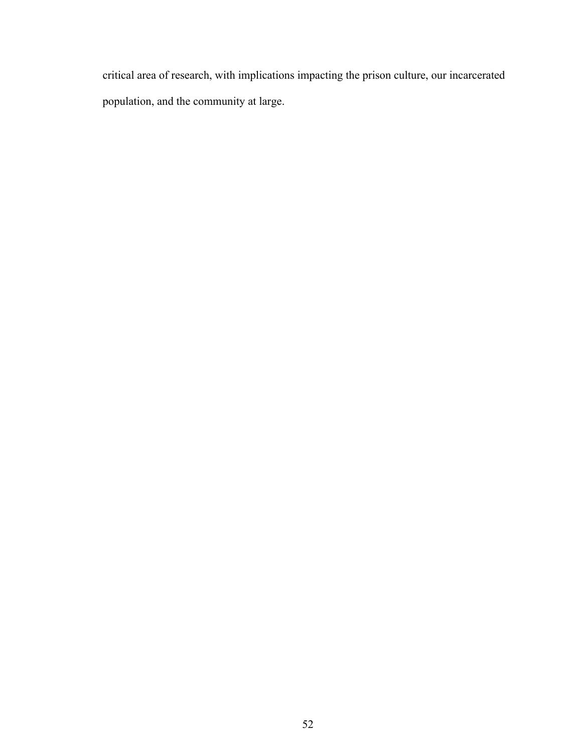critical area of research, with implications impacting the prison culture, our incarcerated population, and the community at large.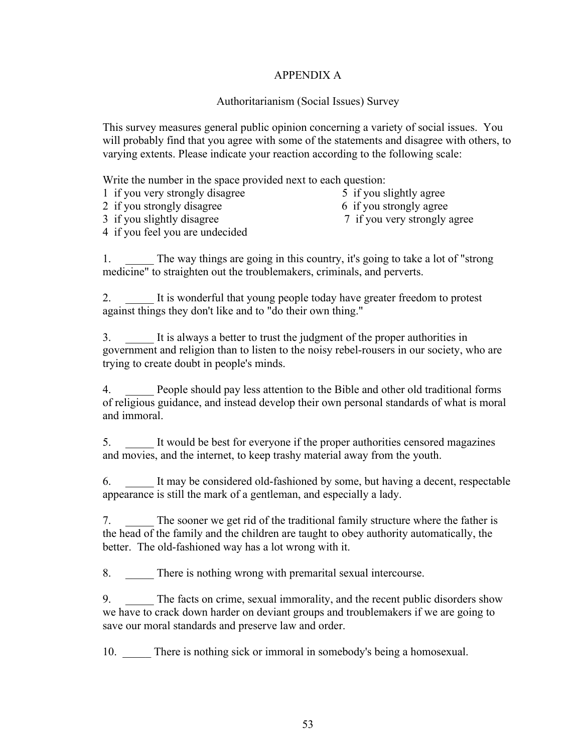# APPENDIX A

# Authoritarianism (Social Issues) Survey

This survey measures general public opinion concerning a variety of social issues. You will probably find that you agree with some of the statements and disagree with others, to varying extents. Please indicate your reaction according to the following scale:

Write the number in the space provided next to each question:

- 1 if you very strongly disagree 5 if you slightly agree
- 2 if you strongly disagree 6 if you strongly agree
- -
- 
- 3 if you slightly disagree 7 if you very strongly agree
- 4 if you feel you are undecided

The way things are going in this country, it's going to take a lot of "strong" medicine" to straighten out the troublemakers, criminals, and perverts.

2. \_\_\_\_\_ It is wonderful that young people today have greater freedom to protest against things they don't like and to "do their own thing."

3. \_\_\_\_\_ It is always a better to trust the judgment of the proper authorities in government and religion than to listen to the noisy rebel-rousers in our society, who are trying to create doubt in people's minds.

4. \_\_\_\_\_ People should pay less attention to the Bible and other old traditional forms of religious guidance, and instead develop their own personal standards of what is moral and immoral.

5. \_\_\_\_\_ It would be best for everyone if the proper authorities censored magazines and movies, and the internet, to keep trashy material away from the youth.

6. \_\_\_\_\_ It may be considered old-fashioned by some, but having a decent, respectable appearance is still the mark of a gentleman, and especially a lady.

7. \_\_\_\_\_ The sooner we get rid of the traditional family structure where the father is the head of the family and the children are taught to obey authority automatically, the better. The old-fashioned way has a lot wrong with it.

8. There is nothing wrong with premarital sexual intercourse.

9. The facts on crime, sexual immorality, and the recent public disorders show we have to crack down harder on deviant groups and troublemakers if we are going to save our moral standards and preserve law and order.

10. There is nothing sick or immoral in somebody's being a homosexual.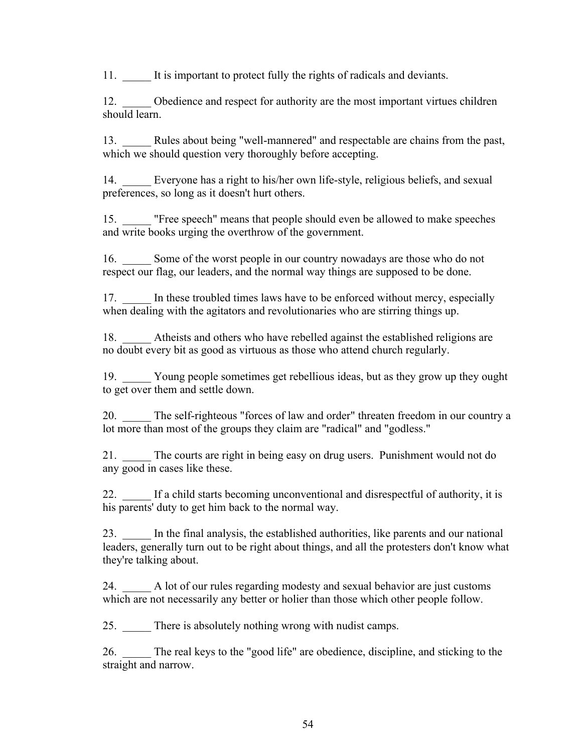11. It is important to protect fully the rights of radicals and deviants.

12. Obedience and respect for authority are the most important virtues children should learn.

13. Rules about being "well-mannered" and respectable are chains from the past, which we should question very thoroughly before accepting.

14. \_\_\_\_\_ Everyone has a right to his/her own life-style, religious beliefs, and sexual preferences, so long as it doesn't hurt others.

15. \_\_\_\_\_ "Free speech" means that people should even be allowed to make speeches and write books urging the overthrow of the government.

16. \_\_\_\_\_ Some of the worst people in our country nowadays are those who do not respect our flag, our leaders, and the normal way things are supposed to be done.

In these troubled times laws have to be enforced without mercy, especially when dealing with the agitators and revolutionaries who are stirring things up.

18. Atheists and others who have rebelled against the established religions are no doubt every bit as good as virtuous as those who attend church regularly.

19. \_\_\_\_\_ Young people sometimes get rebellious ideas, but as they grow up they ought to get over them and settle down.

20. The self-righteous "forces of law and order" threaten freedom in our country a lot more than most of the groups they claim are "radical" and "godless."

21. \_\_\_\_\_ The courts are right in being easy on drug users. Punishment would not do any good in cases like these.

22. \_\_\_\_\_ If a child starts becoming unconventional and disrespectful of authority, it is his parents' duty to get him back to the normal way.

23. \_\_\_\_\_ In the final analysis, the established authorities, like parents and our national leaders, generally turn out to be right about things, and all the protesters don't know what they're talking about.

24. \_\_\_\_\_ A lot of our rules regarding modesty and sexual behavior are just customs which are not necessarily any better or holier than those which other people follow.

25. There is absolutely nothing wrong with nudist camps.

26. \_\_\_\_\_ The real keys to the "good life" are obedience, discipline, and sticking to the straight and narrow.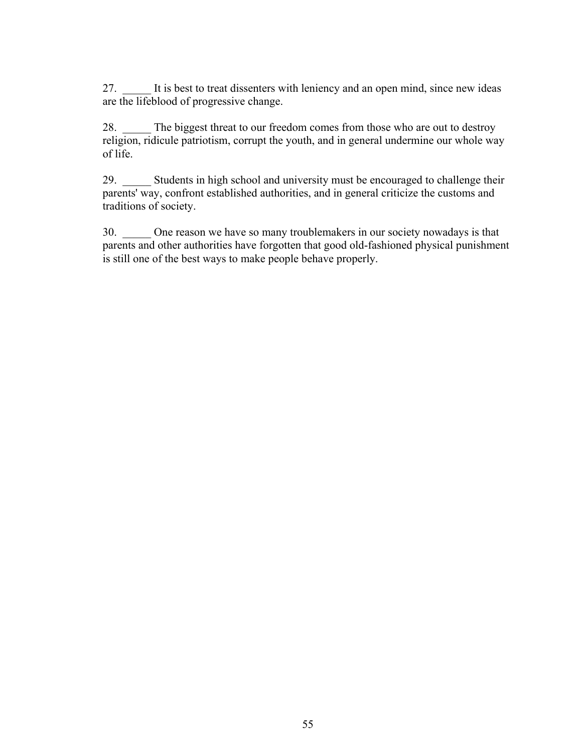27. \_\_\_\_\_ It is best to treat dissenters with leniency and an open mind, since new ideas are the lifeblood of progressive change.

28. The biggest threat to our freedom comes from those who are out to destroy religion, ridicule patriotism, corrupt the youth, and in general undermine our whole way of life.

29. Students in high school and university must be encouraged to challenge their parents' way, confront established authorities, and in general criticize the customs and traditions of society.

30. \_\_\_\_\_ One reason we have so many troublemakers in our society nowadays is that parents and other authorities have forgotten that good old-fashioned physical punishment is still one of the best ways to make people behave properly.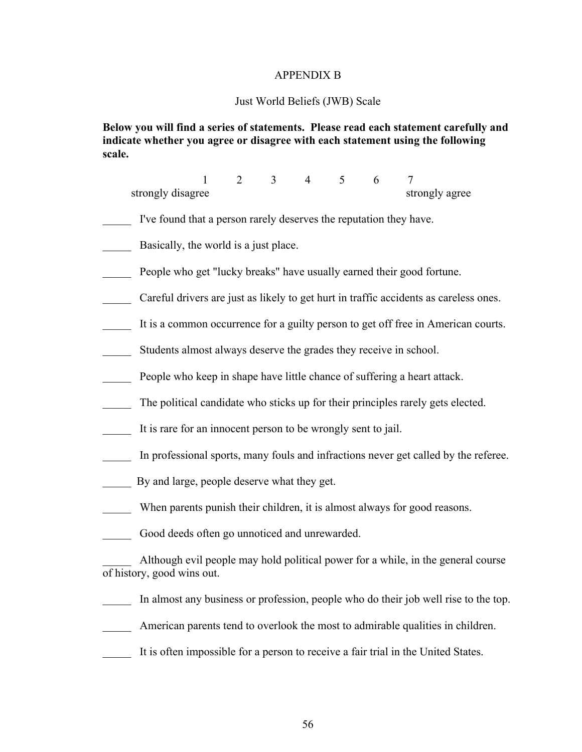## APPENDIX B

#### Just World Beliefs (JWB) Scale

# **Below you will find a series of statements. Please read each statement carefully and indicate whether you agree or disagree with each statement using the following scale.**

 1 2 3 4 5 6 7 strongly disagree strongly agree

- I've found that a person rarely deserves the reputation they have.
- Basically, the world is a just place.
- People who get "lucky breaks" have usually earned their good fortune.
- Careful drivers are just as likely to get hurt in traffic accidents as careless ones.
- It is a common occurrence for a guilty person to get off free in American courts.
- Students almost always deserve the grades they receive in school.
- People who keep in shape have little chance of suffering a heart attack.
- The political candidate who sticks up for their principles rarely gets elected.
- It is rare for an innocent person to be wrongly sent to jail.
- In professional sports, many fouls and infractions never get called by the referee.
- By and large, people deserve what they get.
- When parents punish their children, it is almost always for good reasons.
- Good deeds often go unnoticed and unrewarded.

\_\_\_\_\_ Although evil people may hold political power for a while, in the general course of history, good wins out.

- In almost any business or profession, people who do their job well rise to the top.
- American parents tend to overlook the most to admirable qualities in children.
- It is often impossible for a person to receive a fair trial in the United States.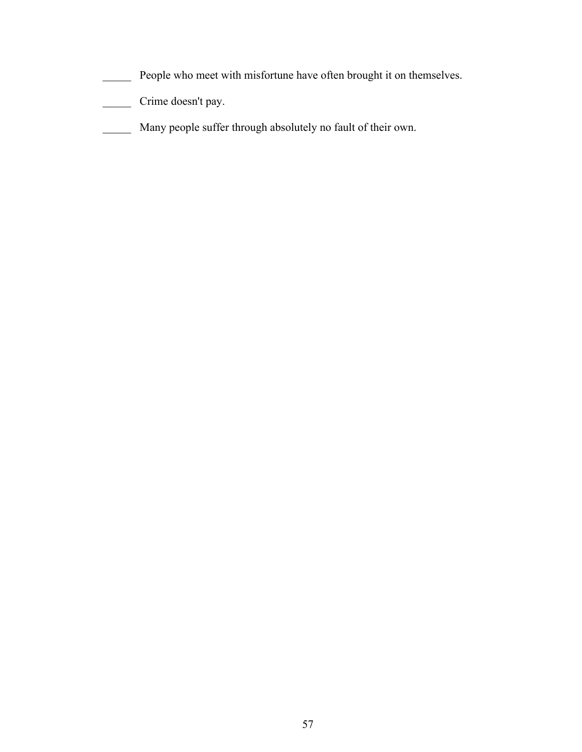- \_\_\_\_\_ People who meet with misfortune have often brought it on themselves.
- \_\_\_\_\_ Crime doesn't pay.
- \_\_\_\_\_ Many people suffer through absolutely no fault of their own.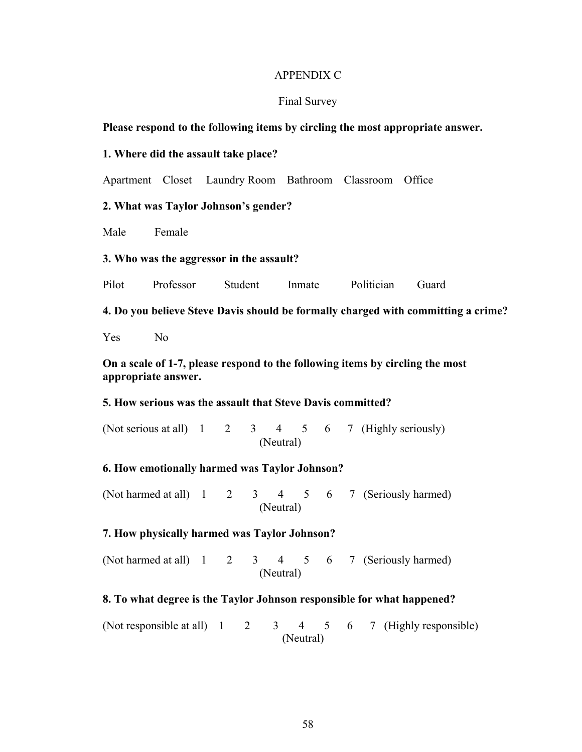## APPENDIX C

#### Final Survey

## **Please respond to the following items by circling the most appropriate answer.**

## **1. Where did the assault take place?**

Apartment Closet Laundry Room Bathroom Classroom Office

## **2. What was Taylor Johnson's gender?**

Male Female

#### **3. Who was the aggressor in the assault?**

Pilot Professor Student Inmate Politician Guard

**4. Do you believe Steve Davis should be formally charged with committing a crime?**

Yes No

# **On a scale of 1-7, please respond to the following items by circling the most appropriate answer.**

# **5. How serious was the assault that Steve Davis committed?**

(Not serious at all)  $1 \quad 2 \quad 3 \quad 4 \quad 5 \quad 6 \quad 7$  (Highly seriously) (Neutral)

### **6. How emotionally harmed was Taylor Johnson?**

(Not harmed at all) 1 2 3 4 5 6 7 (Seriously harmed) (Neutral)

## **7. How physically harmed was Taylor Johnson?**

(Not harmed at all)  $1 \quad 2 \quad 3 \quad 4 \quad 5 \quad 6 \quad 7$  (Seriously harmed) (Neutral)

#### **8. To what degree is the Taylor Johnson responsible for what happened?**

(Not responsible at all)  $1 \quad 2 \quad 3 \quad 4 \quad 5 \quad 6 \quad 7$  (Highly responsible) (Neutral)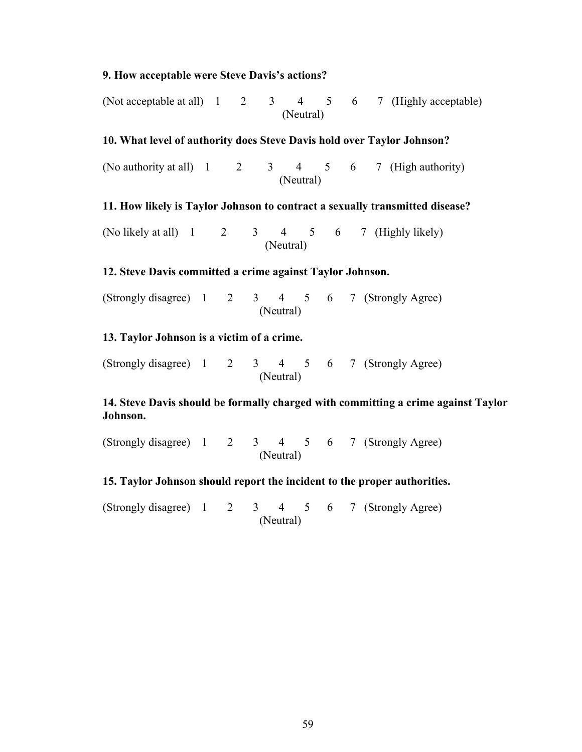# **9. How acceptable were Steve Davis's actions?**

(Not acceptable at all)  $1 \quad 2 \quad 3 \quad 4 \quad 5 \quad 6 \quad 7$  (Highly acceptable) (Neutral)

# **10. What level of authority does Steve Davis hold over Taylor Johnson?**

(No authority at all)  $1 \t2 \t3 \t4 \t5 \t6 \t7$  (High authority) (Neutral)

# **11. How likely is Taylor Johnson to contract a sexually transmitted disease?**

(No likely at all)  $1 \t2 \t3 \t4 \t5 \t6 \t7$  (Highly likely) (Neutral)

# **12. Steve Davis committed a crime against Taylor Johnson.**

(Strongly disagree) 1 2 3 4 5 6 7 (Strongly Agree) (Neutral)

# **13. Taylor Johnson is a victim of a crime.**

(Strongly disagree) 1 2 3 4 5 6 7 (Strongly Agree) (Neutral)

# **14. Steve Davis should be formally charged with committing a crime against Taylor Johnson.**

(Strongly disagree) 1 2 3 4 5 6 7 (Strongly Agree) (Neutral)

# **15. Taylor Johnson should report the incident to the proper authorities.**

(Strongly disagree) 1 2 3 4 5 6 7 (Strongly Agree) (Neutral)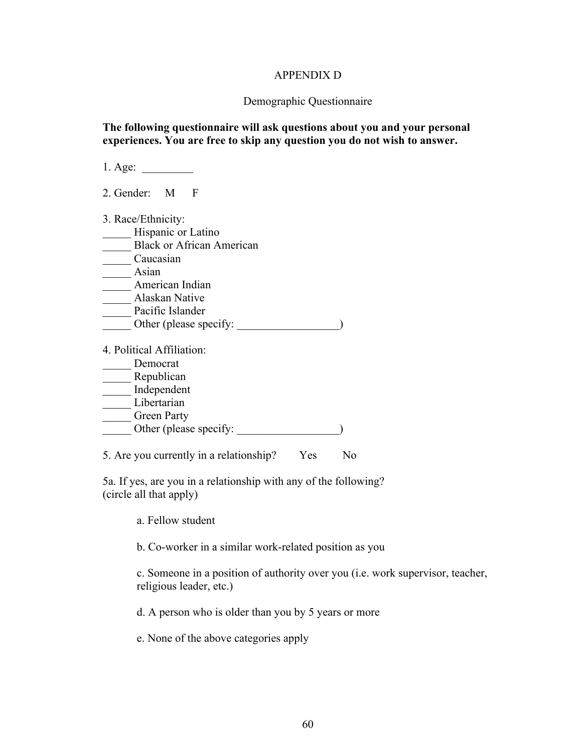## APPENDIX D

## Demographic Questionnaire

# **The following questionnaire will ask questions about you and your personal experiences. You are free to skip any question you do not wish to answer.**

1. Age: \_\_\_\_\_\_\_\_\_ 2. Gender: M F 3. Race/Ethnicity: Hispanic or Latino Black or African American \_\_\_\_\_ Caucasian \_\_\_\_\_ Asian \_\_\_\_\_ American Indian \_\_\_\_\_ Alaskan Native Pacific Islander Other (please specify:  $\qquad \qquad$ ) 4. Political Affiliation: \_\_\_\_\_ Democrat Republican \_\_\_\_\_ Independent \_\_\_\_\_ Libertarian Green Party \_\_\_\_\_ Other (please specify: \_\_\_\_\_\_\_\_\_\_\_\_\_\_\_\_\_\_) 5. Are you currently in a relationship? Yes No

5a. If yes, are you in a relationship with any of the following? (circle all that apply)

a. Fellow student

b. Co-worker in a similar work-related position as you

c. Someone in a position of authority over you (i.e. work supervisor, teacher, religious leader, etc.)

d. A person who is older than you by 5 years or more

e. None of the above categories apply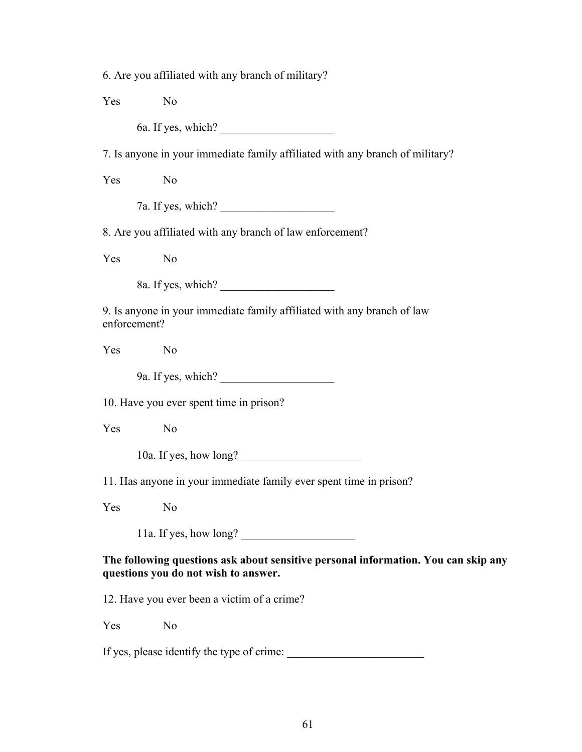6. Are you affiliated with any branch of military?

Yes No

6a. If yes, which?

7. Is anyone in your immediate family affiliated with any branch of military?

Yes No

7a. If yes, which?

8. Are you affiliated with any branch of law enforcement?

Yes No

8a. If yes, which?

9. Is anyone in your immediate family affiliated with any branch of law enforcement?

Yes No

9a. If yes, which?

10. Have you ever spent time in prison?

Yes No

10a. If yes, how long?

11. Has anyone in your immediate family ever spent time in prison?

Yes No

11a. If yes, how long?

**The following questions ask about sensitive personal information. You can skip any questions you do not wish to answer.**

12. Have you ever been a victim of a crime?

Yes No

If yes, please identify the type of crime: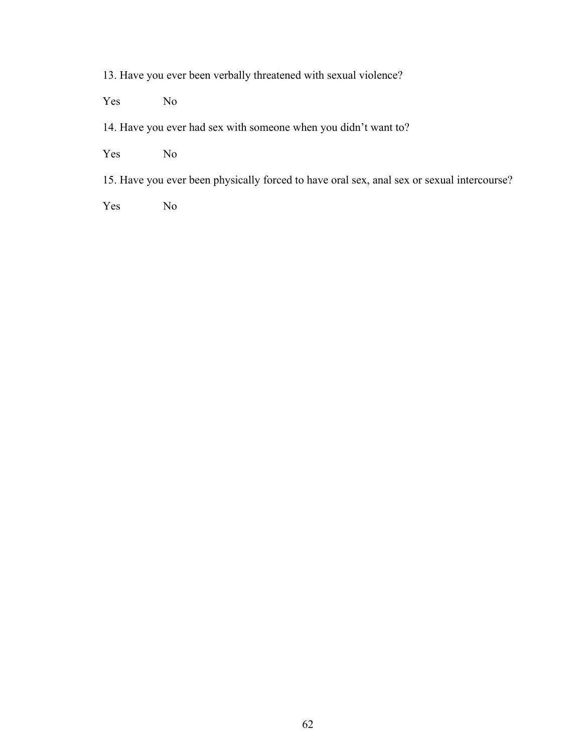13. Have you ever been verbally threatened with sexual violence?

Yes No

14. Have you ever had sex with someone when you didn't want to?

Yes No

15. Have you ever been physically forced to have oral sex, anal sex or sexual intercourse?

Yes No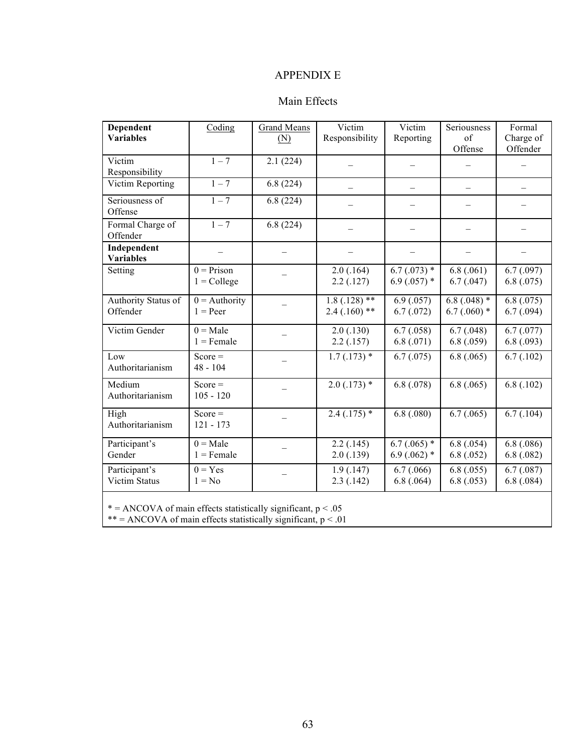# APPENDIX E

# Main Effects

| Dependent                                                       | Coding          | <b>Grand Means</b> | Victim          | Victim                  | Seriousness               | Formal     |
|-----------------------------------------------------------------|-----------------|--------------------|-----------------|-------------------------|---------------------------|------------|
| <b>Variables</b>                                                |                 | (N)                | Responsibility  | Reporting               | of                        | Charge of  |
|                                                                 |                 |                    |                 |                         | Offense                   | Offender   |
| Victim                                                          | $1 - 7$         | 2.1(224)           |                 |                         |                           |            |
| Responsibility                                                  |                 |                    |                 |                         |                           |            |
| Victim Reporting                                                | $1 - 7$         | 6.8(224)           |                 |                         |                           |            |
| Seriousness of<br>Offense                                       | $1 - 7$         | 6.8(224)           |                 |                         |                           |            |
| Formal Charge of<br>Offender                                    | $1 - 7$         | 6.8(224)           |                 |                         |                           |            |
| Independent                                                     |                 |                    |                 |                         |                           |            |
| <b>Variables</b>                                                |                 |                    |                 |                         |                           |            |
| Setting                                                         | $0 = Prison$    |                    | 2.0(.164)       | $6.7(0.073)*$           | 6.8(.061)                 | 6.7(0.97)  |
|                                                                 | $1 =$ College   |                    | 2.2(0.127)      | 6.9 $(.057)$ *          | 6.7(0.047)                | 6.8(.075)  |
| Authority Status of                                             | $0 =$ Authority |                    | $1.8(.128)$ **  | $\overline{6.9}$ (.057) | $\overline{6.8}$ (.048) * | 6.8(.075)  |
| Offender                                                        | $1 = Peer$      |                    | $2.4(0.160)$ ** | 6.7(0.072)              | $6.7(.060)$ *             | 6.7(0.094) |
| Victim Gender                                                   | $0 = Male$      |                    | 2.0(0.130)      | 6.7(0.058)              | 6.7(0.048)                | 6.7(0.077) |
|                                                                 | $1 =$ Female    |                    | $2.2$ (.157)    | 6.8(.071)               | 6.8(.059)                 | 6.8(0.093) |
| Low                                                             | $Score =$       |                    | $1.7(0.173)*$   | 6.7(0.075)              | 6.8(.065)                 | 6.7(0.102) |
| Authoritarianism                                                | 48 - 104        |                    |                 |                         |                           |            |
| Medium                                                          | $Score =$       |                    | $2.0(0.173)$ *  | 6.8(0.078)              | 6.8(.065)                 | 6.8(.102)  |
| Authoritarianism                                                | $105 - 120$     |                    |                 |                         |                           |            |
| High                                                            | $Score =$       |                    | $2.4(.175)$ *   | $\overline{6.8}$ (.080) | 6.7(0.065)                | 6.7(0.104) |
| Authoritarianism                                                | $121 - 173$     |                    |                 |                         |                           |            |
| Participant's                                                   | $0 = Male$      |                    | 2.2(.145)       | $6.7(.065)$ *           | 6.8(.054)                 | 6.8(.086)  |
| Gender                                                          | $1 =$ Female    |                    | 2.0(0.139)      | $6.9(.062)$ *           | 6.8(.052)                 | 6.8(0.082) |
| Participant's                                                   | $0 = Yes$       |                    | 1.9(0.147)      | 6.7(0.066)              | 6.8(.055)                 | 6.7(0.087) |
| <b>Victim Status</b>                                            | $1 = No$        |                    | 2.3(0.142)      | 6.8(.064)               | 6.8(.053)                 | 6.8(.084)  |
| * = ANCOVA of main effects statistically significant, $p < .05$ |                 |                    |                 |                         |                           |            |

\*\* = ANCOVA of main effects statistically significant,  $p < .01$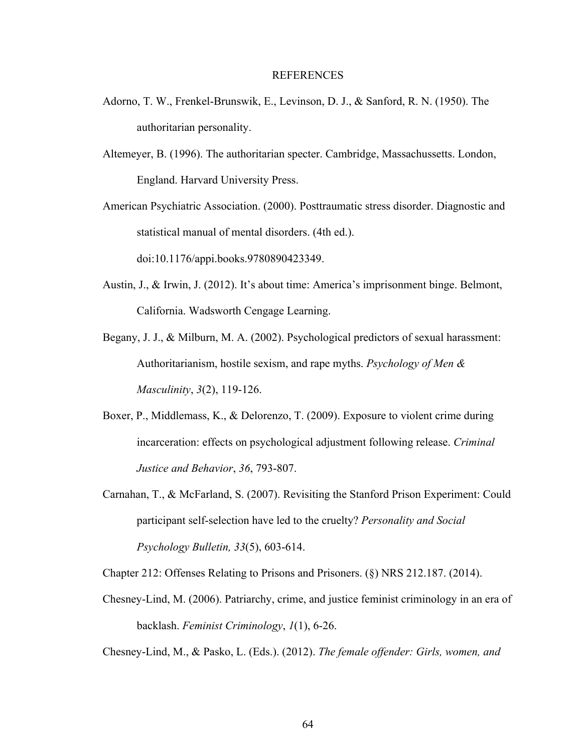#### REFERENCES

- Adorno, T. W., Frenkel-Brunswik, E., Levinson, D. J., & Sanford, R. N. (1950). The authoritarian personality.
- Altemeyer, B. (1996). The authoritarian specter. Cambridge, Massachussetts. London, England. Harvard University Press.

American Psychiatric Association. (2000). Posttraumatic stress disorder. Diagnostic and statistical manual of mental disorders. (4th ed.). doi:10.1176/appi.books.9780890423349.

- Austin, J., & Irwin, J. (2012). It's about time: America's imprisonment binge. Belmont, California. Wadsworth Cengage Learning.
- Begany, J. J., & Milburn, M. A. (2002). Psychological predictors of sexual harassment: Authoritarianism, hostile sexism, and rape myths. *Psychology of Men & Masculinity*, *3*(2), 119-126.
- Boxer, P., Middlemass, K., & Delorenzo, T. (2009). Exposure to violent crime during incarceration: effects on psychological adjustment following release. *Criminal Justice and Behavior*, *36*, 793-807.
- Carnahan, T., & McFarland, S. (2007). Revisiting the Stanford Prison Experiment: Could participant self-selection have led to the cruelty? *Personality and Social Psychology Bulletin, 33*(5), 603-614.

Chapter 212: Offenses Relating to Prisons and Prisoners. (§) NRS 212.187. (2014).

Chesney-Lind, M. (2006). Patriarchy, crime, and justice feminist criminology in an era of backlash. *Feminist Criminology*, *1*(1), 6-26.

Chesney-Lind, M., & Pasko, L. (Eds.). (2012). *The female offender: Girls, women, and*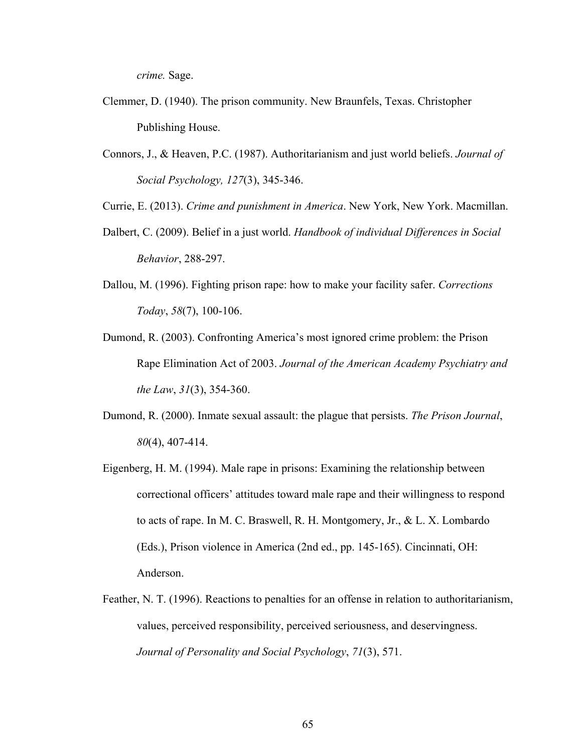*crime.* Sage.

- Clemmer, D. (1940). The prison community. New Braunfels, Texas. Christopher Publishing House.
- Connors, J., & Heaven, P.C. (1987). Authoritarianism and just world beliefs. *Journal of Social Psychology, 127*(3), 345-346.

Currie, E. (2013). *Crime and punishment in America*. New York, New York. Macmillan.

- Dalbert, C. (2009). Belief in a just world. *Handbook of individual Differences in Social Behavior*, 288-297.
- Dallou, M. (1996). Fighting prison rape: how to make your facility safer. *Corrections Today*, *58*(7), 100-106.
- Dumond, R. (2003). Confronting America's most ignored crime problem: the Prison Rape Elimination Act of 2003. *Journal of the American Academy Psychiatry and the Law*, *31*(3), 354-360.
- Dumond, R. (2000). Inmate sexual assault: the plague that persists. *The Prison Journal*, *80*(4), 407-414.
- Eigenberg, H. M. (1994). Male rape in prisons: Examining the relationship between correctional officers' attitudes toward male rape and their willingness to respond to acts of rape. In M. C. Braswell, R. H. Montgomery, Jr., & L. X. Lombardo (Eds.), Prison violence in America (2nd ed., pp. 145-165). Cincinnati, OH: Anderson.
- Feather, N. T. (1996). Reactions to penalties for an offense in relation to authoritarianism, values, perceived responsibility, perceived seriousness, and deservingness. *Journal of Personality and Social Psychology*, *71*(3), 571.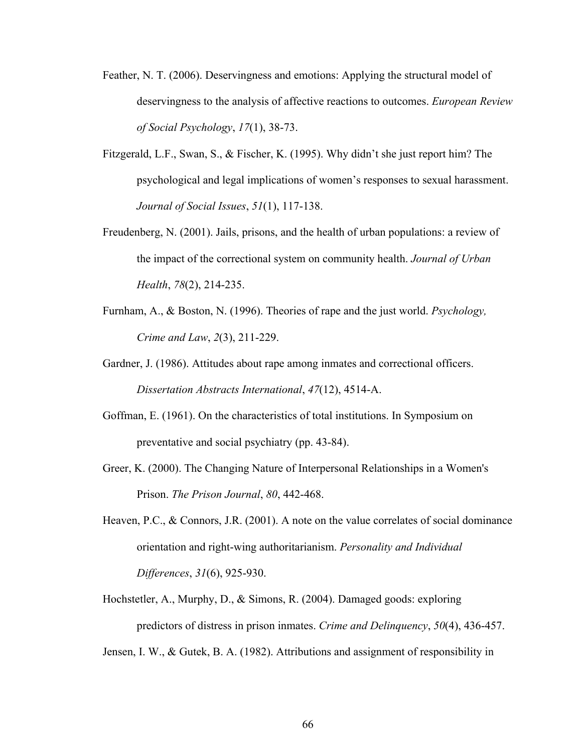- Feather, N. T. (2006). Deservingness and emotions: Applying the structural model of deservingness to the analysis of affective reactions to outcomes. *European Review of Social Psychology*, *17*(1), 38-73.
- Fitzgerald, L.F., Swan, S., & Fischer, K. (1995). Why didn't she just report him? The psychological and legal implications of women's responses to sexual harassment. *Journal of Social Issues*, *51*(1), 117-138.
- Freudenberg, N. (2001). Jails, prisons, and the health of urban populations: a review of the impact of the correctional system on community health. *Journal of Urban Health*, *78*(2), 214-235.
- Furnham, A., & Boston, N. (1996). Theories of rape and the just world. *Psychology, Crime and Law*, *2*(3), 211-229.
- Gardner, J. (1986). Attitudes about rape among inmates and correctional officers. *Dissertation Abstracts International*, *47*(12), 4514-A.
- Goffman, E. (1961). On the characteristics of total institutions. In Symposium on preventative and social psychiatry (pp. 43-84).
- Greer, K. (2000). The Changing Nature of Interpersonal Relationships in a Women's Prison. *The Prison Journal*, *80*, 442-468.
- Heaven, P.C., & Connors, J.R. (2001). A note on the value correlates of social dominance orientation and right-wing authoritarianism. *Personality and Individual Differences*, *31*(6), 925-930.
- Hochstetler, A., Murphy, D., & Simons, R. (2004). Damaged goods: exploring predictors of distress in prison inmates. *Crime and Delinquency*, *50*(4), 436-457.

Jensen, I. W., & Gutek, B. A. (1982). Attributions and assignment of responsibility in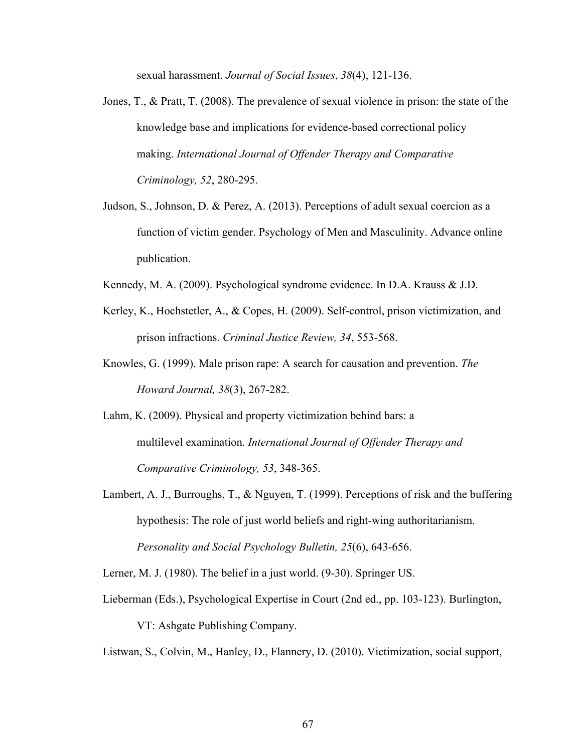sexual harassment. *Journal of Social Issues*, *38*(4), 121-136.

- Jones, T., & Pratt, T. (2008). The prevalence of sexual violence in prison: the state of the knowledge base and implications for evidence-based correctional policy making. *International Journal of Offender Therapy and Comparative Criminology, 52*, 280-295.
- Judson, S., Johnson, D. & Perez, A. (2013). Perceptions of adult sexual coercion as a function of victim gender. Psychology of Men and Masculinity. Advance online publication.
- Kennedy, M. A. (2009). Psychological syndrome evidence. In D.A. Krauss & J.D.
- Kerley, K., Hochstetler, A., & Copes, H. (2009). Self-control, prison victimization, and prison infractions. *Criminal Justice Review, 34*, 553-568.
- Knowles, G. (1999). Male prison rape: A search for causation and prevention. *The Howard Journal, 38*(3), 267-282.
- Lahm, K. (2009). Physical and property victimization behind bars: a multilevel examination. *International Journal of Offender Therapy and Comparative Criminology, 53*, 348-365.
- Lambert, A. J., Burroughs, T., & Nguyen, T. (1999). Perceptions of risk and the buffering hypothesis: The role of just world beliefs and right-wing authoritarianism. *Personality and Social Psychology Bulletin, 25*(6), 643-656.

Lerner, M. J. (1980). The belief in a just world. (9-30). Springer US.

Lieberman (Eds.), Psychological Expertise in Court (2nd ed., pp. 103-123). Burlington,

VT: Ashgate Publishing Company.

Listwan, S., Colvin, M., Hanley, D., Flannery, D. (2010). Victimization, social support,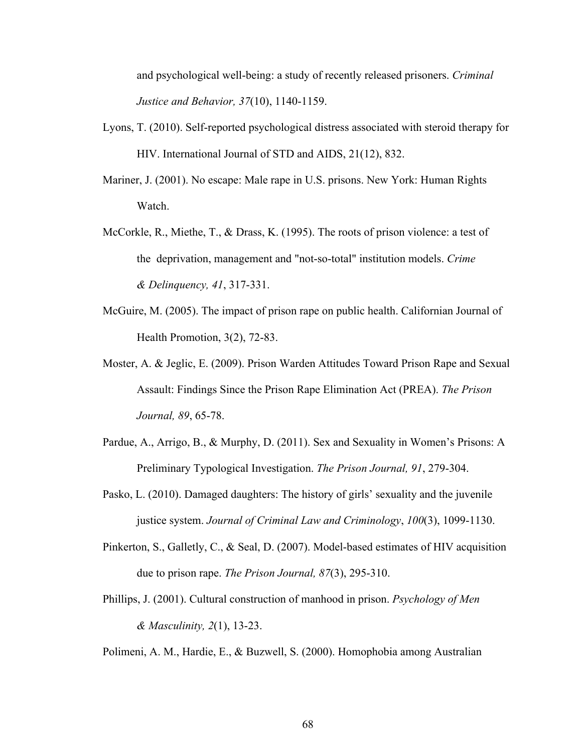and psychological well-being: a study of recently released prisoners. *Criminal Justice and Behavior, 37*(10), 1140-1159.

- Lyons, T. (2010). Self-reported psychological distress associated with steroid therapy for HIV. International Journal of STD and AIDS, 21(12), 832.
- Mariner, J. (2001). No escape: Male rape in U.S. prisons. New York: Human Rights Watch.
- McCorkle, R., Miethe, T., & Drass, K. (1995). The roots of prison violence: a test of the deprivation, management and "not-so-total" institution models. *Crime & Delinquency, 41*, 317-331.
- McGuire, M. (2005). The impact of prison rape on public health. Californian Journal of Health Promotion, 3(2), 72-83.
- Moster, A. & Jeglic, E. (2009). Prison Warden Attitudes Toward Prison Rape and Sexual Assault: Findings Since the Prison Rape Elimination Act (PREA). *The Prison Journal, 89*, 65-78.
- Pardue, A., Arrigo, B., & Murphy, D. (2011). Sex and Sexuality in Women's Prisons: A Preliminary Typological Investigation. *The Prison Journal, 91*, 279-304.
- Pasko, L. (2010). Damaged daughters: The history of girls' sexuality and the juvenile justice system. *Journal of Criminal Law and Criminology*, *100*(3), 1099-1130.
- Pinkerton, S., Galletly, C., & Seal, D. (2007). Model-based estimates of HIV acquisition due to prison rape. *The Prison Journal, 87*(3), 295-310.
- Phillips, J. (2001). Cultural construction of manhood in prison. *Psychology of Men & Masculinity, 2*(1), 13-23.

Polimeni, A. M., Hardie, E., & Buzwell, S. (2000). Homophobia among Australian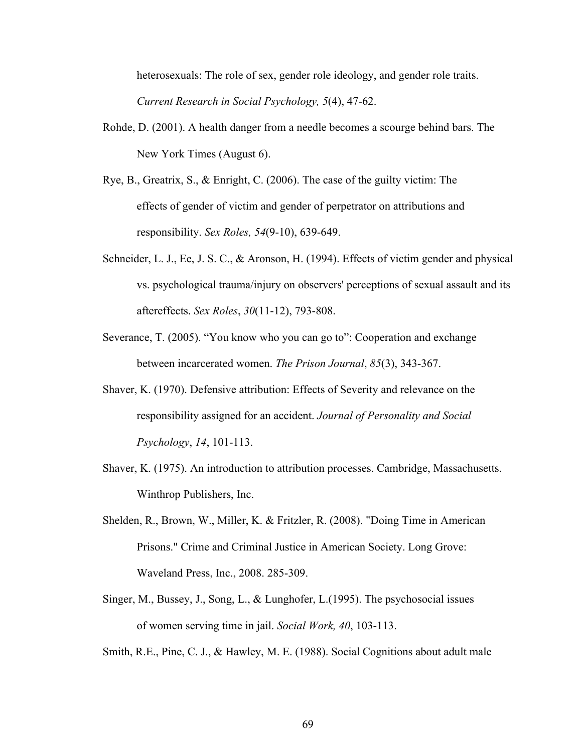heterosexuals: The role of sex, gender role ideology, and gender role traits. *Current Research in Social Psychology, 5*(4), 47-62.

- Rohde, D. (2001). A health danger from a needle becomes a scourge behind bars. The New York Times (August 6).
- Rye, B., Greatrix, S., & Enright, C. (2006). The case of the guilty victim: The effects of gender of victim and gender of perpetrator on attributions and responsibility. *Sex Roles, 54*(9-10), 639-649.
- Schneider, L. J., Ee, J. S. C., & Aronson, H. (1994). Effects of victim gender and physical vs. psychological trauma/injury on observers' perceptions of sexual assault and its aftereffects. *Sex Roles*, *30*(11-12), 793-808.
- Severance, T. (2005). "You know who you can go to": Cooperation and exchange between incarcerated women. *The Prison Journal*, *85*(3), 343-367.
- Shaver, K. (1970). Defensive attribution: Effects of Severity and relevance on the responsibility assigned for an accident. *Journal of Personality and Social Psychology*, *14*, 101-113.
- Shaver, K. (1975). An introduction to attribution processes. Cambridge, Massachusetts. Winthrop Publishers, Inc.
- Shelden, R., Brown, W., Miller, K. & Fritzler, R. (2008). "Doing Time in American Prisons." Crime and Criminal Justice in American Society. Long Grove: Waveland Press, Inc., 2008. 285-309.
- Singer, M., Bussey, J., Song, L., & Lunghofer, L.(1995). The psychosocial issues of women serving time in jail. *Social Work, 40*, 103-113.

Smith, R.E., Pine, C. J., & Hawley, M. E. (1988). Social Cognitions about adult male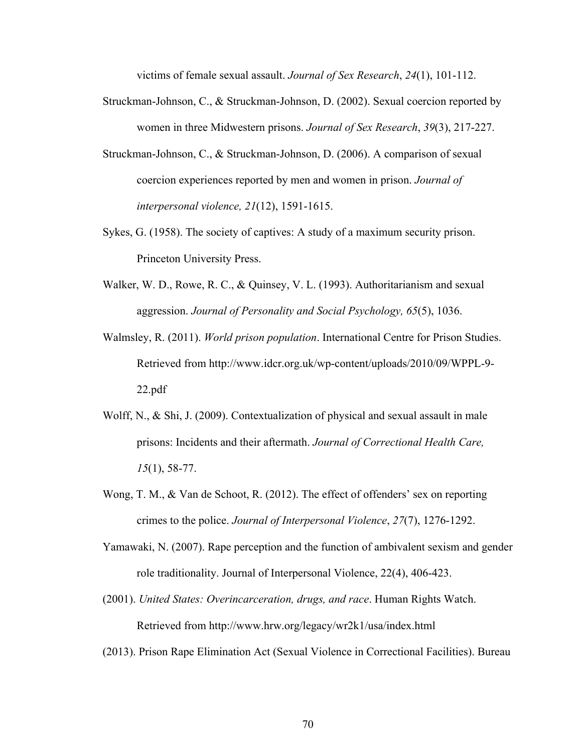victims of female sexual assault. *Journal of Sex Research*, *24*(1), 101-112.

- Struckman-Johnson, C., & Struckman-Johnson, D. (2002). Sexual coercion reported by women in three Midwestern prisons. *Journal of Sex Research*, *39*(3), 217-227.
- Struckman-Johnson, C., & Struckman-Johnson, D. (2006). A comparison of sexual coercion experiences reported by men and women in prison. *Journal of interpersonal violence, 21*(12), 1591-1615.
- Sykes, G. (1958). The society of captives: A study of a maximum security prison. Princeton University Press.
- Walker, W. D., Rowe, R. C., & Quinsey, V. L. (1993). Authoritarianism and sexual aggression. *Journal of Personality and Social Psychology, 65*(5), 1036.
- Walmsley, R. (2011). *World prison population*. International Centre for Prison Studies. Retrieved from http://www.idcr.org.uk/wp-content/uploads/2010/09/WPPL-9- 22.pdf
- Wolff, N., & Shi, J. (2009). Contextualization of physical and sexual assault in male prisons: Incidents and their aftermath. *Journal of Correctional Health Care, 15*(1), 58-77.
- Wong, T. M., & Van de Schoot, R. (2012). The effect of offenders' sex on reporting crimes to the police. *Journal of Interpersonal Violence*, *27*(7), 1276-1292.
- Yamawaki, N. (2007). Rape perception and the function of ambivalent sexism and gender role traditionality. Journal of Interpersonal Violence, 22(4), 406-423.
- (2001). *United States: Overincarceration, drugs, and race*. Human Rights Watch. Retrieved from http://www.hrw.org/legacy/wr2k1/usa/index.html
- (2013). Prison Rape Elimination Act (Sexual Violence in Correctional Facilities). Bureau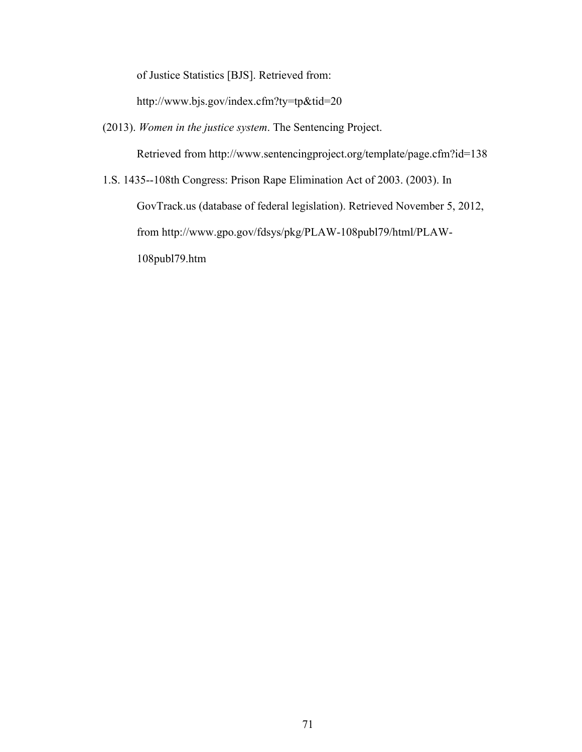of Justice Statistics [BJS]. Retrieved from:

http://www.bjs.gov/index.cfm?ty=tp&tid=20

(2013). *Women in the justice system*. The Sentencing Project.

Retrieved from http://www.sentencingproject.org/template/page.cfm?id=138

1.S. 1435--108th Congress: Prison Rape Elimination Act of 2003. (2003). In

GovTrack.us (database of federal legislation). Retrieved November 5, 2012,

from http://www.gpo.gov/fdsys/pkg/PLAW-108publ79/html/PLAW-

108publ79.htm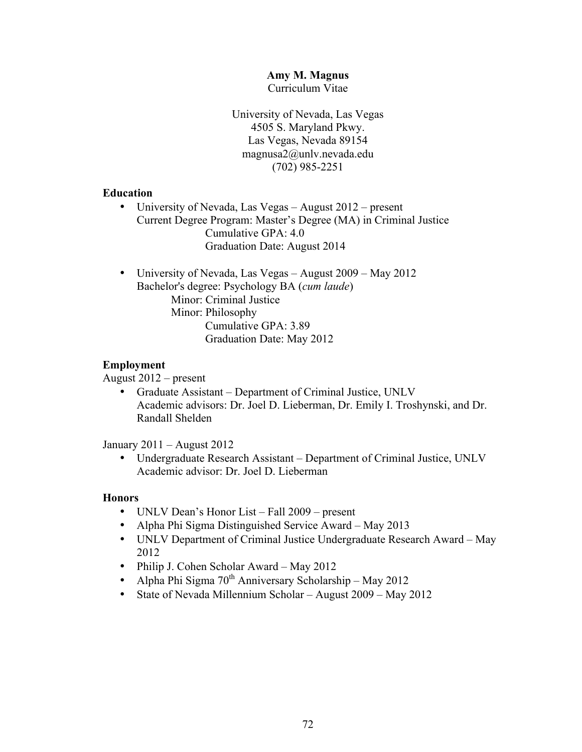#### **Amy M. Magnus**

Curriculum Vitae

University of Nevada, Las Vegas 4505 S. Maryland Pkwy. Las Vegas, Nevada 89154 magnusa2@unlv.nevada.edu (702) 985-2251

#### **Education**

- University of Nevada, Las Vegas August 2012 present Current Degree Program: Master's Degree (MA) in Criminal Justice Cumulative GPA: 4.0 Graduation Date: August 2014
- University of Nevada, Las Vegas August 2009 May 2012 Bachelor's degree: Psychology BA (*cum laude*) Minor: Criminal Justice Minor: Philosophy Cumulative GPA: 3.89 Graduation Date: May 2012

#### **Employment**

August 2012 – present

• Graduate Assistant – Department of Criminal Justice, UNLV Academic advisors: Dr. Joel D. Lieberman, Dr. Emily I. Troshynski, and Dr. Randall Shelden

January 2011 – August 2012

• Undergraduate Research Assistant – Department of Criminal Justice, UNLV Academic advisor: Dr. Joel D. Lieberman

#### **Honors**

- UNLV Dean's Honor List Fall 2009 present
- Alpha Phi Sigma Distinguished Service Award May 2013
- UNLV Department of Criminal Justice Undergraduate Research Award May 2012
- Philip J. Cohen Scholar Award May 2012
- Alpha Phi Sigma  $70<sup>th</sup>$  Anniversary Scholarship May 2012
- State of Nevada Millennium Scholar August 2009 May 2012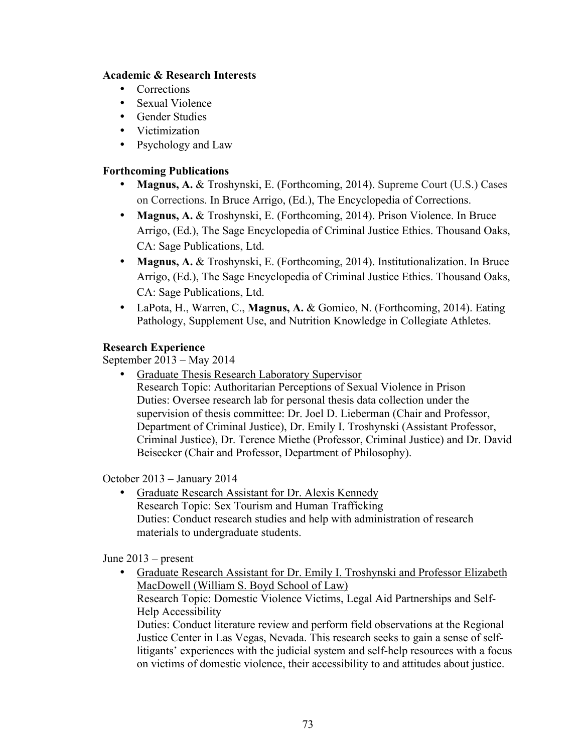### **Academic & Research Interests**

- Corrections
- Sexual Violence
- Gender Studies
- Victimization
- Psychology and Law

### **Forthcoming Publications**

- **Magnus, A. &** Troshynski, E. (Forthcoming, 2014). Supreme Court (U.S.) Cases on Corrections. In Bruce Arrigo, (Ed.), The Encyclopedia of Corrections.
- **Magnus, A. & Troshynski, E. (Forthcoming, 2014). Prison Violence. In Bruce** Arrigo, (Ed.), The Sage Encyclopedia of Criminal Justice Ethics. Thousand Oaks, CA: Sage Publications, Ltd.
- **Magnus, A. &** Troshynski, E. (Forthcoming, 2014). Institutionalization. In Bruce Arrigo, (Ed.), The Sage Encyclopedia of Criminal Justice Ethics. Thousand Oaks, CA: Sage Publications, Ltd.
- LaPota, H., Warren, C., **Magnus, A.** & Gomieo, N. (Forthcoming, 2014). Eating Pathology, Supplement Use, and Nutrition Knowledge in Collegiate Athletes.

## **Research Experience**

September 2013 – May 2014

- Graduate Thesis Research Laboratory Supervisor
	- Research Topic: Authoritarian Perceptions of Sexual Violence in Prison Duties: Oversee research lab for personal thesis data collection under the supervision of thesis committee: Dr. Joel D. Lieberman (Chair and Professor, Department of Criminal Justice), Dr. Emily I. Troshynski (Assistant Professor, Criminal Justice), Dr. Terence Miethe (Professor, Criminal Justice) and Dr. David Beisecker (Chair and Professor, Department of Philosophy).

October 2013 – January 2014

• Graduate Research Assistant for Dr. Alexis Kennedy Research Topic: Sex Tourism and Human Trafficking Duties: Conduct research studies and help with administration of research materials to undergraduate students.

June 2013 – present

• Graduate Research Assistant for Dr. Emily I. Troshynski and Professor Elizabeth MacDowell (William S. Boyd School of Law) Research Topic: Domestic Violence Victims, Legal Aid Partnerships and Self-Help Accessibility Duties: Conduct literature review and perform field observations at the Regional Justice Center in Las Vegas, Nevada. This research seeks to gain a sense of selflitigants' experiences with the judicial system and self-help resources with a focus on victims of domestic violence, their accessibility to and attitudes about justice.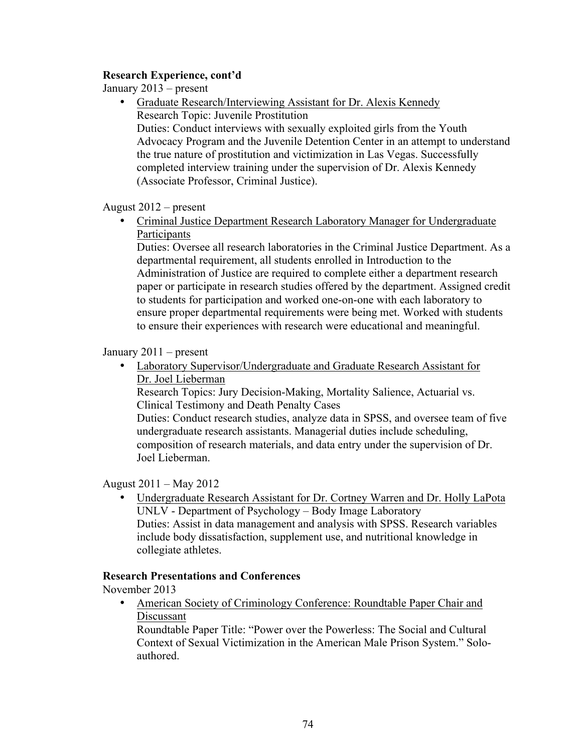### **Research Experience, cont'd**

January 2013 – present

• Graduate Research/Interviewing Assistant for Dr. Alexis Kennedy Research Topic: Juvenile Prostitution Duties: Conduct interviews with sexually exploited girls from the Youth Advocacy Program and the Juvenile Detention Center in an attempt to understand the true nature of prostitution and victimization in Las Vegas. Successfully completed interview training under the supervision of Dr. Alexis Kennedy (Associate Professor, Criminal Justice).

August 2012 – present

• Criminal Justice Department Research Laboratory Manager for Undergraduate **Participants** 

Duties: Oversee all research laboratories in the Criminal Justice Department. As a departmental requirement, all students enrolled in Introduction to the Administration of Justice are required to complete either a department research paper or participate in research studies offered by the department. Assigned credit to students for participation and worked one-on-one with each laboratory to ensure proper departmental requirements were being met. Worked with students to ensure their experiences with research were educational and meaningful.

### January 2011 – present

• Laboratory Supervisor/Undergraduate and Graduate Research Assistant for Dr. Joel Lieberman

Research Topics: Jury Decision-Making, Mortality Salience, Actuarial vs. Clinical Testimony and Death Penalty Cases

Duties: Conduct research studies, analyze data in SPSS, and oversee team of five undergraduate research assistants. Managerial duties include scheduling, composition of research materials, and data entry under the supervision of Dr. Joel Lieberman.

### August 2011 – May 2012

• Undergraduate Research Assistant for Dr. Cortney Warren and Dr. Holly LaPota UNLV - Department of Psychology – Body Image Laboratory Duties: Assist in data management and analysis with SPSS. Research variables include body dissatisfaction, supplement use, and nutritional knowledge in collegiate athletes.

#### **Research Presentations and Conferences**

November 2013

• American Society of Criminology Conference: Roundtable Paper Chair and Discussant

Roundtable Paper Title: "Power over the Powerless: The Social and Cultural Context of Sexual Victimization in the American Male Prison System." Soloauthored.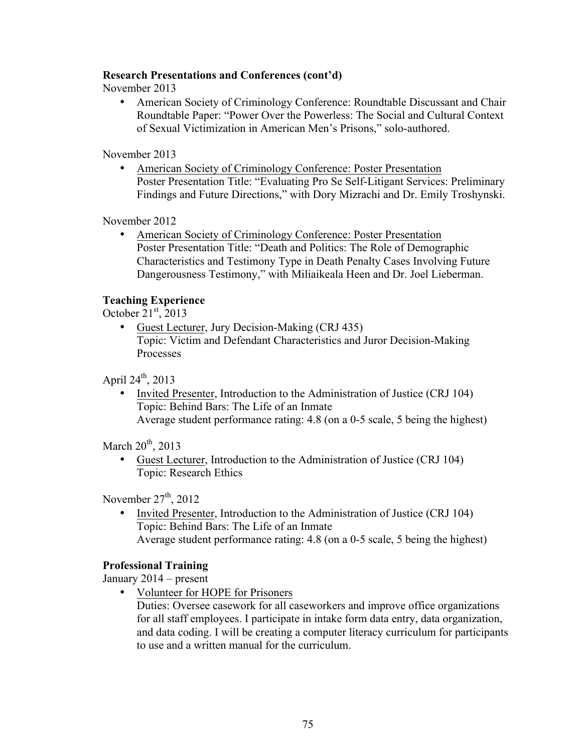### **Research Presentations and Conferences (cont'd)**

November 2013

• American Society of Criminology Conference: Roundtable Discussant and Chair Roundtable Paper: "Power Over the Powerless: The Social and Cultural Context of Sexual Victimization in American Men's Prisons," solo-authored.

November 2013

• American Society of Criminology Conference: Poster Presentation Poster Presentation Title: "Evaluating Pro Se Self-Litigant Services: Preliminary Findings and Future Directions," with Dory Mizrachi and Dr. Emily Troshynski.

November 2012

• American Society of Criminology Conference: Poster Presentation Poster Presentation Title: "Death and Politics: The Role of Demographic Characteristics and Testimony Type in Death Penalty Cases Involving Future Dangerousness Testimony," with Miliaikeala Heen and Dr. Joel Lieberman.

### **Teaching Experience**

October  $21<sup>st</sup>$ , 2013

• Guest Lecturer, Jury Decision-Making (CRJ 435) Topic: Victim and Defendant Characteristics and Juror Decision-Making Processes

April  $24^{th}$ , 2013

• Invited Presenter, Introduction to the Administration of Justice (CRJ 104) Topic: Behind Bars: The Life of an Inmate Average student performance rating: 4.8 (on a 0-5 scale, 5 being the highest)

March  $20<sup>th</sup>$ , 2013

• Guest Lecturer, Introduction to the Administration of Justice (CRJ 104) Topic: Research Ethics

November  $27<sup>th</sup>$ , 2012

• Invited Presenter, Introduction to the Administration of Justice (CRJ 104) Topic: Behind Bars: The Life of an Inmate Average student performance rating: 4.8 (on a 0-5 scale, 5 being the highest)

#### **Professional Training**

January 2014 – present

• Volunteer for HOPE for Prisoners

Duties: Oversee casework for all caseworkers and improve office organizations for all staff employees. I participate in intake form data entry, data organization, and data coding. I will be creating a computer literacy curriculum for participants to use and a written manual for the curriculum.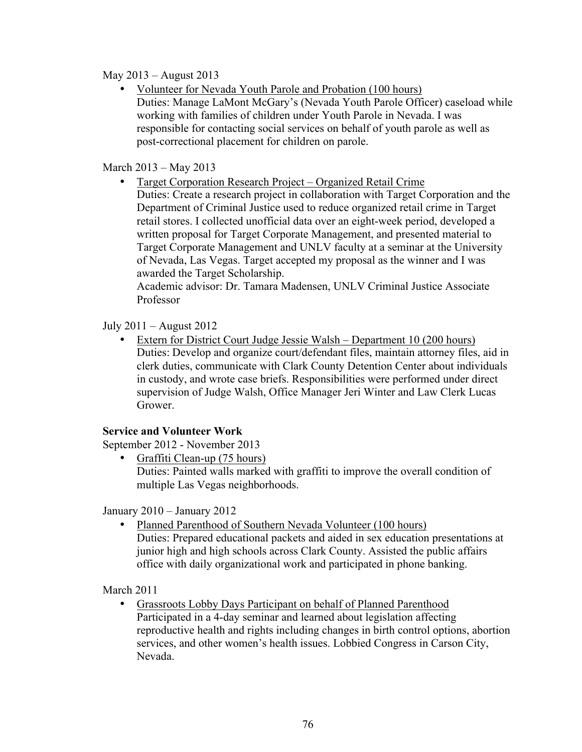### May 2013 – August 2013

• Volunteer for Nevada Youth Parole and Probation (100 hours) Duties: Manage LaMont McGary's (Nevada Youth Parole Officer) caseload while working with families of children under Youth Parole in Nevada. I was responsible for contacting social services on behalf of youth parole as well as post-correctional placement for children on parole.

### March 2013 – May 2013

• Target Corporation Research Project – Organized Retail Crime Duties: Create a research project in collaboration with Target Corporation and the Department of Criminal Justice used to reduce organized retail crime in Target retail stores. I collected unofficial data over an eight-week period, developed a written proposal for Target Corporate Management, and presented material to Target Corporate Management and UNLV faculty at a seminar at the University of Nevada, Las Vegas. Target accepted my proposal as the winner and I was awarded the Target Scholarship.

Academic advisor: Dr. Tamara Madensen, UNLV Criminal Justice Associate Professor

## July 2011 – August 2012

• Extern for District Court Judge Jessie Walsh – Department 10 (200 hours) Duties: Develop and organize court/defendant files, maintain attorney files, aid in clerk duties, communicate with Clark County Detention Center about individuals in custody, and wrote case briefs. Responsibilities were performed under direct supervision of Judge Walsh, Office Manager Jeri Winter and Law Clerk Lucas Grower.

### **Service and Volunteer Work**

September 2012 - November 2013

• Graffiti Clean-up (75 hours) Duties: Painted walls marked with graffiti to improve the overall condition of multiple Las Vegas neighborhoods.

January 2010 – January 2012

• Planned Parenthood of Southern Nevada Volunteer (100 hours) Duties: Prepared educational packets and aided in sex education presentations at junior high and high schools across Clark County. Assisted the public affairs office with daily organizational work and participated in phone banking.

March 2011

• Grassroots Lobby Days Participant on behalf of Planned Parenthood Participated in a 4-day seminar and learned about legislation affecting reproductive health and rights including changes in birth control options, abortion services, and other women's health issues. Lobbied Congress in Carson City, Nevada.